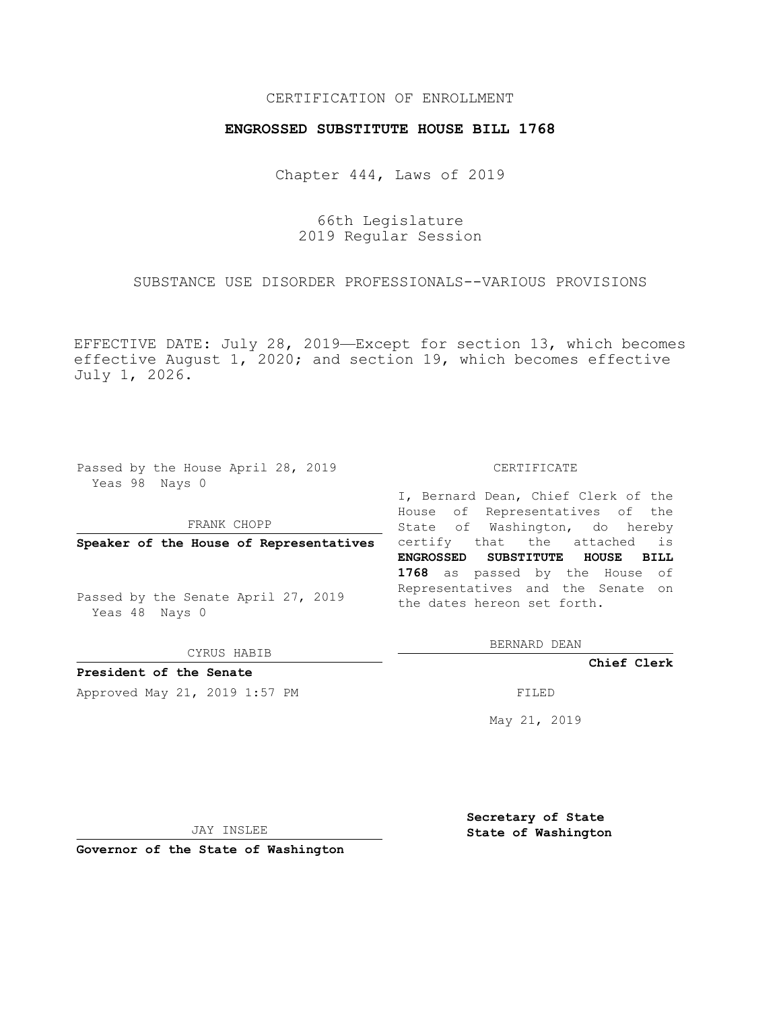## CERTIFICATION OF ENROLLMENT

## **ENGROSSED SUBSTITUTE HOUSE BILL 1768**

Chapter 444, Laws of 2019

66th Legislature 2019 Regular Session

SUBSTANCE USE DISORDER PROFESSIONALS--VARIOUS PROVISIONS

EFFECTIVE DATE: July 28, 2019—Except for section 13, which becomes effective August 1, 2020; and section 19, which becomes effective July 1, 2026.

Passed by the House April 28, 2019 Yeas 98 Nays 0

FRANK CHOPP

**Speaker of the House of Representatives**

Passed by the Senate April 27, 2019 Yeas 48 Nays 0

CYRUS HABIB

**President of the Senate**

Approved May 21, 2019 1:57 PM FILED

#### CERTIFICATE

I, Bernard Dean, Chief Clerk of the House of Representatives of the State of Washington, do hereby certify that the attached is **ENGROSSED SUBSTITUTE HOUSE BILL 1768** as passed by the House of Representatives and the Senate on the dates hereon set forth.

BERNARD DEAN

**Chief Clerk**

May 21, 2019

JAY INSLEE

**Governor of the State of Washington**

**Secretary of State State of Washington**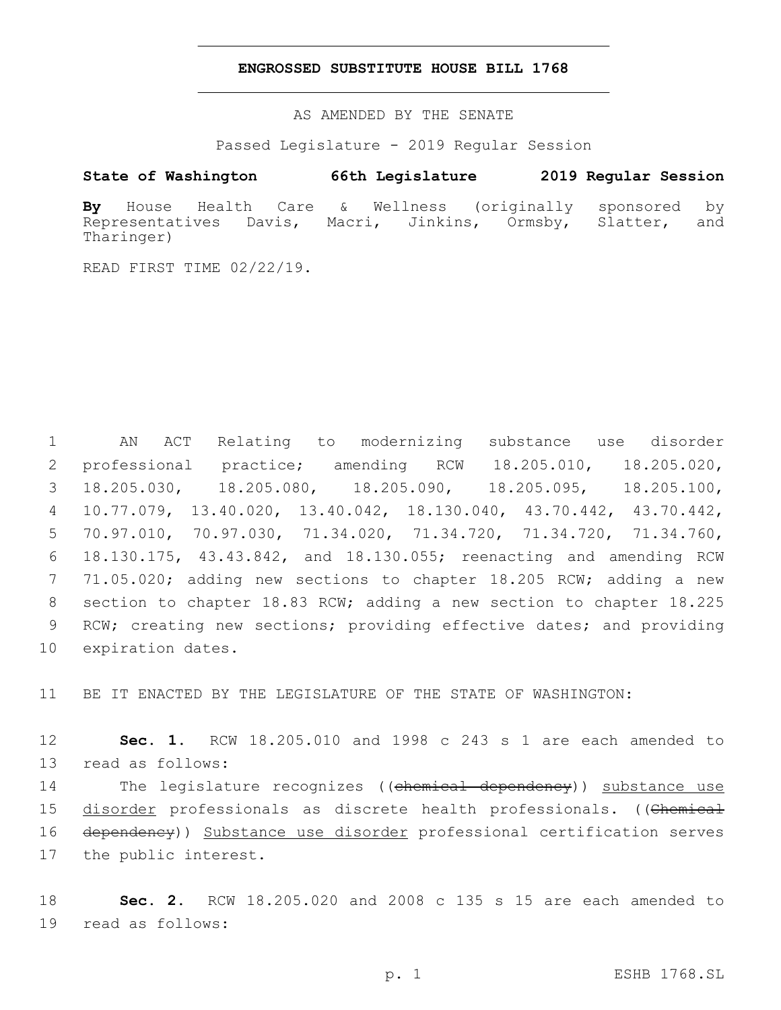### **ENGROSSED SUBSTITUTE HOUSE BILL 1768**

AS AMENDED BY THE SENATE

Passed Legislature - 2019 Regular Session

# **State of Washington 66th Legislature 2019 Regular Session**

**By** House Health Care & Wellness (originally sponsored by Representatives Davis, Macri, Jinkins, Ormsby, Slatter, and Tharinger)

READ FIRST TIME 02/22/19.

 AN ACT Relating to modernizing substance use disorder professional practice; amending RCW 18.205.010, 18.205.020, 18.205.030, 18.205.080, 18.205.090, 18.205.095, 18.205.100, 10.77.079, 13.40.020, 13.40.042, 18.130.040, 43.70.442, 43.70.442, 70.97.010, 70.97.030, 71.34.020, 71.34.720, 71.34.720, 71.34.760, 18.130.175, 43.43.842, and 18.130.055; reenacting and amending RCW 71.05.020; adding new sections to chapter 18.205 RCW; adding a new section to chapter 18.83 RCW; adding a new section to chapter 18.225 RCW; creating new sections; providing effective dates; and providing 10 expiration dates.

11 BE IT ENACTED BY THE LEGISLATURE OF THE STATE OF WASHINGTON:

12 **Sec. 1.** RCW 18.205.010 and 1998 c 243 s 1 are each amended to 13 read as follows:

14 The legislature recognizes ((chemical dependency)) substance use 15 disorder professionals as discrete health professionals. ((Chemical 16 dependency)) Substance use disorder professional certification serves 17 the public interest.

18 **Sec. 2.** RCW 18.205.020 and 2008 c 135 s 15 are each amended to 19 read as follows: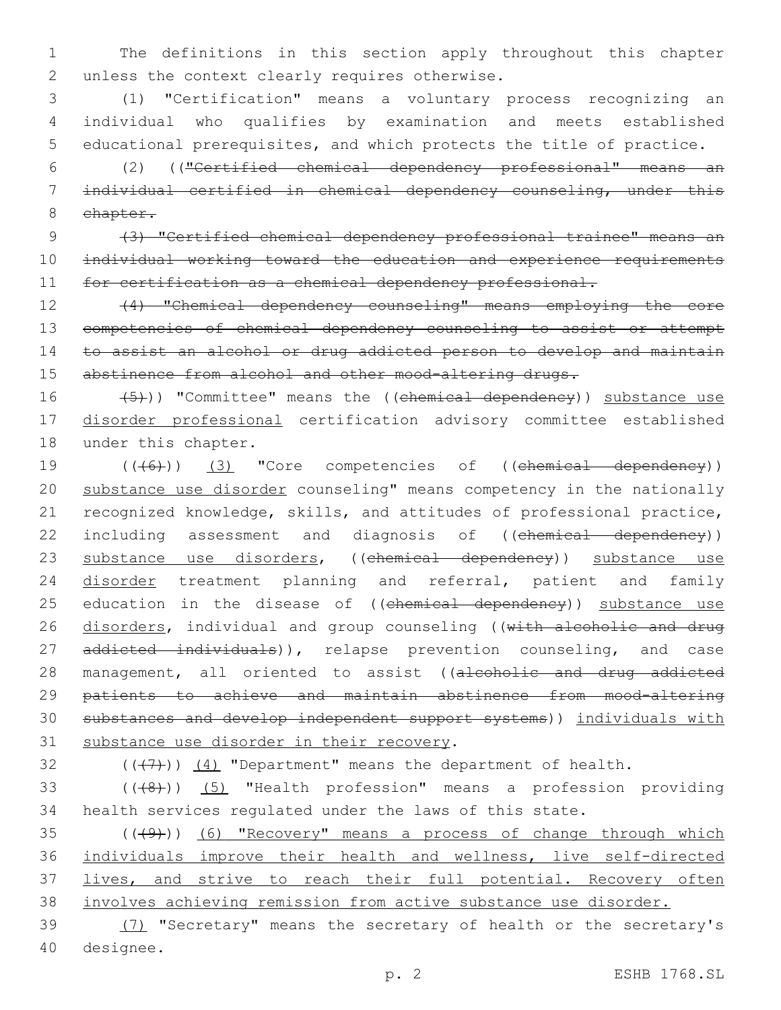1 The definitions in this section apply throughout this chapter 2 unless the context clearly requires otherwise.

3 (1) "Certification" means a voluntary process recognizing an 4 individual who qualifies by examination and meets established 5 educational prerequisites, and which protects the title of practice.

6 (2) (("Certified chemical dependency professional" means an 7 individual certified in chemical dependency counseling, under this 8 chapter.

9 (3) "Certified chemical dependency professional trainee" means an 10 individual working toward the education and experience requirements 11 for certification as a chemical dependency professional.

12 (4) "Chemical dependency counseling" means employing the core 13 competencies of chemical dependency counseling to assist or attempt 14 to assist an alcohol or drug addicted person to develop and maintain 15 abstinence from alcohol and other mood-altering drugs.

16 (5)) "Committee" means the ((chemical dependency)) substance use 17 disorder professional certification advisory committee established 18 under this chapter.

19 (((6)) (3) "Core competencies of ((chemical dependency)) 20 substance use disorder counseling" means competency in the nationally 21 recognized knowledge, skills, and attitudes of professional practice, 22 including assessment and diagnosis of ((chemical dependency)) 23 substance use disorders, ((chemical dependency)) substance use 24 disorder treatment planning and referral, patient and family 25 education in the disease of ((chemical dependency)) substance use 26 disorders, individual and group counseling ((with alcoholic and drug 27 addicted individuals)), relapse prevention counseling, and case 28 management, all oriented to assist ((alcoholic and drug addicted 29 patients to achieve and maintain abstinence from mood-altering 30 substances and develop independent support systems)) individuals with 31 substance use disorder in their recovery.

32  $((+7+))$   $(4)$  "Department" means the department of health.

33 (((48)) (5) "Health profession" means a profession providing 34 health services regulated under the laws of this state.

35 (((49))) (6) "Recovery" means a process of change through which 36 individuals improve their health and wellness, live self-directed 37 lives, and strive to reach their full potential. Recovery often 38 involves achieving remission from active substance use disorder.

39 (7) "Secretary" means the secretary of health or the secretary's 40 designee.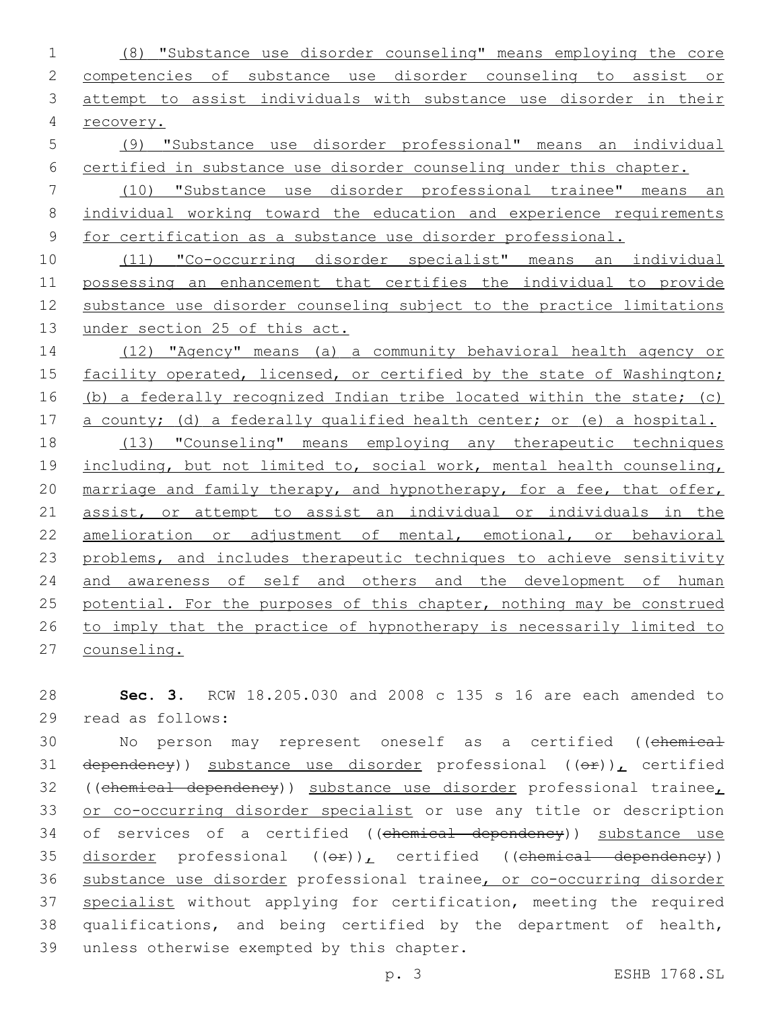(8) "Substance use disorder counseling" means employing the core competencies of substance use disorder counseling to assist or attempt to assist individuals with substance use disorder in their recovery. (9) "Substance use disorder professional" means an individual certified in substance use disorder counseling under this chapter. (10) "Substance use disorder professional trainee" means an individual working toward the education and experience requirements for certification as a substance use disorder professional. (11) "Co-occurring disorder specialist" means an individual possessing an enhancement that certifies the individual to provide substance use disorder counseling subject to the practice limitations 13 under section 25 of this act. (12) "Agency" means (a) a community behavioral health agency or facility operated, licensed, or certified by the state of Washington; (b) a federally recognized Indian tribe located within the state; (c) a county; (d) a federally qualified health center; or (e) a hospital. (13) "Counseling" means employing any therapeutic techniques 19 including, but not limited to, social work, mental health counseling, 20 marriage and family therapy, and hypnotherapy, for a fee, that offer, assist, or attempt to assist an individual or individuals in the amelioration or adjustment of mental, emotional, or behavioral 23 problems, and includes therapeutic techniques to achieve sensitivity and awareness of self and others and the development of human 25 potential. For the purposes of this chapter, nothing may be construed to imply that the practice of hypnotherapy is necessarily limited to counseling.

 **Sec. 3.** RCW 18.205.030 and 2008 c 135 s 16 are each amended to 29 read as follows:

30 Mo person may represent oneself as a certified ((chemical 31 dependency)) substance use disorder professional  $((\theta F))_L$  certified 32 ((chemical dependency)) substance use disorder professional trainee, or co-occurring disorder specialist or use any title or description 34 of services of a certified ((chemical dependency)) substance use 35 disorder professional  $((e^p)_L$  certified ((chemical dependency)) 36 substance use disorder professional trainee, or co-occurring disorder 37 specialist without applying for certification, meeting the required qualifications, and being certified by the department of health, 39 unless otherwise exempted by this chapter.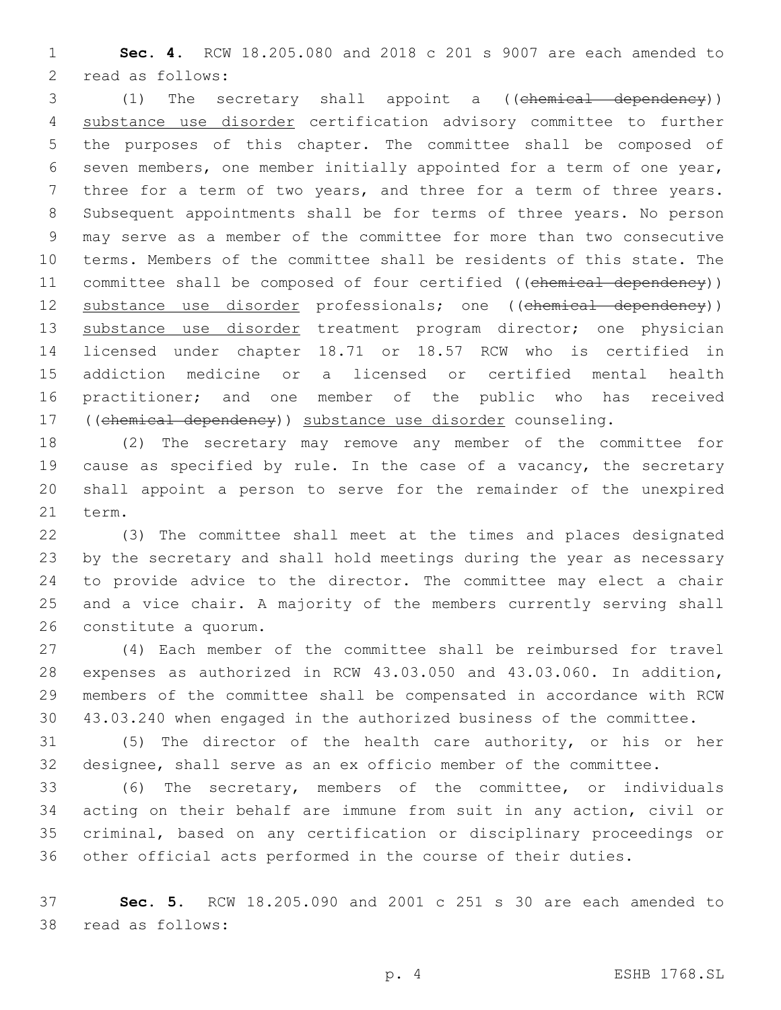**Sec. 4.** RCW 18.205.080 and 2018 c 201 s 9007 are each amended to 2 read as follows:

 (1) The secretary shall appoint a ((chemical dependency)) substance use disorder certification advisory committee to further the purposes of this chapter. The committee shall be composed of seven members, one member initially appointed for a term of one year, three for a term of two years, and three for a term of three years. Subsequent appointments shall be for terms of three years. No person may serve as a member of the committee for more than two consecutive terms. Members of the committee shall be residents of this state. The 11 committee shall be composed of four certified ((chemical dependency)) 12 substance use disorder professionals; one ((chemical dependency)) 13 substance use disorder treatment program director; one physician licensed under chapter 18.71 or 18.57 RCW who is certified in addiction medicine or a licensed or certified mental health practitioner; and one member of the public who has received ((chemical dependency)) substance use disorder counseling.

 (2) The secretary may remove any member of the committee for cause as specified by rule. In the case of a vacancy, the secretary shall appoint a person to serve for the remainder of the unexpired 21 term.

 (3) The committee shall meet at the times and places designated by the secretary and shall hold meetings during the year as necessary to provide advice to the director. The committee may elect a chair and a vice chair. A majority of the members currently serving shall 26 constitute a quorum.

 (4) Each member of the committee shall be reimbursed for travel expenses as authorized in RCW 43.03.050 and 43.03.060. In addition, members of the committee shall be compensated in accordance with RCW 43.03.240 when engaged in the authorized business of the committee.

 (5) The director of the health care authority, or his or her designee, shall serve as an ex officio member of the committee.

 (6) The secretary, members of the committee, or individuals acting on their behalf are immune from suit in any action, civil or criminal, based on any certification or disciplinary proceedings or other official acts performed in the course of their duties.

 **Sec. 5.** RCW 18.205.090 and 2001 c 251 s 30 are each amended to 38 read as follows: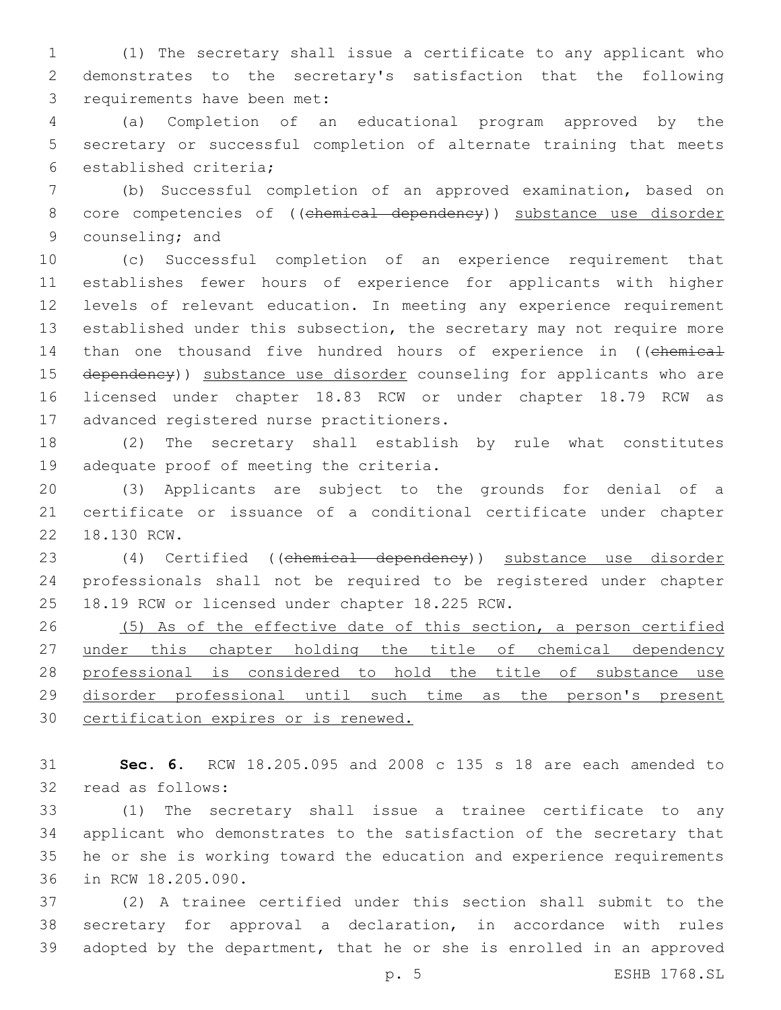1 (1) The secretary shall issue a certificate to any applicant who 2 demonstrates to the secretary's satisfaction that the following 3 requirements have been met:

4 (a) Completion of an educational program approved by the 5 secretary or successful completion of alternate training that meets 6 established criteria;

7 (b) Successful completion of an approved examination, based on 8 core competencies of ((chemical dependency)) substance use disorder 9 counseling; and

10 (c) Successful completion of an experience requirement that 11 establishes fewer hours of experience for applicants with higher 12 levels of relevant education. In meeting any experience requirement 13 established under this subsection, the secretary may not require more 14 than one thousand five hundred hours of experience in ((chemical 15 dependency)) substance use disorder counseling for applicants who are 16 licensed under chapter 18.83 RCW or under chapter 18.79 RCW as 17 advanced registered nurse practitioners.

18 (2) The secretary shall establish by rule what constitutes 19 adequate proof of meeting the criteria.

20 (3) Applicants are subject to the grounds for denial of a 21 certificate or issuance of a conditional certificate under chapter 22 18.130 RCW.

23 (4) Certified ((chemical dependency)) substance use disorder 24 professionals shall not be required to be registered under chapter 25 18.19 RCW or licensed under chapter 18.225 RCW.

26 (5) As of the effective date of this section, a person certified 27 under this chapter holding the title of chemical dependency 28 professional is considered to hold the title of substance use 29 disorder professional until such time as the person's present 30 certification expires or is renewed.

31 **Sec. 6.** RCW 18.205.095 and 2008 c 135 s 18 are each amended to 32 read as follows:

 (1) The secretary shall issue a trainee certificate to any applicant who demonstrates to the satisfaction of the secretary that he or she is working toward the education and experience requirements 36 in RCW 18.205.090.

37 (2) A trainee certified under this section shall submit to the 38 secretary for approval a declaration, in accordance with rules 39 adopted by the department, that he or she is enrolled in an approved

p. 5 ESHB 1768.SL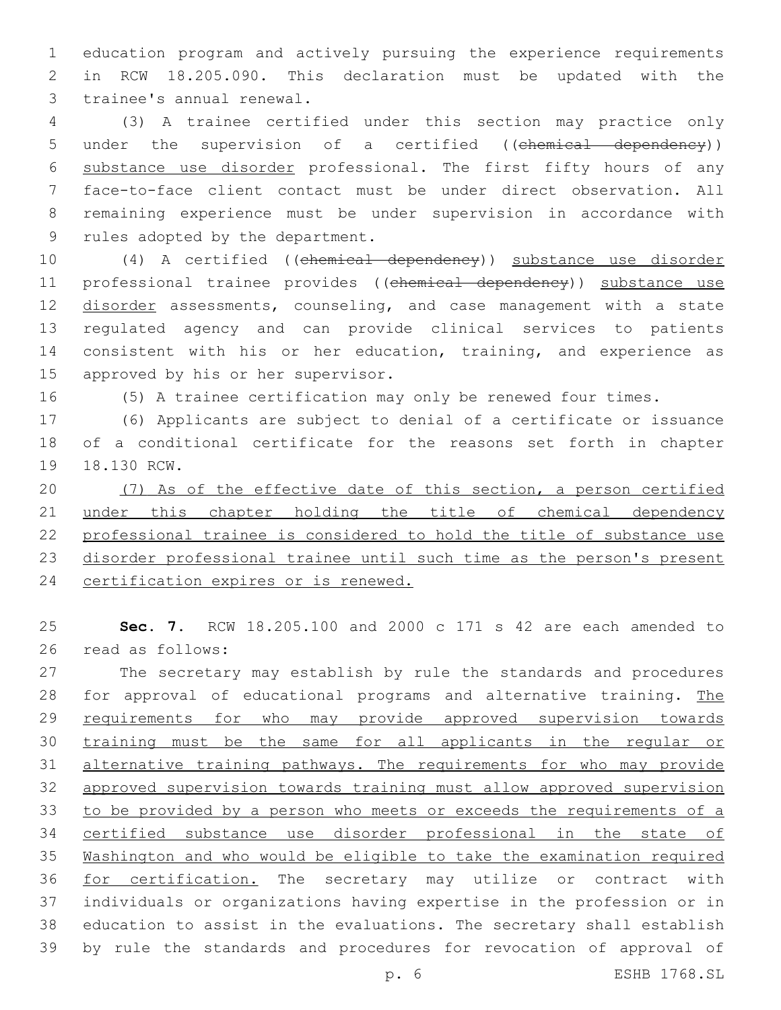education program and actively pursuing the experience requirements in RCW 18.205.090. This declaration must be updated with the 3 trainee's annual renewal.

 (3) A trainee certified under this section may practice only 5 under the supervision of a certified ((chemical dependency)) substance use disorder professional. The first fifty hours of any face-to-face client contact must be under direct observation. All remaining experience must be under supervision in accordance with 9 rules adopted by the department.

10 (4) A certified ((chemical dependency)) substance use disorder 11 professional trainee provides ((chemical dependency)) substance use 12 disorder assessments, counseling, and case management with a state regulated agency and can provide clinical services to patients consistent with his or her education, training, and experience as 15 approved by his or her supervisor.

(5) A trainee certification may only be renewed four times.

 (6) Applicants are subject to denial of a certificate or issuance of a conditional certificate for the reasons set forth in chapter 19 18.130 RCW.

 (7) As of the effective date of this section, a person certified 21 under this chapter holding the title of chemical dependency professional trainee is considered to hold the title of substance use disorder professional trainee until such time as the person's present certification expires or is renewed.

 **Sec. 7.** RCW 18.205.100 and 2000 c 171 s 42 are each amended to 26 read as follows:

 The secretary may establish by rule the standards and procedures 28 for approval of educational programs and alternative training. The 29 requirements for who may provide approved supervision towards training must be the same for all applicants in the regular or alternative training pathways. The requirements for who may provide approved supervision towards training must allow approved supervision to be provided by a person who meets or exceeds the requirements of a certified substance use disorder professional in the state of Washington and who would be eligible to take the examination required for certification. The secretary may utilize or contract with individuals or organizations having expertise in the profession or in education to assist in the evaluations. The secretary shall establish by rule the standards and procedures for revocation of approval of

p. 6 ESHB 1768.SL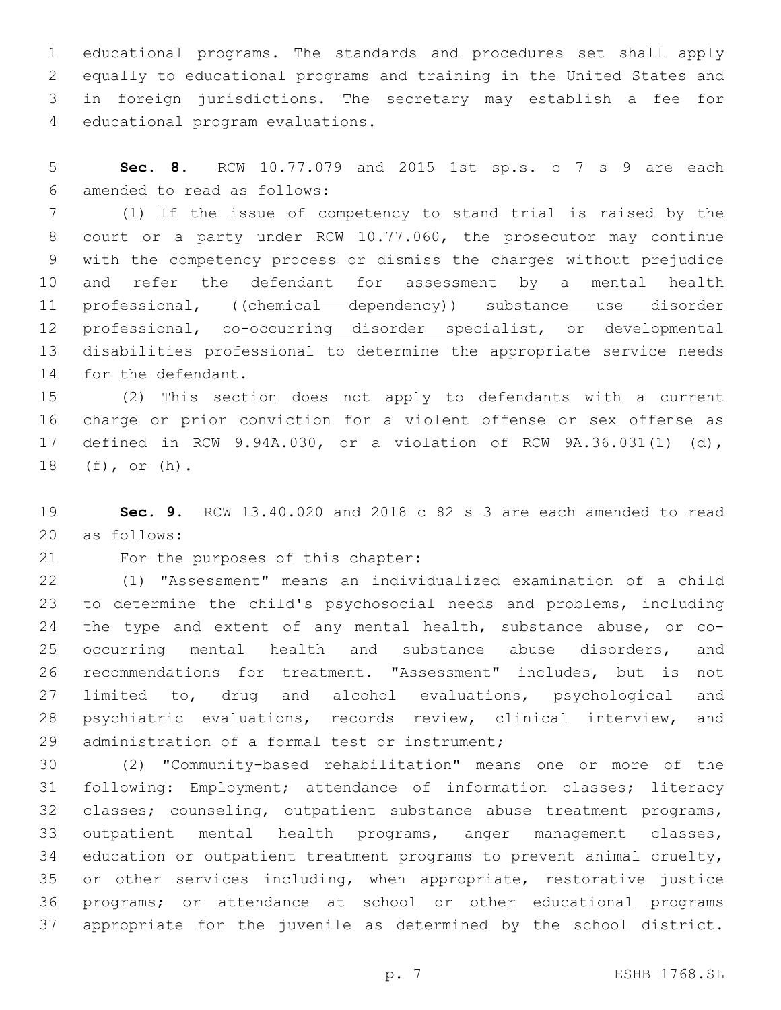educational programs. The standards and procedures set shall apply equally to educational programs and training in the United States and in foreign jurisdictions. The secretary may establish a fee for 4 educational program evaluations.

 **Sec. 8.** RCW 10.77.079 and 2015 1st sp.s. c 7 s 9 are each amended to read as follows:6

 (1) If the issue of competency to stand trial is raised by the court or a party under RCW 10.77.060, the prosecutor may continue with the competency process or dismiss the charges without prejudice and refer the defendant for assessment by a mental health 11 professional, ((chemical dependency)) substance use disorder professional, co-occurring disorder specialist, or developmental disabilities professional to determine the appropriate service needs 14 for the defendant.

 (2) This section does not apply to defendants with a current charge or prior conviction for a violent offense or sex offense as defined in RCW 9.94A.030, or a violation of RCW 9A.36.031(1) (d), 18 (f), or (h).

 **Sec. 9.** RCW 13.40.020 and 2018 c 82 s 3 are each amended to read as follows:20

21 For the purposes of this chapter:

 (1) "Assessment" means an individualized examination of a child to determine the child's psychosocial needs and problems, including the type and extent of any mental health, substance abuse, or co- occurring mental health and substance abuse disorders, and recommendations for treatment. "Assessment" includes, but is not limited to, drug and alcohol evaluations, psychological and psychiatric evaluations, records review, clinical interview, and 29 administration of a formal test or instrument;

 (2) "Community-based rehabilitation" means one or more of the following: Employment; attendance of information classes; literacy classes; counseling, outpatient substance abuse treatment programs, outpatient mental health programs, anger management classes, education or outpatient treatment programs to prevent animal cruelty, or other services including, when appropriate, restorative justice programs; or attendance at school or other educational programs appropriate for the juvenile as determined by the school district.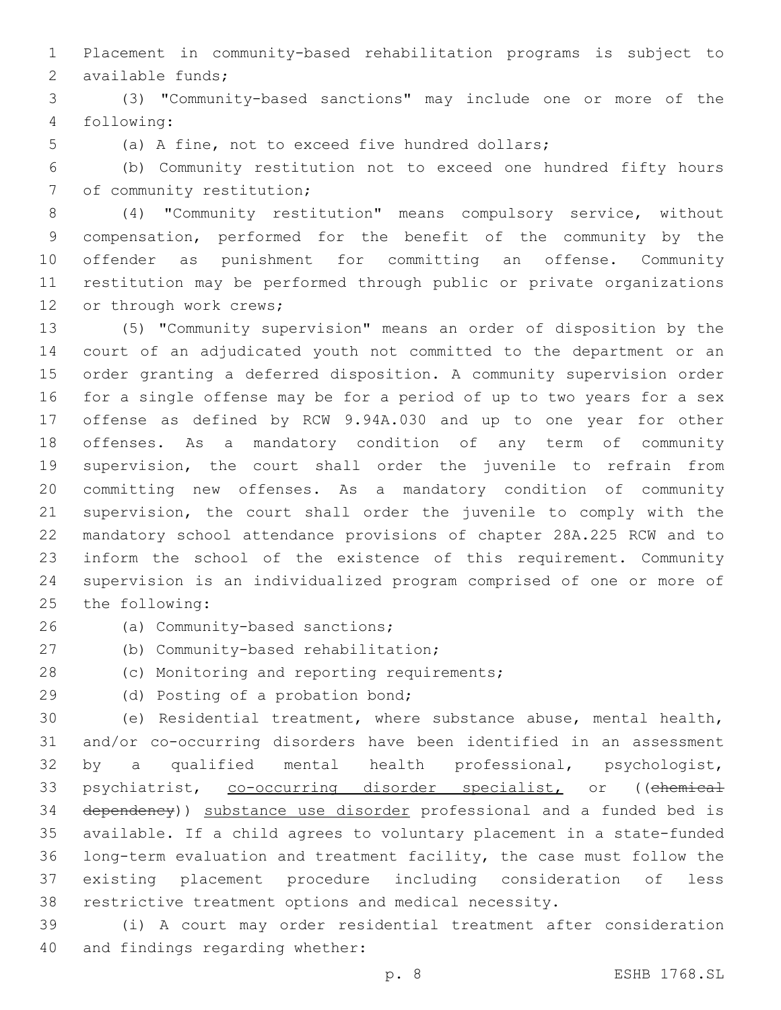Placement in community-based rehabilitation programs is subject to 2 available funds;

 (3) "Community-based sanctions" may include one or more of the following:4

(a) A fine, not to exceed five hundred dollars;

 (b) Community restitution not to exceed one hundred fifty hours 7 of community restitution;

 (4) "Community restitution" means compulsory service, without compensation, performed for the benefit of the community by the offender as punishment for committing an offense. Community restitution may be performed through public or private organizations 12 or through work crews;

 (5) "Community supervision" means an order of disposition by the court of an adjudicated youth not committed to the department or an order granting a deferred disposition. A community supervision order for a single offense may be for a period of up to two years for a sex offense as defined by RCW 9.94A.030 and up to one year for other offenses. As a mandatory condition of any term of community supervision, the court shall order the juvenile to refrain from committing new offenses. As a mandatory condition of community supervision, the court shall order the juvenile to comply with the mandatory school attendance provisions of chapter 28A.225 RCW and to inform the school of the existence of this requirement. Community supervision is an individualized program comprised of one or more of 25 the following:

(a) Community-based sanctions;26

27 (b) Community-based rehabilitation;

28 (c) Monitoring and reporting requirements;

29 (d) Posting of a probation bond;

 (e) Residential treatment, where substance abuse, mental health, and/or co-occurring disorders have been identified in an assessment by a qualified mental health professional, psychologist, 33 psychiatrist, co-occurring disorder specialist, or ((chemical dependency)) substance use disorder professional and a funded bed is available. If a child agrees to voluntary placement in a state-funded long-term evaluation and treatment facility, the case must follow the existing placement procedure including consideration of less restrictive treatment options and medical necessity.

 (i) A court may order residential treatment after consideration 40 and findings regarding whether: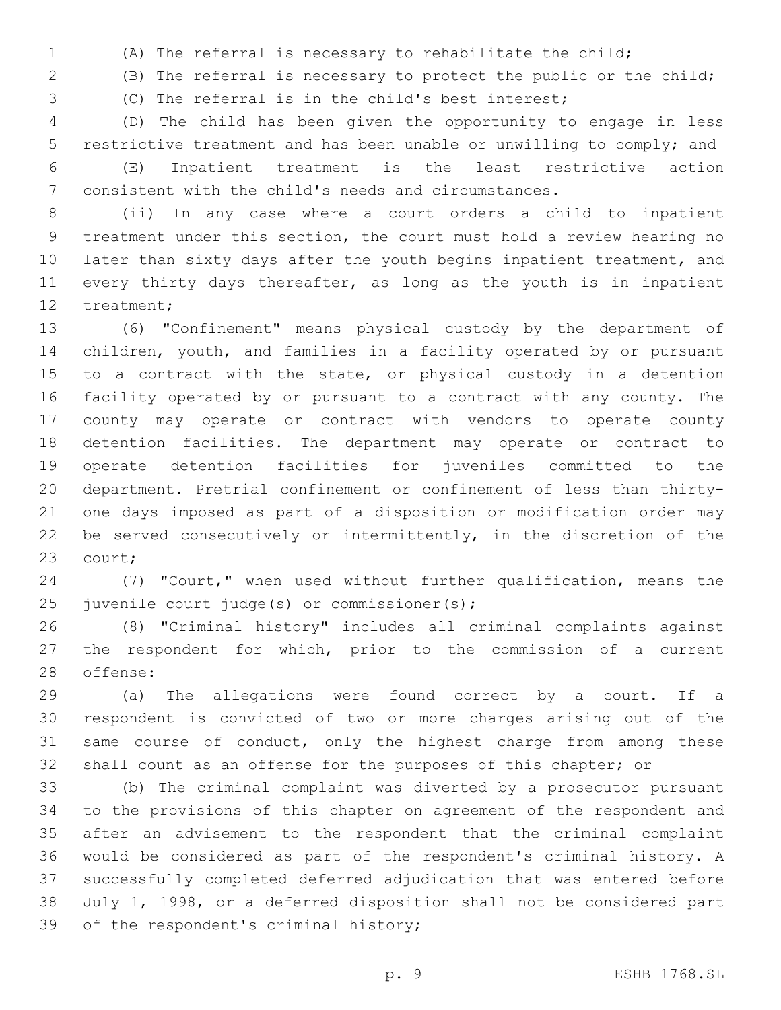(A) The referral is necessary to rehabilitate the child;

(B) The referral is necessary to protect the public or the child;

(C) The referral is in the child's best interest;

 (D) The child has been given the opportunity to engage in less restrictive treatment and has been unable or unwilling to comply; and

 (E) Inpatient treatment is the least restrictive action consistent with the child's needs and circumstances.

 (ii) In any case where a court orders a child to inpatient treatment under this section, the court must hold a review hearing no 10 later than sixty days after the youth begins inpatient treatment, and 11 every thirty days thereafter, as long as the youth is in inpatient 12 treatment;

 (6) "Confinement" means physical custody by the department of children, youth, and families in a facility operated by or pursuant 15 to a contract with the state, or physical custody in a detention facility operated by or pursuant to a contract with any county. The county may operate or contract with vendors to operate county detention facilities. The department may operate or contract to operate detention facilities for juveniles committed to the department. Pretrial confinement or confinement of less than thirty- one days imposed as part of a disposition or modification order may 22 be served consecutively or intermittently, in the discretion of the 23 court;

 (7) "Court," when used without further qualification, means the 25 juvenile court judge(s) or commissioner(s);

 (8) "Criminal history" includes all criminal complaints against the respondent for which, prior to the commission of a current 28 offense:

 (a) The allegations were found correct by a court. If a respondent is convicted of two or more charges arising out of the same course of conduct, only the highest charge from among these shall count as an offense for the purposes of this chapter; or

 (b) The criminal complaint was diverted by a prosecutor pursuant to the provisions of this chapter on agreement of the respondent and after an advisement to the respondent that the criminal complaint would be considered as part of the respondent's criminal history. A successfully completed deferred adjudication that was entered before July 1, 1998, or a deferred disposition shall not be considered part 39 of the respondent's criminal history;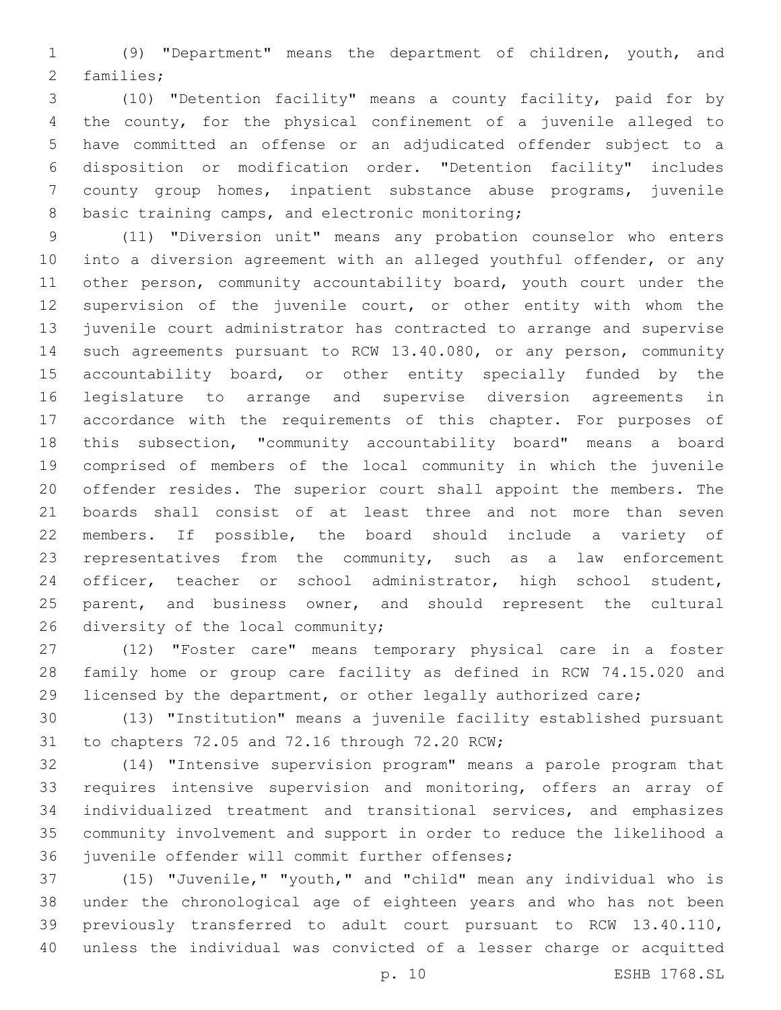(9) "Department" means the department of children, youth, and 2 families;

 (10) "Detention facility" means a county facility, paid for by the county, for the physical confinement of a juvenile alleged to have committed an offense or an adjudicated offender subject to a disposition or modification order. "Detention facility" includes county group homes, inpatient substance abuse programs, juvenile 8 basic training camps, and electronic monitoring;

 (11) "Diversion unit" means any probation counselor who enters into a diversion agreement with an alleged youthful offender, or any other person, community accountability board, youth court under the supervision of the juvenile court, or other entity with whom the juvenile court administrator has contracted to arrange and supervise such agreements pursuant to RCW 13.40.080, or any person, community 15 accountability board, or other entity specially funded by the legislature to arrange and supervise diversion agreements in accordance with the requirements of this chapter. For purposes of this subsection, "community accountability board" means a board comprised of members of the local community in which the juvenile offender resides. The superior court shall appoint the members. The boards shall consist of at least three and not more than seven members. If possible, the board should include a variety of representatives from the community, such as a law enforcement officer, teacher or school administrator, high school student, 25 parent, and business owner, and should represent the cultural 26 diversity of the local community;

 (12) "Foster care" means temporary physical care in a foster family home or group care facility as defined in RCW 74.15.020 and licensed by the department, or other legally authorized care;

 (13) "Institution" means a juvenile facility established pursuant 31 to chapters 72.05 and 72.16 through 72.20 RCW;

 (14) "Intensive supervision program" means a parole program that requires intensive supervision and monitoring, offers an array of individualized treatment and transitional services, and emphasizes community involvement and support in order to reduce the likelihood a 36 juvenile offender will commit further offenses;

 (15) "Juvenile," "youth," and "child" mean any individual who is under the chronological age of eighteen years and who has not been previously transferred to adult court pursuant to RCW 13.40.110, unless the individual was convicted of a lesser charge or acquitted

p. 10 ESHB 1768.SL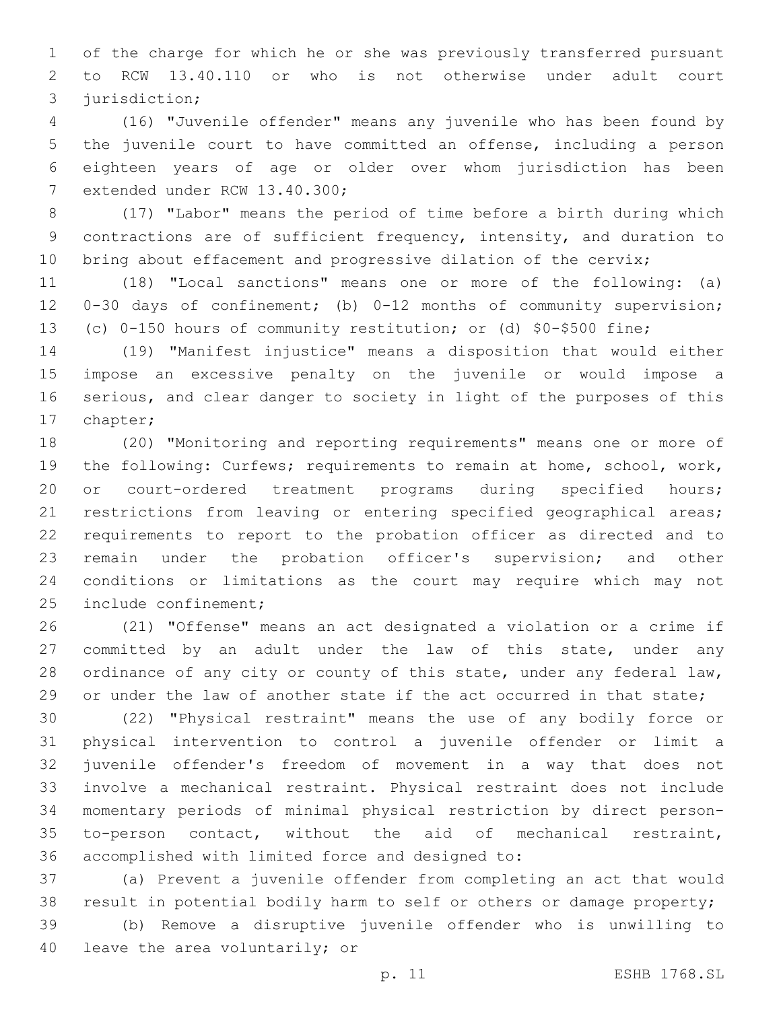of the charge for which he or she was previously transferred pursuant to RCW 13.40.110 or who is not otherwise under adult court 3 jurisdiction;

 (16) "Juvenile offender" means any juvenile who has been found by the juvenile court to have committed an offense, including a person eighteen years of age or older over whom jurisdiction has been 7 extended under RCW 13.40.300;

 (17) "Labor" means the period of time before a birth during which contractions are of sufficient frequency, intensity, and duration to 10 bring about effacement and progressive dilation of the cervix;

 (18) "Local sanctions" means one or more of the following: (a) 0-30 days of confinement; (b) 0-12 months of community supervision; (c) 0-150 hours of community restitution; or (d) \$0-\$500 fine;

 (19) "Manifest injustice" means a disposition that would either impose an excessive penalty on the juvenile or would impose a serious, and clear danger to society in light of the purposes of this 17 chapter;

 (20) "Monitoring and reporting requirements" means one or more of the following: Curfews; requirements to remain at home, school, work, or court-ordered treatment programs during specified hours; restrictions from leaving or entering specified geographical areas; requirements to report to the probation officer as directed and to remain under the probation officer's supervision; and other conditions or limitations as the court may require which may not 25 include confinement;

 (21) "Offense" means an act designated a violation or a crime if 27 committed by an adult under the law of this state, under any 28 ordinance of any city or county of this state, under any federal law, 29 or under the law of another state if the act occurred in that state;

 (22) "Physical restraint" means the use of any bodily force or physical intervention to control a juvenile offender or limit a juvenile offender's freedom of movement in a way that does not involve a mechanical restraint. Physical restraint does not include momentary periods of minimal physical restriction by direct person- to-person contact, without the aid of mechanical restraint, 36 accomplished with limited force and designed to:

 (a) Prevent a juvenile offender from completing an act that would result in potential bodily harm to self or others or damage property;

 (b) Remove a disruptive juvenile offender who is unwilling to 40 leave the area voluntarily; or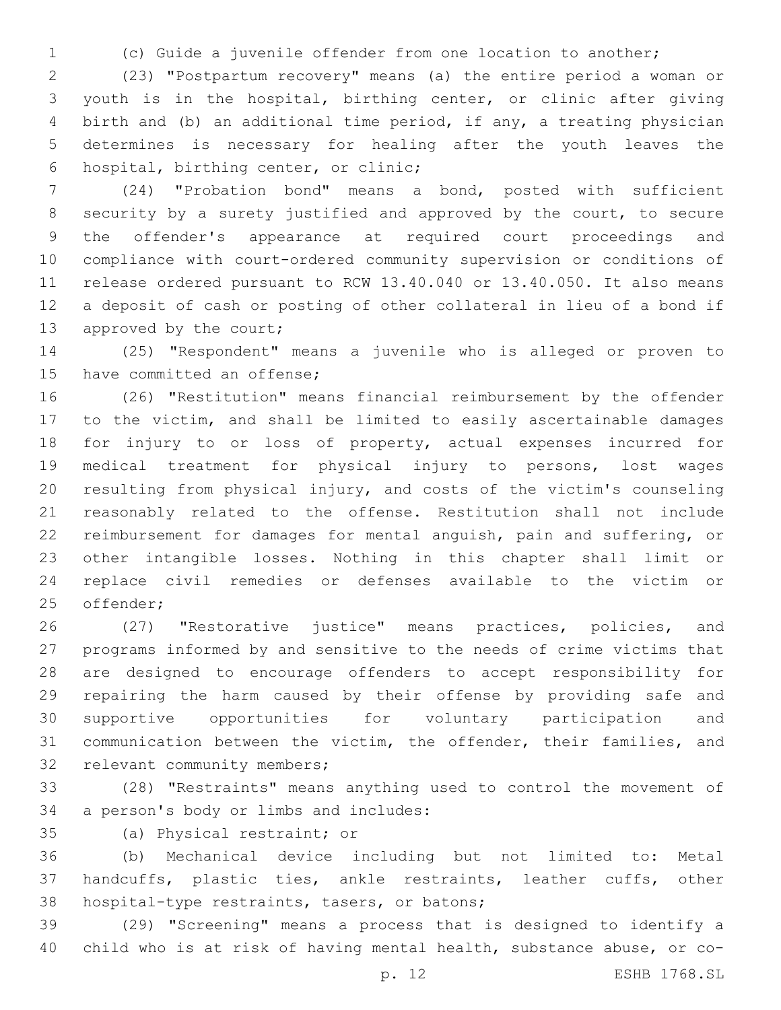(c) Guide a juvenile offender from one location to another;

 (23) "Postpartum recovery" means (a) the entire period a woman or youth is in the hospital, birthing center, or clinic after giving birth and (b) an additional time period, if any, a treating physician determines is necessary for healing after the youth leaves the 6 hospital, birthing center, or clinic;

 (24) "Probation bond" means a bond, posted with sufficient security by a surety justified and approved by the court, to secure the offender's appearance at required court proceedings and compliance with court-ordered community supervision or conditions of release ordered pursuant to RCW 13.40.040 or 13.40.050. It also means a deposit of cash or posting of other collateral in lieu of a bond if 13 approved by the court;

 (25) "Respondent" means a juvenile who is alleged or proven to 15 have committed an offense;

 (26) "Restitution" means financial reimbursement by the offender to the victim, and shall be limited to easily ascertainable damages for injury to or loss of property, actual expenses incurred for medical treatment for physical injury to persons, lost wages resulting from physical injury, and costs of the victim's counseling reasonably related to the offense. Restitution shall not include reimbursement for damages for mental anguish, pain and suffering, or other intangible losses. Nothing in this chapter shall limit or replace civil remedies or defenses available to the victim or 25 offender;

 (27) "Restorative justice" means practices, policies, and programs informed by and sensitive to the needs of crime victims that are designed to encourage offenders to accept responsibility for repairing the harm caused by their offense by providing safe and supportive opportunities for voluntary participation and communication between the victim, the offender, their families, and 32 relevant community members;

 (28) "Restraints" means anything used to control the movement of 34 a person's body or limbs and includes:

35 (a) Physical restraint; or

 (b) Mechanical device including but not limited to: Metal handcuffs, plastic ties, ankle restraints, leather cuffs, other 38 hospital-type restraints, tasers, or batons;

 (29) "Screening" means a process that is designed to identify a child who is at risk of having mental health, substance abuse, or co-

p. 12 ESHB 1768.SL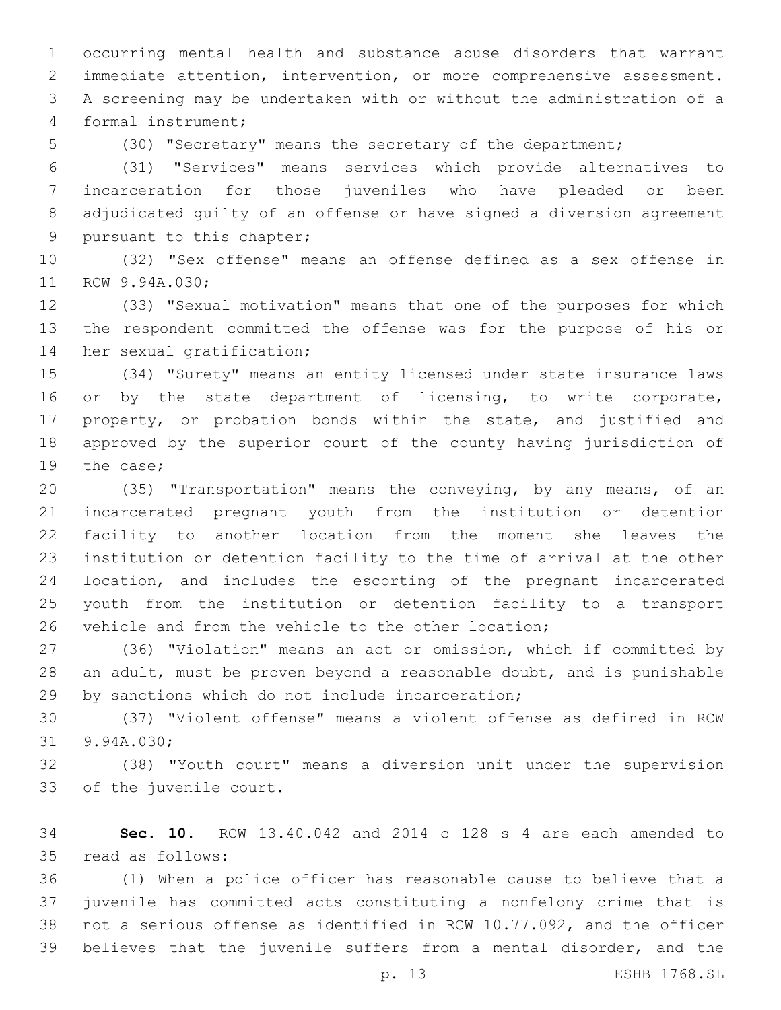occurring mental health and substance abuse disorders that warrant immediate attention, intervention, or more comprehensive assessment. A screening may be undertaken with or without the administration of a formal instrument;4

(30) "Secretary" means the secretary of the department;

 (31) "Services" means services which provide alternatives to incarceration for those juveniles who have pleaded or been adjudicated guilty of an offense or have signed a diversion agreement 9 pursuant to this chapter;

 (32) "Sex offense" means an offense defined as a sex offense in 11 RCW 9.94A.030;

 (33) "Sexual motivation" means that one of the purposes for which the respondent committed the offense was for the purpose of his or 14 her sexual gratification;

 (34) "Surety" means an entity licensed under state insurance laws 16 or by the state department of licensing, to write corporate, property, or probation bonds within the state, and justified and approved by the superior court of the county having jurisdiction of 19 the case;

 (35) "Transportation" means the conveying, by any means, of an incarcerated pregnant youth from the institution or detention facility to another location from the moment she leaves the institution or detention facility to the time of arrival at the other location, and includes the escorting of the pregnant incarcerated youth from the institution or detention facility to a transport 26 vehicle and from the vehicle to the other location;

 (36) "Violation" means an act or omission, which if committed by an adult, must be proven beyond a reasonable doubt, and is punishable 29 by sanctions which do not include incarceration;

 (37) "Violent offense" means a violent offense as defined in RCW 31 9.94A.030;

 (38) "Youth court" means a diversion unit under the supervision 33 of the juvenile court.

 **Sec. 10.** RCW 13.40.042 and 2014 c 128 s 4 are each amended to 35 read as follows:

 (1) When a police officer has reasonable cause to believe that a juvenile has committed acts constituting a nonfelony crime that is not a serious offense as identified in RCW 10.77.092, and the officer believes that the juvenile suffers from a mental disorder, and the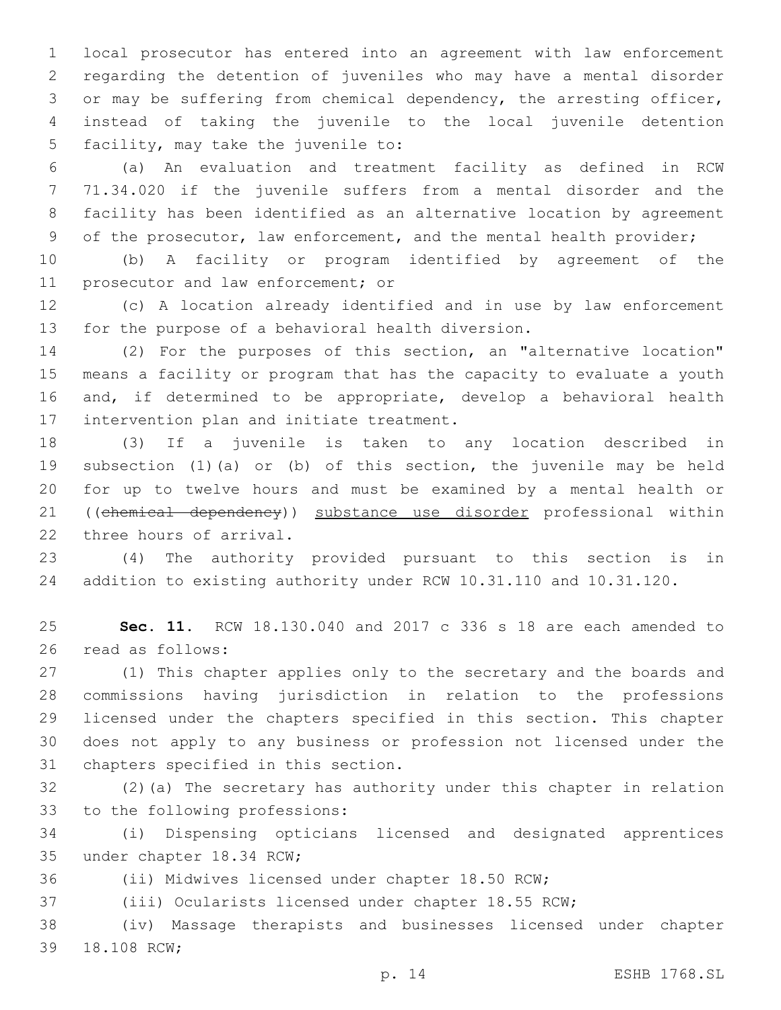local prosecutor has entered into an agreement with law enforcement regarding the detention of juveniles who may have a mental disorder or may be suffering from chemical dependency, the arresting officer, instead of taking the juvenile to the local juvenile detention 5 facility, may take the juvenile to:

 (a) An evaluation and treatment facility as defined in RCW 71.34.020 if the juvenile suffers from a mental disorder and the facility has been identified as an alternative location by agreement of the prosecutor, law enforcement, and the mental health provider;

 (b) A facility or program identified by agreement of the 11 prosecutor and law enforcement; or

 (c) A location already identified and in use by law enforcement 13 for the purpose of a behavioral health diversion.

 (2) For the purposes of this section, an "alternative location" means a facility or program that has the capacity to evaluate a youth and, if determined to be appropriate, develop a behavioral health 17 intervention plan and initiate treatment.

 (3) If a juvenile is taken to any location described in subsection (1)(a) or (b) of this section, the juvenile may be held for up to twelve hours and must be examined by a mental health or ((chemical dependency)) substance use disorder professional within 22 three hours of arrival.

 (4) The authority provided pursuant to this section is in addition to existing authority under RCW 10.31.110 and 10.31.120.

 **Sec. 11.** RCW 18.130.040 and 2017 c 336 s 18 are each amended to 26 read as follows:

 (1) This chapter applies only to the secretary and the boards and commissions having jurisdiction in relation to the professions licensed under the chapters specified in this section. This chapter does not apply to any business or profession not licensed under the 31 chapters specified in this section.

 (2)(a) The secretary has authority under this chapter in relation 33 to the following professions:

 (i) Dispensing opticians licensed and designated apprentices 35 under chapter 18.34 RCW;

(ii) Midwives licensed under chapter 18.50 RCW;

(iii) Ocularists licensed under chapter 18.55 RCW;

 (iv) Massage therapists and businesses licensed under chapter 39 18.108 RCW;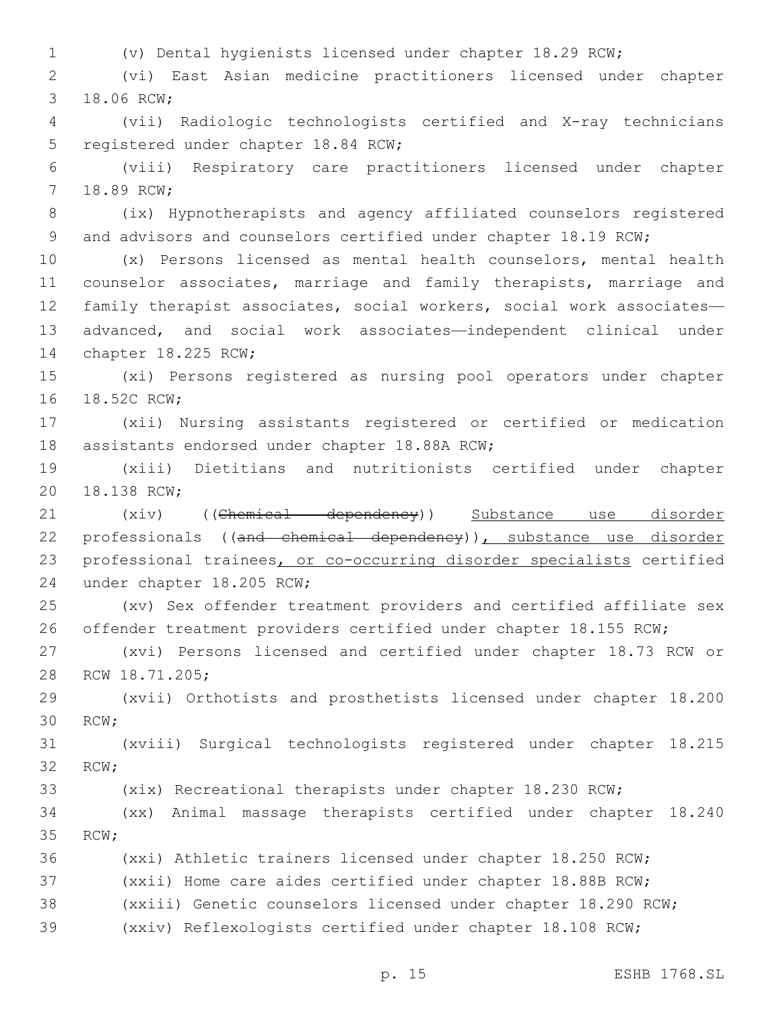1 (v) Dental hygienists licensed under chapter 18.29 RCW;

2 (vi) East Asian medicine practitioners licensed under chapter 3 18.06 RCW;

4 (vii) Radiologic technologists certified and X-ray technicians 5 registered under chapter 18.84 RCW;

6 (viii) Respiratory care practitioners licensed under chapter 7 18.89 RCW;

8 (ix) Hypnotherapists and agency affiliated counselors registered 9 and advisors and counselors certified under chapter 18.19 RCW;

 (x) Persons licensed as mental health counselors, mental health counselor associates, marriage and family therapists, marriage and family therapist associates, social workers, social work associates— advanced, and social work associates—independent clinical under 14 chapter 18.225 RCW;

15 (xi) Persons registered as nursing pool operators under chapter 16 18.52C RCW;

17 (xii) Nursing assistants registered or certified or medication 18 assistants endorsed under chapter 18.88A RCW;

19 (xiii) Dietitians and nutritionists certified under chapter 20 18.138 RCW;

21 (xiv) ((Chemical dependency)) Substance use disorder 22 professionals ((and chemical dependency)), substance use disorder 23 professional trainees, or co-occurring disorder specialists certified 24 under chapter 18.205 RCW;

25 (xv) Sex offender treatment providers and certified affiliate sex 26 offender treatment providers certified under chapter 18.155 RCW;

27 (xvi) Persons licensed and certified under chapter 18.73 RCW or 28 RCW 18.71.205;

29 (xvii) Orthotists and prosthetists licensed under chapter 18.200 30 RCW:

31 (xviii) Surgical technologists registered under chapter 18.215 32 RCW:

33 (xix) Recreational therapists under chapter 18.230 RCW;

34 (xx) Animal massage therapists certified under chapter 18.240 35 RCW;

36 (xxi) Athletic trainers licensed under chapter 18.250 RCW;

37 (xxii) Home care aides certified under chapter 18.88B RCW;

38 (xxiii) Genetic counselors licensed under chapter 18.290 RCW;

39 (xxiv) Reflexologists certified under chapter 18.108 RCW;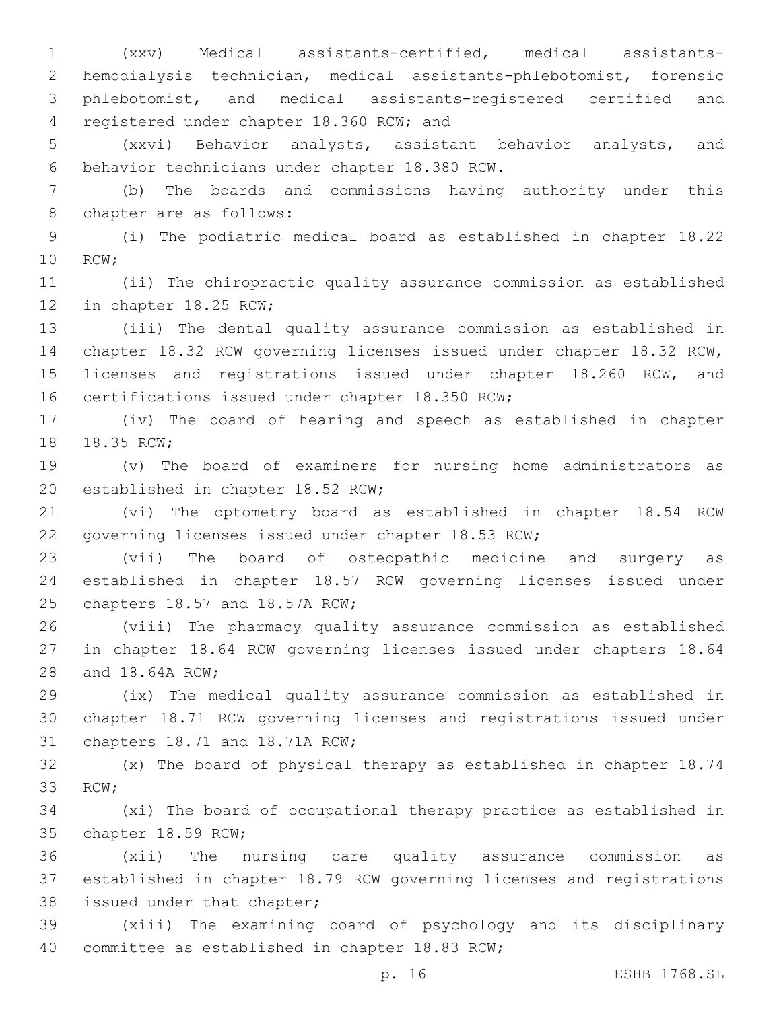(xxv) Medical assistants-certified, medical assistants- hemodialysis technician, medical assistants-phlebotomist, forensic phlebotomist, and medical assistants-registered certified and 4 registered under chapter 18.360 RCW; and

5 (xxvi) Behavior analysts, assistant behavior analysts, and behavior technicians under chapter 18.380 RCW.6

7 (b) The boards and commissions having authority under this 8 chapter are as follows:

9 (i) The podiatric medical board as established in chapter 18.22 10 RCW;

11 (ii) The chiropractic quality assurance commission as established 12 in chapter 18.25 RCW;

13 (iii) The dental quality assurance commission as established in 14 chapter 18.32 RCW governing licenses issued under chapter 18.32 RCW, 15 licenses and registrations issued under chapter 18.260 RCW, and 16 certifications issued under chapter 18.350 RCW;

17 (iv) The board of hearing and speech as established in chapter 18.35 RCW;

19 (v) The board of examiners for nursing home administrators as 20 established in chapter 18.52 RCW;

21 (vi) The optometry board as established in chapter 18.54 RCW 22 governing licenses issued under chapter 18.53 RCW;

23 (vii) The board of osteopathic medicine and surgery as 24 established in chapter 18.57 RCW governing licenses issued under 25 chapters 18.57 and 18.57A RCW;

26 (viii) The pharmacy quality assurance commission as established 27 in chapter 18.64 RCW governing licenses issued under chapters 18.64 28 and 18.64A RCW;

29 (ix) The medical quality assurance commission as established in 30 chapter 18.71 RCW governing licenses and registrations issued under 31 chapters 18.71 and 18.71A RCW;

32 (x) The board of physical therapy as established in chapter 18.74 33 RCW;

34 (xi) The board of occupational therapy practice as established in 35 chapter 18.59 RCW;

36 (xii) The nursing care quality assurance commission as 37 established in chapter 18.79 RCW governing licenses and registrations 38 issued under that chapter;

39 (xiii) The examining board of psychology and its disciplinary 40 committee as established in chapter 18.83 RCW;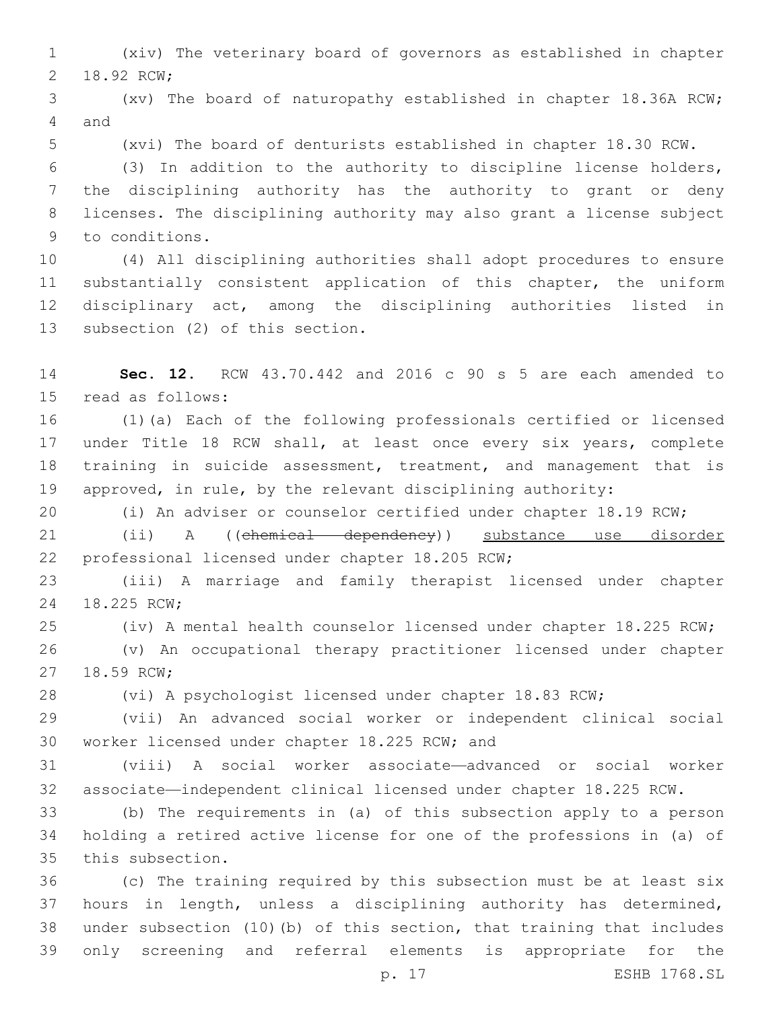(xiv) The veterinary board of governors as established in chapter 2 18.92 RCW;

 (xv) The board of naturopathy established in chapter 18.36A RCW; 4 and

(xvi) The board of denturists established in chapter 18.30 RCW.

 (3) In addition to the authority to discipline license holders, the disciplining authority has the authority to grant or deny licenses. The disciplining authority may also grant a license subject 9 to conditions.

 (4) All disciplining authorities shall adopt procedures to ensure 11 substantially consistent application of this chapter, the uniform disciplinary act, among the disciplining authorities listed in 13 subsection (2) of this section.

 **Sec. 12.** RCW 43.70.442 and 2016 c 90 s 5 are each amended to 15 read as follows:

 (1)(a) Each of the following professionals certified or licensed 17 under Title 18 RCW shall, at least once every six years, complete training in suicide assessment, treatment, and management that is approved, in rule, by the relevant disciplining authority:

(i) An adviser or counselor certified under chapter 18.19 RCW;

 (ii) A ((chemical dependency)) substance use disorder 22 professional licensed under chapter 18.205 RCW;

 (iii) A marriage and family therapist licensed under chapter 24 18.225 RCW;

(iv) A mental health counselor licensed under chapter 18.225 RCW;

 (v) An occupational therapy practitioner licensed under chapter 27 18.59 RCW;

(vi) A psychologist licensed under chapter 18.83 RCW;

 (vii) An advanced social worker or independent clinical social 30 worker licensed under chapter 18.225 RCW; and

 (viii) A social worker associate—advanced or social worker associate—independent clinical licensed under chapter 18.225 RCW.

 (b) The requirements in (a) of this subsection apply to a person holding a retired active license for one of the professions in (a) of 35 this subsection.

 (c) The training required by this subsection must be at least six hours in length, unless a disciplining authority has determined, under subsection (10)(b) of this section, that training that includes only screening and referral elements is appropriate for the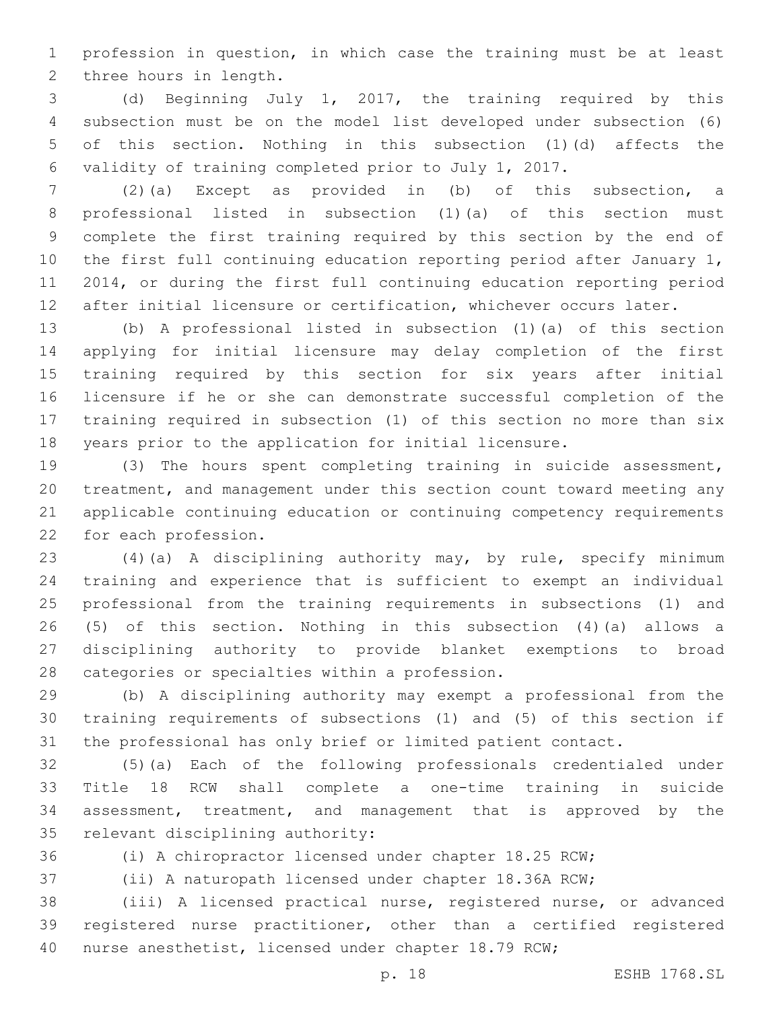profession in question, in which case the training must be at least 2 three hours in length.

 (d) Beginning July 1, 2017, the training required by this subsection must be on the model list developed under subsection (6) of this section. Nothing in this subsection (1)(d) affects the validity of training completed prior to July 1, 2017.

 (2)(a) Except as provided in (b) of this subsection, a professional listed in subsection (1)(a) of this section must complete the first training required by this section by the end of the first full continuing education reporting period after January 1, 2014, or during the first full continuing education reporting period after initial licensure or certification, whichever occurs later.

 (b) A professional listed in subsection (1)(a) of this section applying for initial licensure may delay completion of the first training required by this section for six years after initial licensure if he or she can demonstrate successful completion of the training required in subsection (1) of this section no more than six years prior to the application for initial licensure.

 (3) The hours spent completing training in suicide assessment, treatment, and management under this section count toward meeting any applicable continuing education or continuing competency requirements 22 for each profession.

 (4)(a) A disciplining authority may, by rule, specify minimum training and experience that is sufficient to exempt an individual professional from the training requirements in subsections (1) and (5) of this section. Nothing in this subsection (4)(a) allows a disciplining authority to provide blanket exemptions to broad 28 categories or specialties within a profession.

 (b) A disciplining authority may exempt a professional from the training requirements of subsections (1) and (5) of this section if the professional has only brief or limited patient contact.

 (5)(a) Each of the following professionals credentialed under Title 18 RCW shall complete a one-time training in suicide assessment, treatment, and management that is approved by the 35 relevant disciplining authority:

(i) A chiropractor licensed under chapter 18.25 RCW;

(ii) A naturopath licensed under chapter 18.36A RCW;

 (iii) A licensed practical nurse, registered nurse, or advanced registered nurse practitioner, other than a certified registered nurse anesthetist, licensed under chapter 18.79 RCW;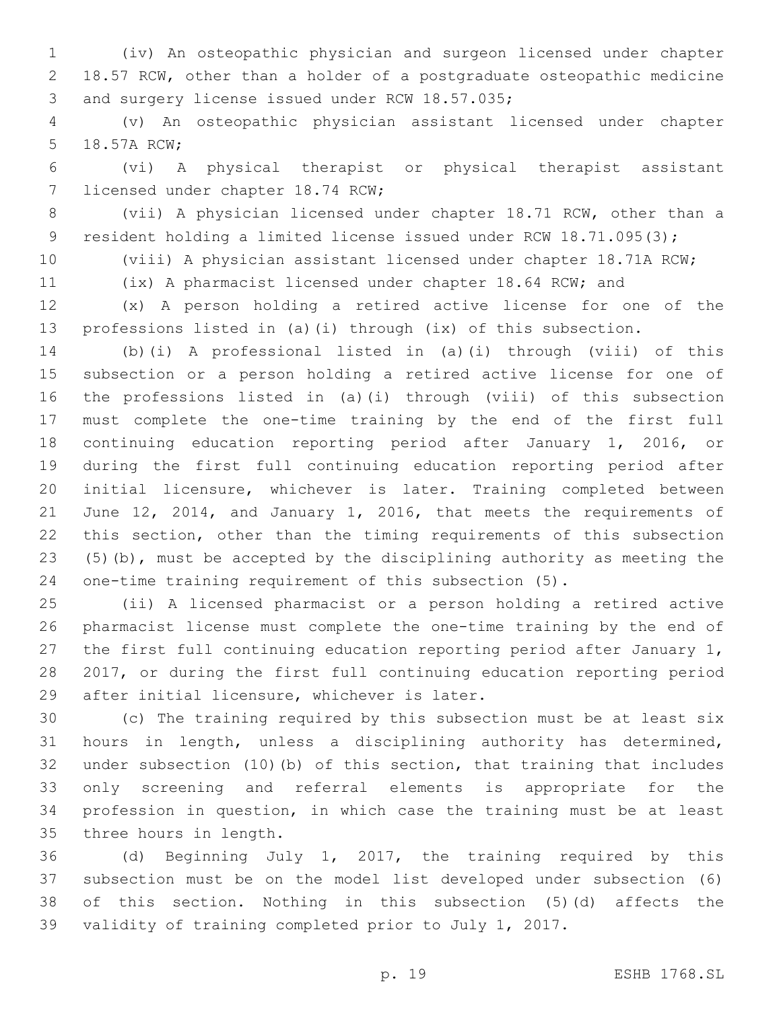(iv) An osteopathic physician and surgeon licensed under chapter 18.57 RCW, other than a holder of a postgraduate osteopathic medicine 3 and surgery license issued under RCW 18.57.035;

 (v) An osteopathic physician assistant licensed under chapter 5 18.57A RCW;

 (vi) A physical therapist or physical therapist assistant 7 licensed under chapter 18.74 RCW;

 (vii) A physician licensed under chapter 18.71 RCW, other than a 9 resident holding a limited license issued under RCW 18.71.095(3);

(viii) A physician assistant licensed under chapter 18.71A RCW;

(ix) A pharmacist licensed under chapter 18.64 RCW; and

 (x) A person holding a retired active license for one of the professions listed in (a)(i) through (ix) of this subsection.

 (b)(i) A professional listed in (a)(i) through (viii) of this subsection or a person holding a retired active license for one of the professions listed in (a)(i) through (viii) of this subsection must complete the one-time training by the end of the first full continuing education reporting period after January 1, 2016, or during the first full continuing education reporting period after initial licensure, whichever is later. Training completed between June 12, 2014, and January 1, 2016, that meets the requirements of this section, other than the timing requirements of this subsection (5)(b), must be accepted by the disciplining authority as meeting the one-time training requirement of this subsection (5).

 (ii) A licensed pharmacist or a person holding a retired active pharmacist license must complete the one-time training by the end of the first full continuing education reporting period after January 1, 2017, or during the first full continuing education reporting period 29 after initial licensure, whichever is later.

 (c) The training required by this subsection must be at least six hours in length, unless a disciplining authority has determined, under subsection (10)(b) of this section, that training that includes only screening and referral elements is appropriate for the profession in question, in which case the training must be at least 35 three hours in length.

 (d) Beginning July 1, 2017, the training required by this subsection must be on the model list developed under subsection (6) of this section. Nothing in this subsection (5)(d) affects the validity of training completed prior to July 1, 2017.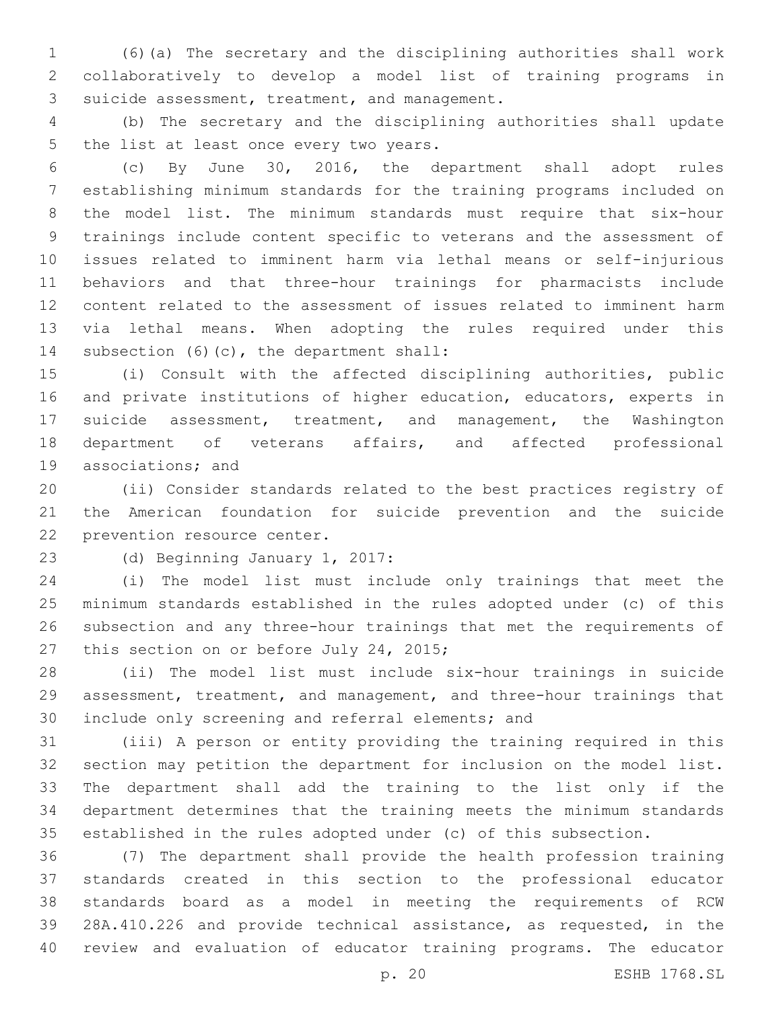(6)(a) The secretary and the disciplining authorities shall work collaboratively to develop a model list of training programs in 3 suicide assessment, treatment, and management.

 (b) The secretary and the disciplining authorities shall update 5 the list at least once every two years.

 (c) By June 30, 2016, the department shall adopt rules establishing minimum standards for the training programs included on the model list. The minimum standards must require that six-hour trainings include content specific to veterans and the assessment of issues related to imminent harm via lethal means or self-injurious behaviors and that three-hour trainings for pharmacists include content related to the assessment of issues related to imminent harm via lethal means. When adopting the rules required under this 14 subsection  $(6)(c)$ , the department shall:

 (i) Consult with the affected disciplining authorities, public and private institutions of higher education, educators, experts in suicide assessment, treatment, and management, the Washington department of veterans affairs, and affected professional 19 associations; and

 (ii) Consider standards related to the best practices registry of the American foundation for suicide prevention and the suicide 22 prevention resource center.

23 (d) Beginning January 1, 2017:

 (i) The model list must include only trainings that meet the minimum standards established in the rules adopted under (c) of this subsection and any three-hour trainings that met the requirements of 27 this section on or before July 24, 2015;

 (ii) The model list must include six-hour trainings in suicide assessment, treatment, and management, and three-hour trainings that 30 include only screening and referral elements; and

 (iii) A person or entity providing the training required in this section may petition the department for inclusion on the model list. The department shall add the training to the list only if the department determines that the training meets the minimum standards established in the rules adopted under (c) of this subsection.

 (7) The department shall provide the health profession training standards created in this section to the professional educator standards board as a model in meeting the requirements of RCW 28A.410.226 and provide technical assistance, as requested, in the review and evaluation of educator training programs. The educator

p. 20 ESHB 1768.SL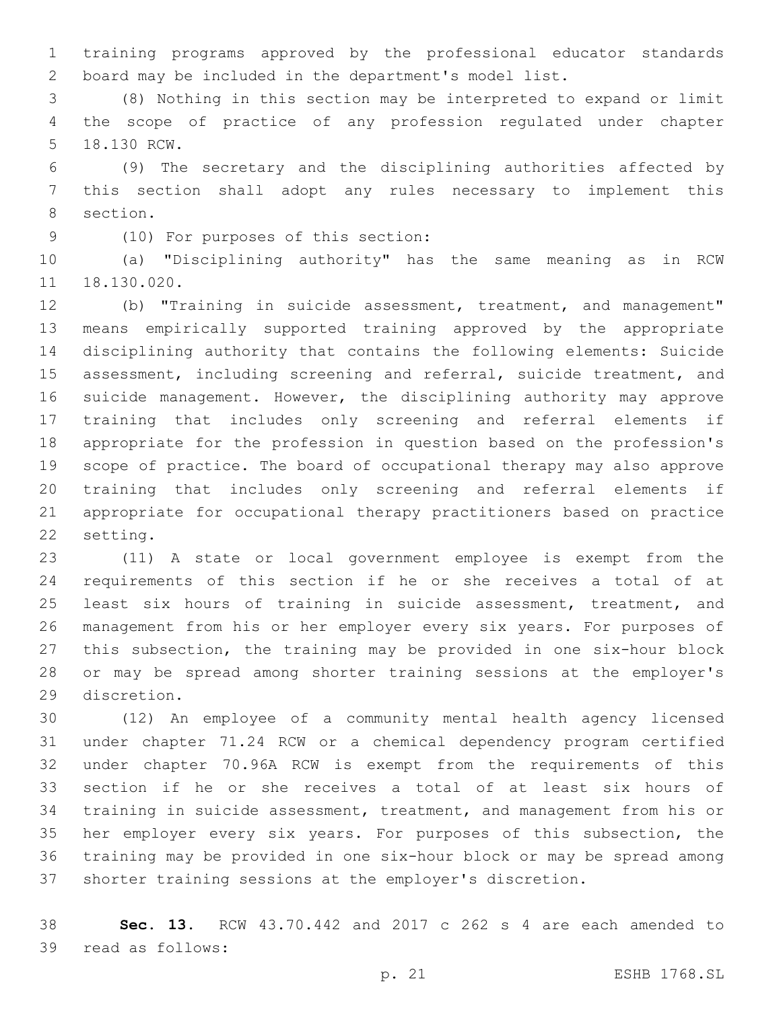training programs approved by the professional educator standards board may be included in the department's model list.

 (8) Nothing in this section may be interpreted to expand or limit the scope of practice of any profession regulated under chapter 5 18.130 RCW.

 (9) The secretary and the disciplining authorities affected by this section shall adopt any rules necessary to implement this 8 section.

(10) For purposes of this section:9

 (a) "Disciplining authority" has the same meaning as in RCW 18.130.020.

 (b) "Training in suicide assessment, treatment, and management" means empirically supported training approved by the appropriate disciplining authority that contains the following elements: Suicide assessment, including screening and referral, suicide treatment, and suicide management. However, the disciplining authority may approve training that includes only screening and referral elements if appropriate for the profession in question based on the profession's scope of practice. The board of occupational therapy may also approve training that includes only screening and referral elements if appropriate for occupational therapy practitioners based on practice 22 setting.

 (11) A state or local government employee is exempt from the requirements of this section if he or she receives a total of at 25 least six hours of training in suicide assessment, treatment, and management from his or her employer every six years. For purposes of this subsection, the training may be provided in one six-hour block or may be spread among shorter training sessions at the employer's 29 discretion.

 (12) An employee of a community mental health agency licensed under chapter 71.24 RCW or a chemical dependency program certified under chapter 70.96A RCW is exempt from the requirements of this section if he or she receives a total of at least six hours of training in suicide assessment, treatment, and management from his or her employer every six years. For purposes of this subsection, the training may be provided in one six-hour block or may be spread among shorter training sessions at the employer's discretion.

 **Sec. 13.** RCW 43.70.442 and 2017 c 262 s 4 are each amended to 39 read as follows: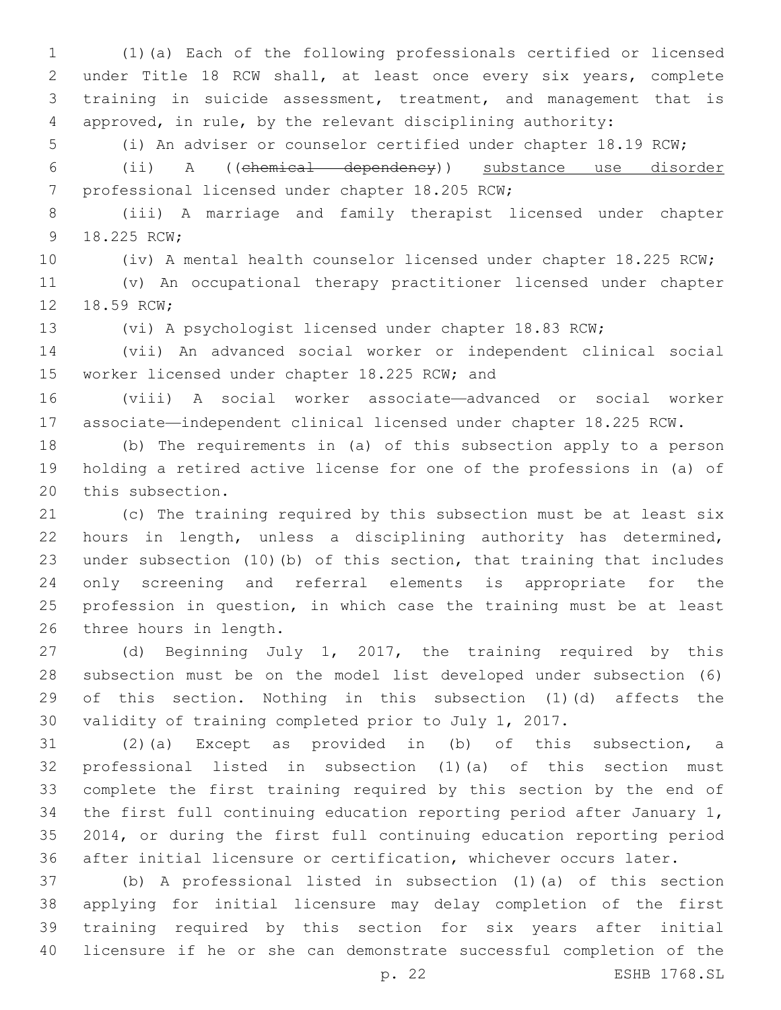(1)(a) Each of the following professionals certified or licensed under Title 18 RCW shall, at least once every six years, complete training in suicide assessment, treatment, and management that is approved, in rule, by the relevant disciplining authority:

(i) An adviser or counselor certified under chapter 18.19 RCW;

 (ii) A ((chemical dependency)) substance use disorder 7 professional licensed under chapter 18.205 RCW;

 (iii) A marriage and family therapist licensed under chapter 9 18.225 RCW;

(iv) A mental health counselor licensed under chapter 18.225 RCW;

 (v) An occupational therapy practitioner licensed under chapter 12 18.59 RCW;

(vi) A psychologist licensed under chapter 18.83 RCW;

 (vii) An advanced social worker or independent clinical social 15 worker licensed under chapter 18.225 RCW; and

 (viii) A social worker associate—advanced or social worker associate—independent clinical licensed under chapter 18.225 RCW.

 (b) The requirements in (a) of this subsection apply to a person holding a retired active license for one of the professions in (a) of 20 this subsection.

 (c) The training required by this subsection must be at least six hours in length, unless a disciplining authority has determined, under subsection (10)(b) of this section, that training that includes only screening and referral elements is appropriate for the profession in question, in which case the training must be at least 26 three hours in length.

 (d) Beginning July 1, 2017, the training required by this subsection must be on the model list developed under subsection (6) of this section. Nothing in this subsection (1)(d) affects the validity of training completed prior to July 1, 2017.

 (2)(a) Except as provided in (b) of this subsection, a professional listed in subsection (1)(a) of this section must complete the first training required by this section by the end of the first full continuing education reporting period after January 1, 2014, or during the first full continuing education reporting period after initial licensure or certification, whichever occurs later.

 (b) A professional listed in subsection (1)(a) of this section applying for initial licensure may delay completion of the first training required by this section for six years after initial licensure if he or she can demonstrate successful completion of the

p. 22 ESHB 1768.SL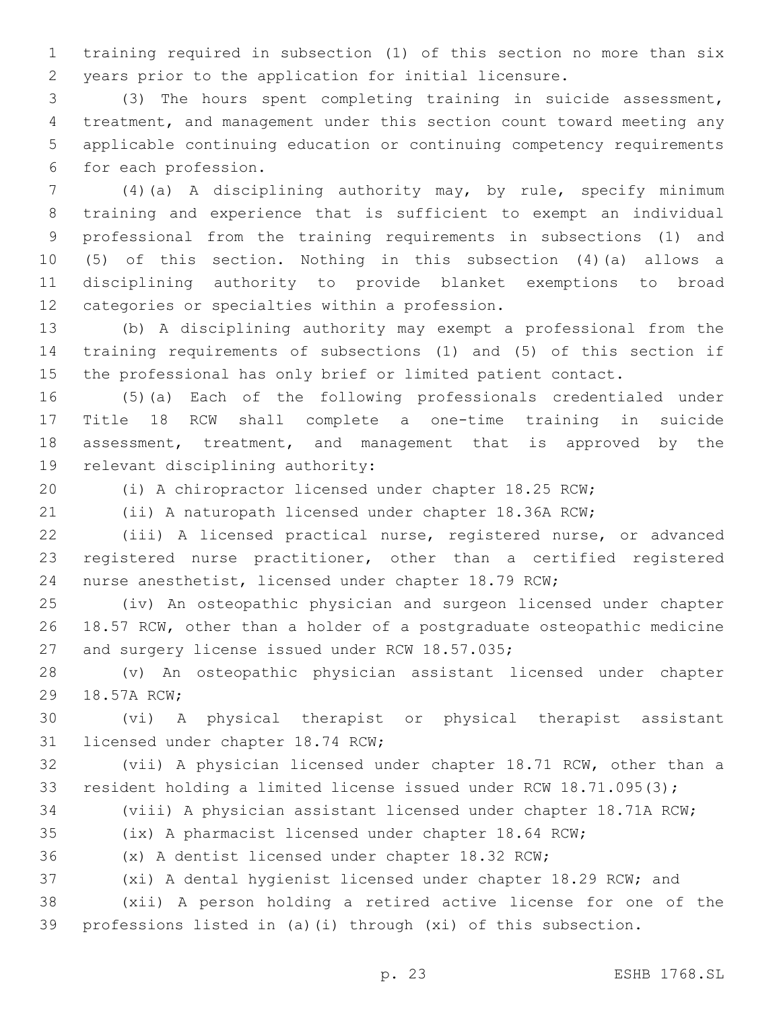training required in subsection (1) of this section no more than six years prior to the application for initial licensure.

 (3) The hours spent completing training in suicide assessment, treatment, and management under this section count toward meeting any applicable continuing education or continuing competency requirements 6 for each profession.

 (4)(a) A disciplining authority may, by rule, specify minimum training and experience that is sufficient to exempt an individual professional from the training requirements in subsections (1) and (5) of this section. Nothing in this subsection (4)(a) allows a disciplining authority to provide blanket exemptions to broad 12 categories or specialties within a profession.

 (b) A disciplining authority may exempt a professional from the training requirements of subsections (1) and (5) of this section if the professional has only brief or limited patient contact.

 (5)(a) Each of the following professionals credentialed under Title 18 RCW shall complete a one-time training in suicide assessment, treatment, and management that is approved by the 19 relevant disciplining authority:

(i) A chiropractor licensed under chapter 18.25 RCW;

(ii) A naturopath licensed under chapter 18.36A RCW;

 (iii) A licensed practical nurse, registered nurse, or advanced registered nurse practitioner, other than a certified registered nurse anesthetist, licensed under chapter 18.79 RCW;

 (iv) An osteopathic physician and surgeon licensed under chapter 18.57 RCW, other than a holder of a postgraduate osteopathic medicine 27 and surgery license issued under RCW 18.57.035;

 (v) An osteopathic physician assistant licensed under chapter 29 18.57A RCW;

 (vi) A physical therapist or physical therapist assistant 31 licensed under chapter 18.74 RCW;

 (vii) A physician licensed under chapter 18.71 RCW, other than a resident holding a limited license issued under RCW 18.71.095(3);

(viii) A physician assistant licensed under chapter 18.71A RCW;

(ix) A pharmacist licensed under chapter 18.64 RCW;

(x) A dentist licensed under chapter 18.32 RCW;

(xi) A dental hygienist licensed under chapter 18.29 RCW; and

 (xii) A person holding a retired active license for one of the professions listed in (a)(i) through (xi) of this subsection.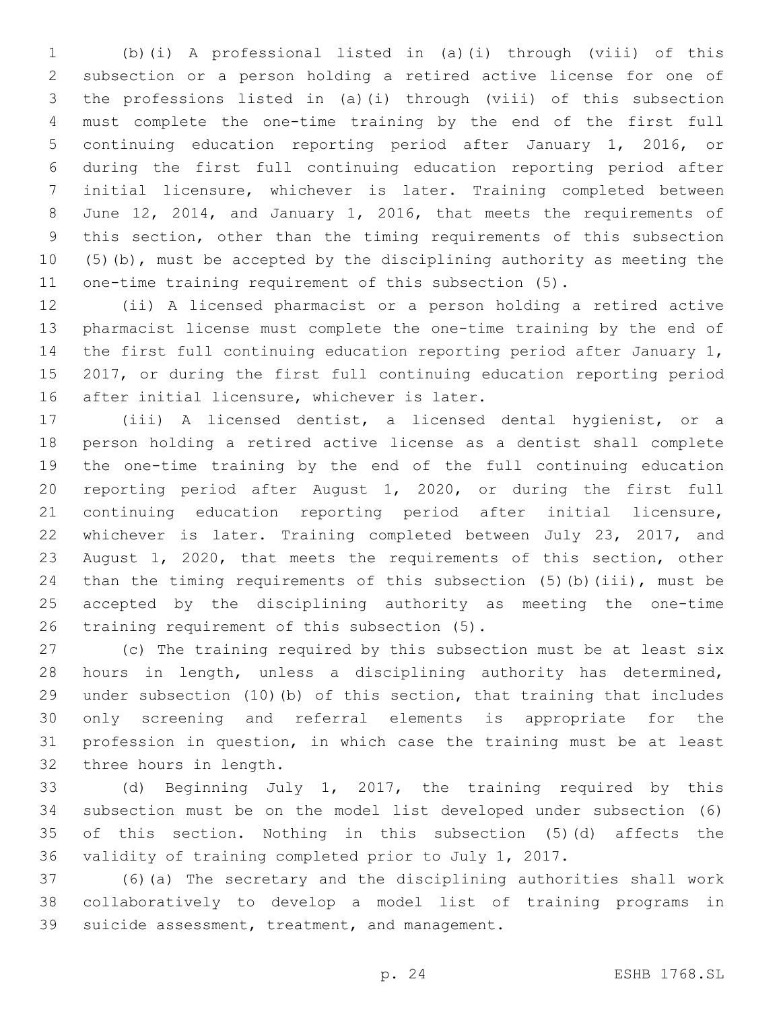(b)(i) A professional listed in (a)(i) through (viii) of this subsection or a person holding a retired active license for one of the professions listed in (a)(i) through (viii) of this subsection must complete the one-time training by the end of the first full continuing education reporting period after January 1, 2016, or during the first full continuing education reporting period after initial licensure, whichever is later. Training completed between June 12, 2014, and January 1, 2016, that meets the requirements of this section, other than the timing requirements of this subsection (5)(b), must be accepted by the disciplining authority as meeting the one-time training requirement of this subsection (5).

 (ii) A licensed pharmacist or a person holding a retired active pharmacist license must complete the one-time training by the end of the first full continuing education reporting period after January 1, 2017, or during the first full continuing education reporting period 16 after initial licensure, whichever is later.

 (iii) A licensed dentist, a licensed dental hygienist, or a person holding a retired active license as a dentist shall complete the one-time training by the end of the full continuing education reporting period after August 1, 2020, or during the first full continuing education reporting period after initial licensure, whichever is later. Training completed between July 23, 2017, and August 1, 2020, that meets the requirements of this section, other than the timing requirements of this subsection (5)(b)(iii), must be accepted by the disciplining authority as meeting the one-time 26 training requirement of this subsection  $(5)$ .

 (c) The training required by this subsection must be at least six hours in length, unless a disciplining authority has determined, under subsection (10)(b) of this section, that training that includes only screening and referral elements is appropriate for the profession in question, in which case the training must be at least 32 three hours in length.

 (d) Beginning July 1, 2017, the training required by this subsection must be on the model list developed under subsection (6) of this section. Nothing in this subsection (5)(d) affects the validity of training completed prior to July 1, 2017.

 (6)(a) The secretary and the disciplining authorities shall work collaboratively to develop a model list of training programs in 39 suicide assessment, treatment, and management.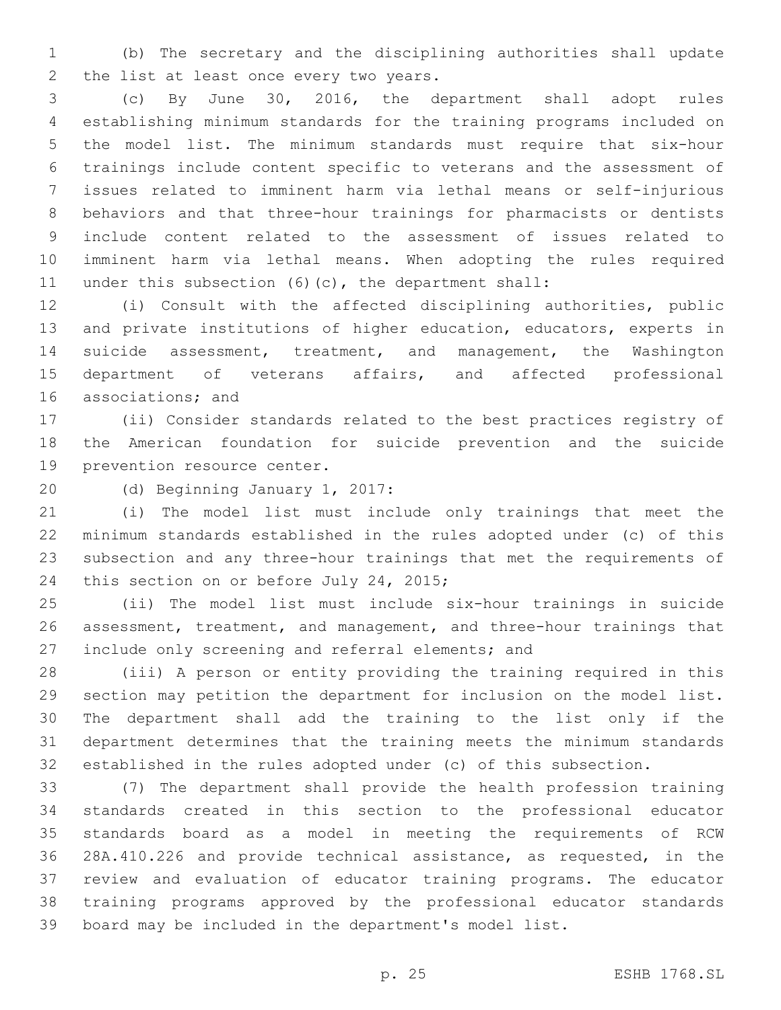(b) The secretary and the disciplining authorities shall update 2 the list at least once every two years.

 (c) By June 30, 2016, the department shall adopt rules establishing minimum standards for the training programs included on the model list. The minimum standards must require that six-hour trainings include content specific to veterans and the assessment of issues related to imminent harm via lethal means or self-injurious behaviors and that three-hour trainings for pharmacists or dentists include content related to the assessment of issues related to imminent harm via lethal means. When adopting the rules required under this subsection (6)(c), the department shall:

 (i) Consult with the affected disciplining authorities, public and private institutions of higher education, educators, experts in suicide assessment, treatment, and management, the Washington department of veterans affairs, and affected professional 16 associations; and

 (ii) Consider standards related to the best practices registry of the American foundation for suicide prevention and the suicide 19 prevention resource center.

20 (d) Beginning January 1, 2017:

 (i) The model list must include only trainings that meet the minimum standards established in the rules adopted under (c) of this subsection and any three-hour trainings that met the requirements of 24 this section on or before July 24, 2015;

 (ii) The model list must include six-hour trainings in suicide assessment, treatment, and management, and three-hour trainings that 27 include only screening and referral elements; and

 (iii) A person or entity providing the training required in this section may petition the department for inclusion on the model list. The department shall add the training to the list only if the department determines that the training meets the minimum standards established in the rules adopted under (c) of this subsection.

 (7) The department shall provide the health profession training standards created in this section to the professional educator standards board as a model in meeting the requirements of RCW 28A.410.226 and provide technical assistance, as requested, in the review and evaluation of educator training programs. The educator training programs approved by the professional educator standards board may be included in the department's model list.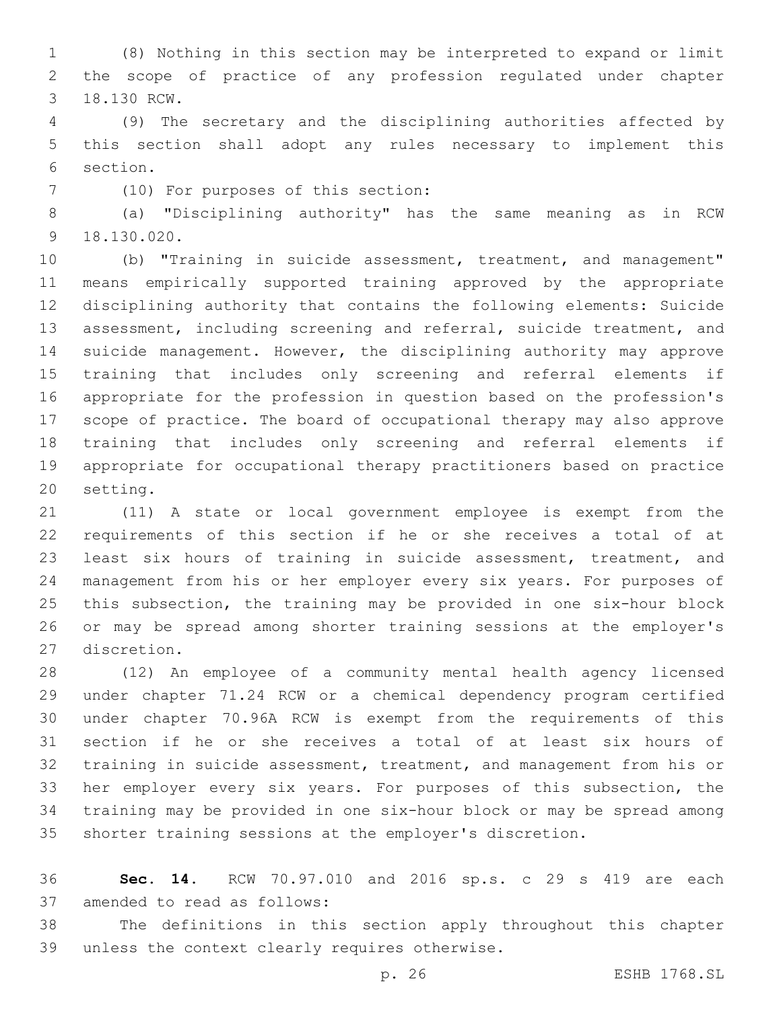(8) Nothing in this section may be interpreted to expand or limit the scope of practice of any profession regulated under chapter 3 18.130 RCW.

 (9) The secretary and the disciplining authorities affected by this section shall adopt any rules necessary to implement this 6 section.

(10) For purposes of this section:7

 (a) "Disciplining authority" has the same meaning as in RCW 18.130.020.9

 (b) "Training in suicide assessment, treatment, and management" means empirically supported training approved by the appropriate disciplining authority that contains the following elements: Suicide assessment, including screening and referral, suicide treatment, and suicide management. However, the disciplining authority may approve training that includes only screening and referral elements if appropriate for the profession in question based on the profession's scope of practice. The board of occupational therapy may also approve training that includes only screening and referral elements if appropriate for occupational therapy practitioners based on practice 20 setting.

 (11) A state or local government employee is exempt from the requirements of this section if he or she receives a total of at least six hours of training in suicide assessment, treatment, and management from his or her employer every six years. For purposes of this subsection, the training may be provided in one six-hour block or may be spread among shorter training sessions at the employer's 27 discretion.

 (12) An employee of a community mental health agency licensed under chapter 71.24 RCW or a chemical dependency program certified under chapter 70.96A RCW is exempt from the requirements of this section if he or she receives a total of at least six hours of training in suicide assessment, treatment, and management from his or her employer every six years. For purposes of this subsection, the training may be provided in one six-hour block or may be spread among shorter training sessions at the employer's discretion.

 **Sec. 14.** RCW 70.97.010 and 2016 sp.s. c 29 s 419 are each 37 amended to read as follows:

 The definitions in this section apply throughout this chapter 39 unless the context clearly requires otherwise.

p. 26 ESHB 1768.SL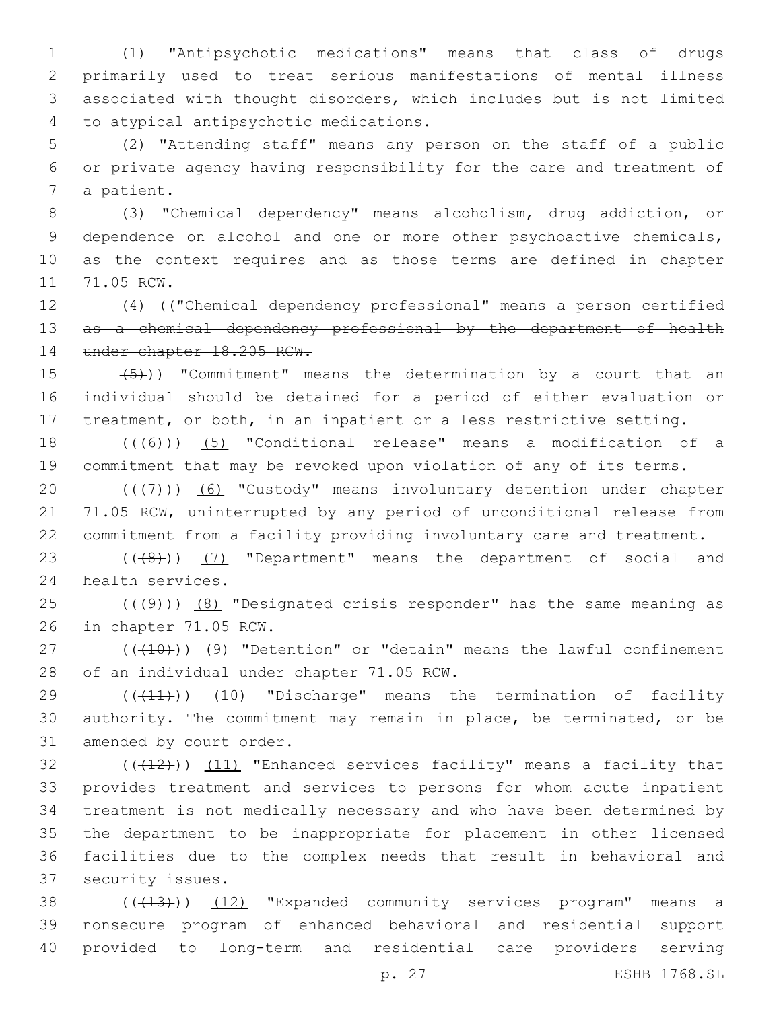(1) "Antipsychotic medications" means that class of drugs primarily used to treat serious manifestations of mental illness associated with thought disorders, which includes but is not limited to atypical antipsychotic medications.4

5 (2) "Attending staff" means any person on the staff of a public 6 or private agency having responsibility for the care and treatment of 7 a patient.

 (3) "Chemical dependency" means alcoholism, drug addiction, or dependence on alcohol and one or more other psychoactive chemicals, as the context requires and as those terms are defined in chapter 11 71.05 RCW.

12 (4) (("Chemical dependency professional" means a person certified 13 as a chemical dependency professional by the department of health 14 under chapter 18.205 RCW.

15  $(5)$ )) "Commitment" means the determination by a court that an 16 individual should be detained for a period of either evaluation or 17 treatment, or both, in an inpatient or a less restrictive setting.

18 ((+6)) (5) "Conditional release" means a modification of a 19 commitment that may be revoked upon violation of any of its terms.

20  $((+7+))$  (6) "Custody" means involuntary detention under chapter 21 71.05 RCW, uninterrupted by any period of unconditional release from 22 commitment from a facility providing involuntary care and treatment.

23 (((8)) (7) "Department" means the department of social and 24 health services.

25  $((+9)$ )  $(8)$  "Designated crisis responder" has the same meaning as 26 in chapter 71.05 RCW.

27 (((410)) (9) "Detention" or "detain" means the lawful confinement 28 of an individual under chapter 71.05 RCW.

29  $((+11))$  (10) "Discharge" means the termination of facility 30 authority. The commitment may remain in place, be terminated, or be 31 amended by court order.

 $(1)$   $(1)$   $(11)$  "Enhanced services facility" means a facility that provides treatment and services to persons for whom acute inpatient treatment is not medically necessary and who have been determined by the department to be inappropriate for placement in other licensed facilities due to the complex needs that result in behavioral and 37 security issues.

38 ((+13))) (12) "Expanded community services program" means a 39 nonsecure program of enhanced behavioral and residential support 40 provided to long-term and residential care providers serving

p. 27 ESHB 1768.SL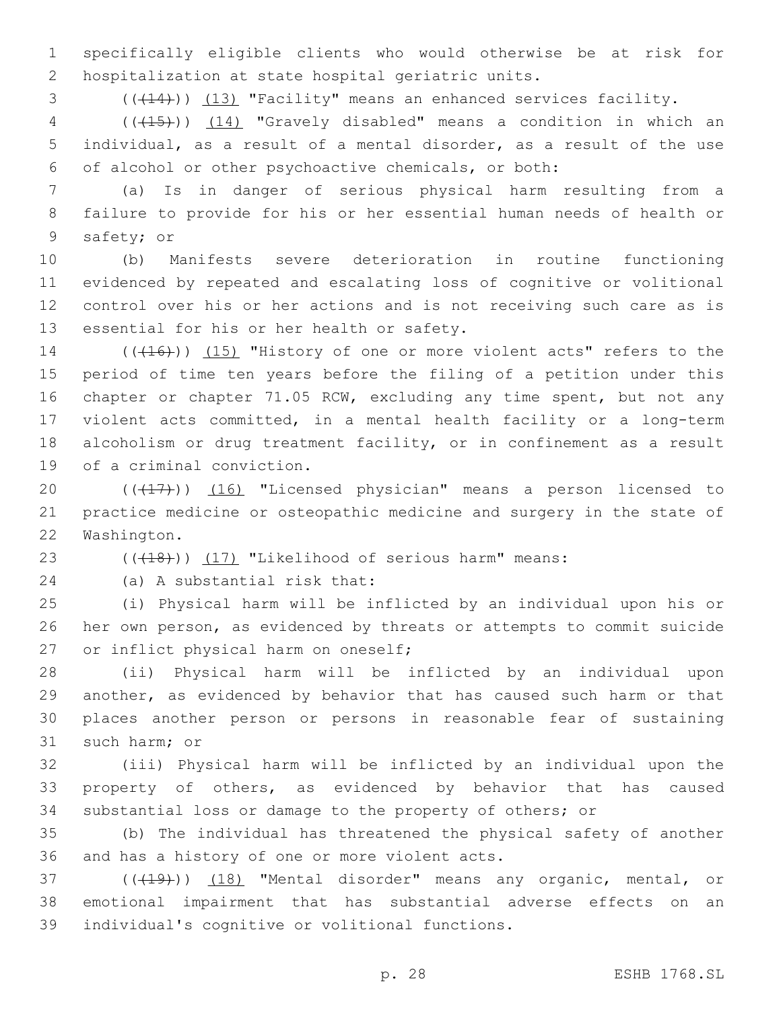1 specifically eligible clients who would otherwise be at risk for 2 hospitalization at state hospital geriatric units.

3 (( $(14)$ )) (13) "Facility" means an enhanced services facility.

4 (((15))) (14) "Gravely disabled" means a condition in which an 5 individual, as a result of a mental disorder, as a result of the use 6 of alcohol or other psychoactive chemicals, or both:

7 (a) Is in danger of serious physical harm resulting from a 8 failure to provide for his or her essential human needs of health or 9 safety; or

 (b) Manifests severe deterioration in routine functioning evidenced by repeated and escalating loss of cognitive or volitional control over his or her actions and is not receiving such care as is 13 essential for his or her health or safety.

14 (((416))) (15) "History of one or more violent acts" refers to the period of time ten years before the filing of a petition under this chapter or chapter 71.05 RCW, excluding any time spent, but not any violent acts committed, in a mental health facility or a long-term alcoholism or drug treatment facility, or in confinement as a result 19 of a criminal conviction.

20 (((17))) (16) "Licensed physician" means a person licensed to 21 practice medicine or osteopathic medicine and surgery in the state of 22 Washington.

23 (((418))) (17) "Likelihood of serious harm" means:

(a) A substantial risk that:24

25 (i) Physical harm will be inflicted by an individual upon his or 26 her own person, as evidenced by threats or attempts to commit suicide 27 or inflict physical harm on oneself;

 (ii) Physical harm will be inflicted by an individual upon another, as evidenced by behavior that has caused such harm or that places another person or persons in reasonable fear of sustaining 31 such harm; or

32 (iii) Physical harm will be inflicted by an individual upon the 33 property of others, as evidenced by behavior that has caused 34 substantial loss or damage to the property of others; or

35 (b) The individual has threatened the physical safety of another 36 and has a history of one or more violent acts.

37 (((19))) (18) "Mental disorder" means any organic, mental, or 38 emotional impairment that has substantial adverse effects on an 39 individual's cognitive or volitional functions.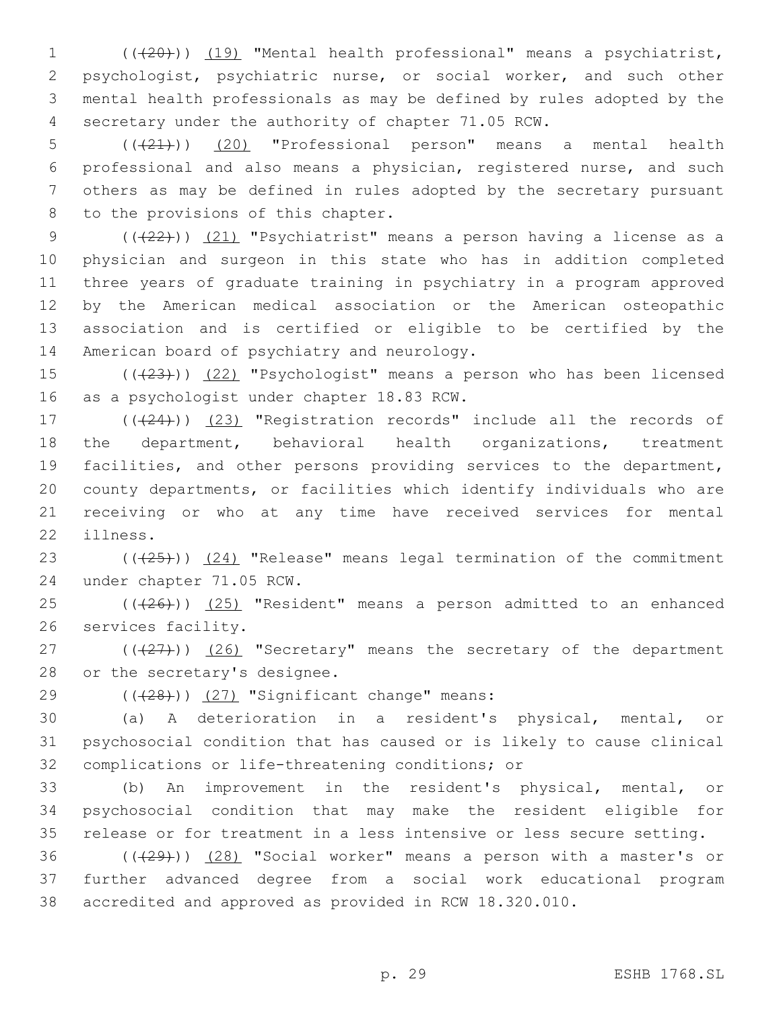(((20))) (19) "Mental health professional" means a psychiatrist, psychologist, psychiatric nurse, or social worker, and such other mental health professionals as may be defined by rules adopted by the secretary under the authority of chapter 71.05 RCW.

 (((21))) (20) "Professional person" means a mental health professional and also means a physician, registered nurse, and such others as may be defined in rules adopted by the secretary pursuant 8 to the provisions of this chapter.

9 (( $(22)$ )) (21) "Psychiatrist" means a person having a license as a physician and surgeon in this state who has in addition completed three years of graduate training in psychiatry in a program approved by the American medical association or the American osteopathic association and is certified or eligible to be certified by the 14 American board of psychiatry and neurology.

15 (( $(23)$ )) (22) "Psychologist" means a person who has been licensed 16 as a psychologist under chapter 18.83 RCW.

17 (((24))) (23) "Registration records" include all the records of the department, behavioral health organizations, treatment facilities, and other persons providing services to the department, county departments, or facilities which identify individuals who are receiving or who at any time have received services for mental 22 illness.

23 (((25))) (24) "Release" means legal termination of the commitment 24 under chapter 71.05 RCW.

 $25$  ( $(\overline{+26})$ )  $(25)$  "Resident" means a person admitted to an enhanced 26 services facility.

27 (((27))) (26) "Secretary" means the secretary of the department 28 or the secretary's designee.

 $(428)$ ) (27) "Significant change" means:

30 (a) A deterioration in a resident's physical, mental, or 31 psychosocial condition that has caused or is likely to cause clinical 32 complications or life-threatening conditions; or

33 (b) An improvement in the resident's physical, mental, or 34 psychosocial condition that may make the resident eligible for 35 release or for treatment in a less intensive or less secure setting.

36  $((+29))$   $(28)$  "Social worker" means a person with a master's or 37 further advanced degree from a social work educational program 38 accredited and approved as provided in RCW 18.320.010.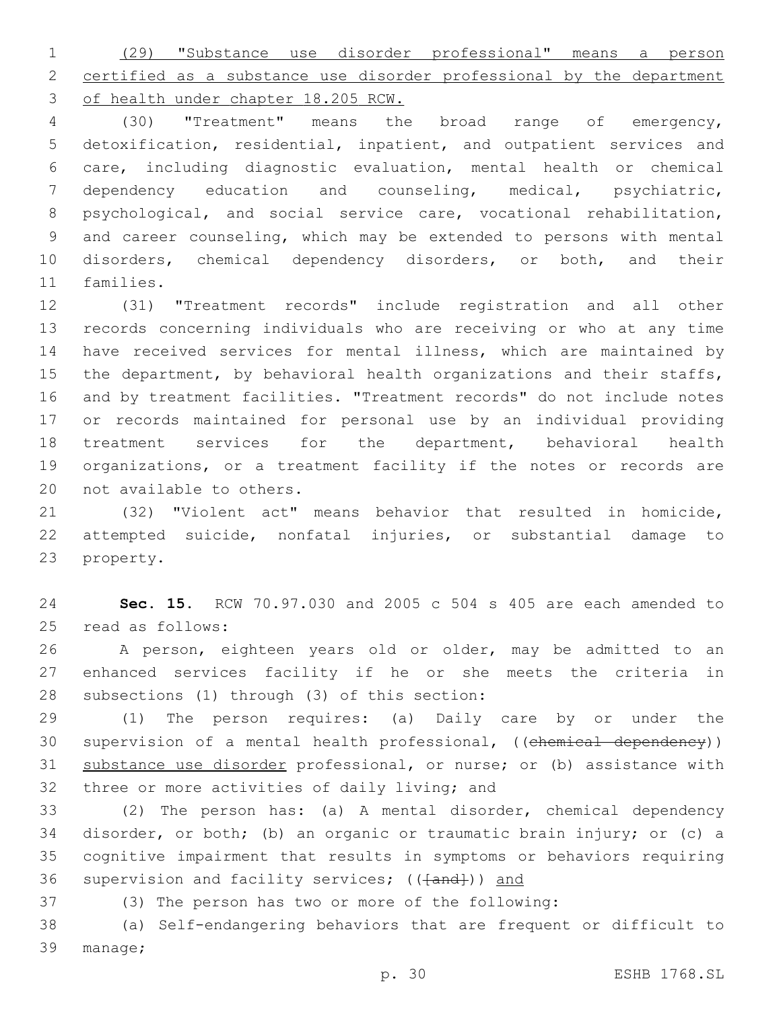(29) "Substance use disorder professional" means a person certified as a substance use disorder professional by the department of health under chapter 18.205 RCW.

 (30) "Treatment" means the broad range of emergency, detoxification, residential, inpatient, and outpatient services and care, including diagnostic evaluation, mental health or chemical dependency education and counseling, medical, psychiatric, psychological, and social service care, vocational rehabilitation, and career counseling, which may be extended to persons with mental disorders, chemical dependency disorders, or both, and their 11 families.

 (31) "Treatment records" include registration and all other records concerning individuals who are receiving or who at any time have received services for mental illness, which are maintained by 15 the department, by behavioral health organizations and their staffs, and by treatment facilities. "Treatment records" do not include notes or records maintained for personal use by an individual providing treatment services for the department, behavioral health organizations, or a treatment facility if the notes or records are 20 not available to others.

 (32) "Violent act" means behavior that resulted in homicide, attempted suicide, nonfatal injuries, or substantial damage to 23 property.

 **Sec. 15.** RCW 70.97.030 and 2005 c 504 s 405 are each amended to 25 read as follows:

 A person, eighteen years old or older, may be admitted to an enhanced services facility if he or she meets the criteria in 28 subsections (1) through (3) of this section:

 (1) The person requires: (a) Daily care by or under the 30 supervision of a mental health professional, ((chemical dependency)) 31 substance use disorder professional, or nurse; or (b) assistance with 32 three or more activities of daily living; and

 (2) The person has: (a) A mental disorder, chemical dependency disorder, or both; (b) an organic or traumatic brain injury; or (c) a cognitive impairment that results in symptoms or behaviors requiring 36 supervision and facility services; (( $\{\text{and}\}$ )) and

(3) The person has two or more of the following:

 (a) Self-endangering behaviors that are frequent or difficult to 39 manage;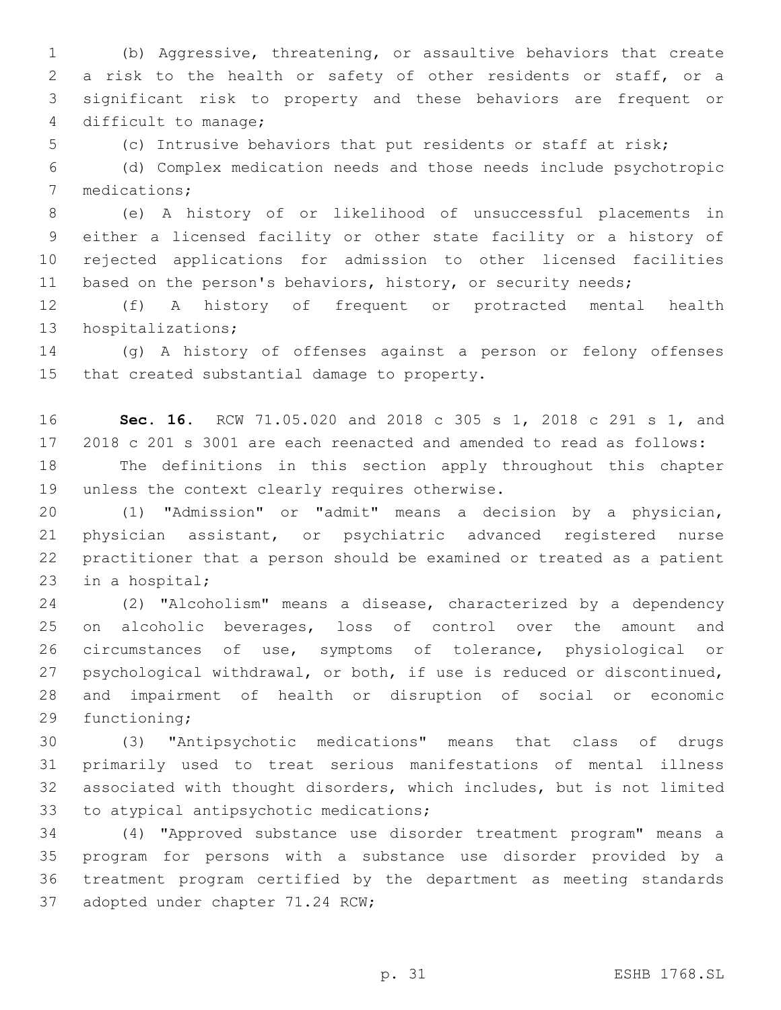(b) Aggressive, threatening, or assaultive behaviors that create a risk to the health or safety of other residents or staff, or a significant risk to property and these behaviors are frequent or 4 difficult to manage;

(c) Intrusive behaviors that put residents or staff at risk;

 (d) Complex medication needs and those needs include psychotropic 7 medications;

 (e) A history of or likelihood of unsuccessful placements in either a licensed facility or other state facility or a history of rejected applications for admission to other licensed facilities 11 based on the person's behaviors, history, or security needs;

 (f) A history of frequent or protracted mental health 13 hospitalizations;

 (g) A history of offenses against a person or felony offenses 15 that created substantial damage to property.

 **Sec. 16.** RCW 71.05.020 and 2018 c 305 s 1, 2018 c 291 s 1, and 2018 c 201 s 3001 are each reenacted and amended to read as follows: The definitions in this section apply throughout this chapter 19 unless the context clearly requires otherwise.

 (1) "Admission" or "admit" means a decision by a physician, physician assistant, or psychiatric advanced registered nurse practitioner that a person should be examined or treated as a patient 23 in a hospital;

 (2) "Alcoholism" means a disease, characterized by a dependency on alcoholic beverages, loss of control over the amount and circumstances of use, symptoms of tolerance, physiological or psychological withdrawal, or both, if use is reduced or discontinued, and impairment of health or disruption of social or economic 29 functioning;

 (3) "Antipsychotic medications" means that class of drugs primarily used to treat serious manifestations of mental illness associated with thought disorders, which includes, but is not limited 33 to atypical antipsychotic medications;

 (4) "Approved substance use disorder treatment program" means a program for persons with a substance use disorder provided by a treatment program certified by the department as meeting standards 37 adopted under chapter 71.24 RCW;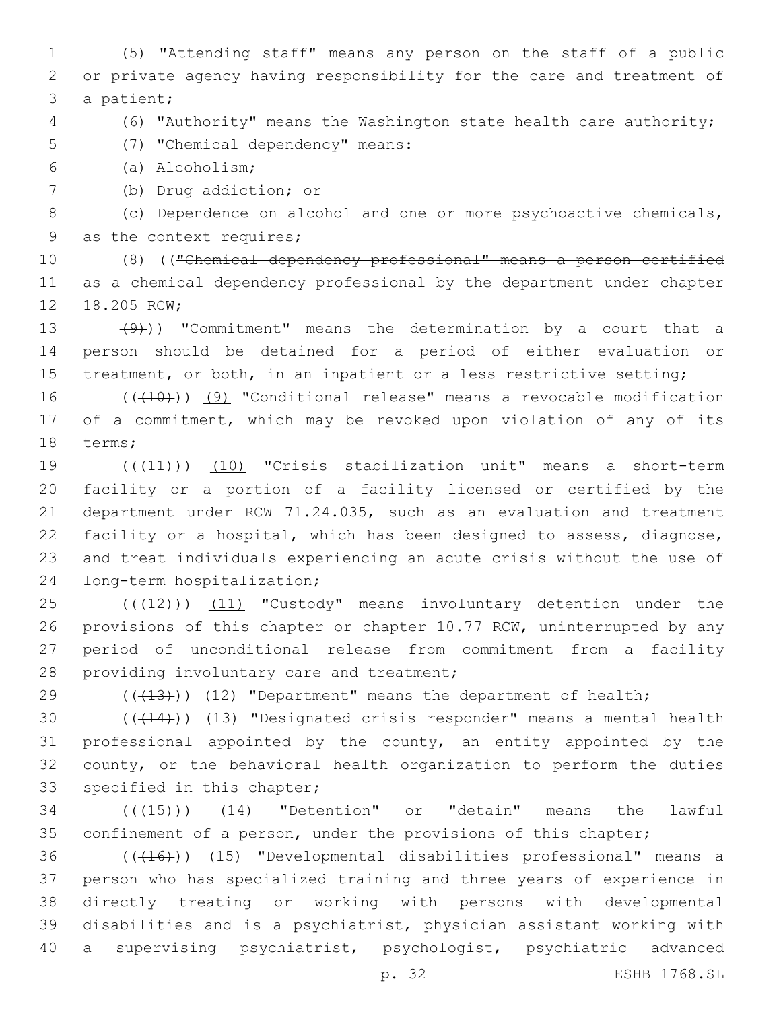1 (5) "Attending staff" means any person on the staff of a public 2 or private agency having responsibility for the care and treatment of 3 a patient;

4 (6) "Authority" means the Washington state health care authority;

(7) "Chemical dependency" means:5

(a) Alcoholism;6

7 (b) Drug addiction; or

8 (c) Dependence on alcohol and one or more psychoactive chemicals, 9 as the context requires;

10 (8) (("Chemical dependency professional" means a person certified 11 as a chemical dependency professional by the department under chapter 12 18.205 RCW;

13 (9))) "Commitment" means the determination by a court that a 14 person should be detained for a period of either evaluation or 15 treatment, or both, in an inpatient or a less restrictive setting;

16 ((+10)) (9) "Conditional release" means a revocable modification 17 of a commitment, which may be revoked upon violation of any of its 18 terms;

 (((11))) (10) "Crisis stabilization unit" means a short-term facility or a portion of a facility licensed or certified by the department under RCW 71.24.035, such as an evaluation and treatment facility or a hospital, which has been designed to assess, diagnose, and treat individuals experiencing an acute crisis without the use of 24 long-term hospitalization;

25 (((412))) (11) "Custody" means involuntary detention under the 26 provisions of this chapter or chapter 10.77 RCW, uninterrupted by any 27 period of unconditional release from commitment from a facility 28 providing involuntary care and treatment;

29  $((+13))$  (12) "Department" means the department of health;

 $((+14))$   $(13)$  "Designated crisis responder" means a mental health professional appointed by the county, an entity appointed by the county, or the behavioral health organization to perform the duties 33 specified in this chapter;

34 (( $(15)$ )) (14) "Detention" or "detain" means the lawful 35 confinement of a person, under the provisions of this chapter;

36 (((416))) (15) "Developmental disabilities professional" means a person who has specialized training and three years of experience in directly treating or working with persons with developmental disabilities and is a psychiatrist, physician assistant working with a supervising psychiatrist, psychologist, psychiatric advanced

p. 32 ESHB 1768.SL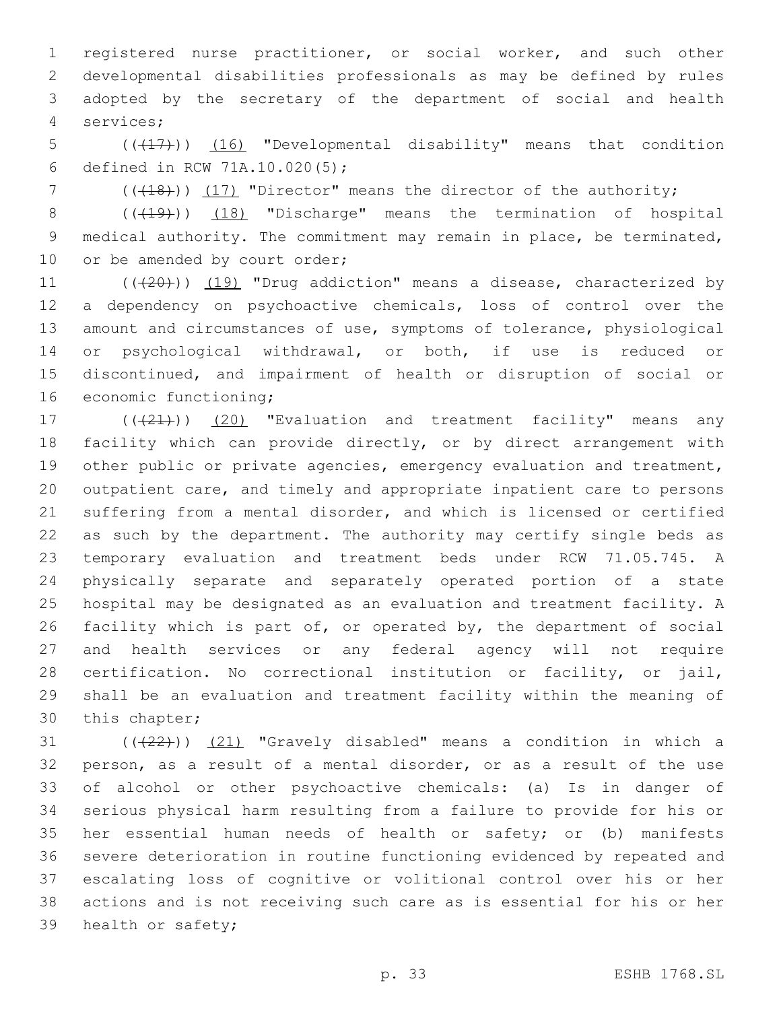registered nurse practitioner, or social worker, and such other developmental disabilities professionals as may be defined by rules adopted by the secretary of the department of social and health services;4

5 (( $(17)$ )) (16) "Developmental disability" means that condition 6 defined in RCW 71A.10.020(5);

7 (( $(18)$ )) (17) "Director" means the director of the authority;

8 (( $(19)$ )) (18) "Discharge" means the termination of hospital medical authority. The commitment may remain in place, be terminated, 10 or be amended by court order;

11 (((20))) (19) "Drug addiction" means a disease, characterized by a dependency on psychoactive chemicals, loss of control over the amount and circumstances of use, symptoms of tolerance, physiological or psychological withdrawal, or both, if use is reduced or discontinued, and impairment of health or disruption of social or 16 economic functioning;

17 (((21)) (20) "Evaluation and treatment facility" means any facility which can provide directly, or by direct arrangement with 19 other public or private agencies, emergency evaluation and treatment, outpatient care, and timely and appropriate inpatient care to persons suffering from a mental disorder, and which is licensed or certified as such by the department. The authority may certify single beds as temporary evaluation and treatment beds under RCW 71.05.745. A physically separate and separately operated portion of a state hospital may be designated as an evaluation and treatment facility. A facility which is part of, or operated by, the department of social and health services or any federal agency will not require certification. No correctional institution or facility, or jail, shall be an evaluation and treatment facility within the meaning of 30 this chapter;

 ( $(\frac{22}{1})$   $(21)$  "Gravely disabled" means a condition in which a person, as a result of a mental disorder, or as a result of the use of alcohol or other psychoactive chemicals: (a) Is in danger of serious physical harm resulting from a failure to provide for his or her essential human needs of health or safety; or (b) manifests severe deterioration in routine functioning evidenced by repeated and escalating loss of cognitive or volitional control over his or her actions and is not receiving such care as is essential for his or her 39 health or safety;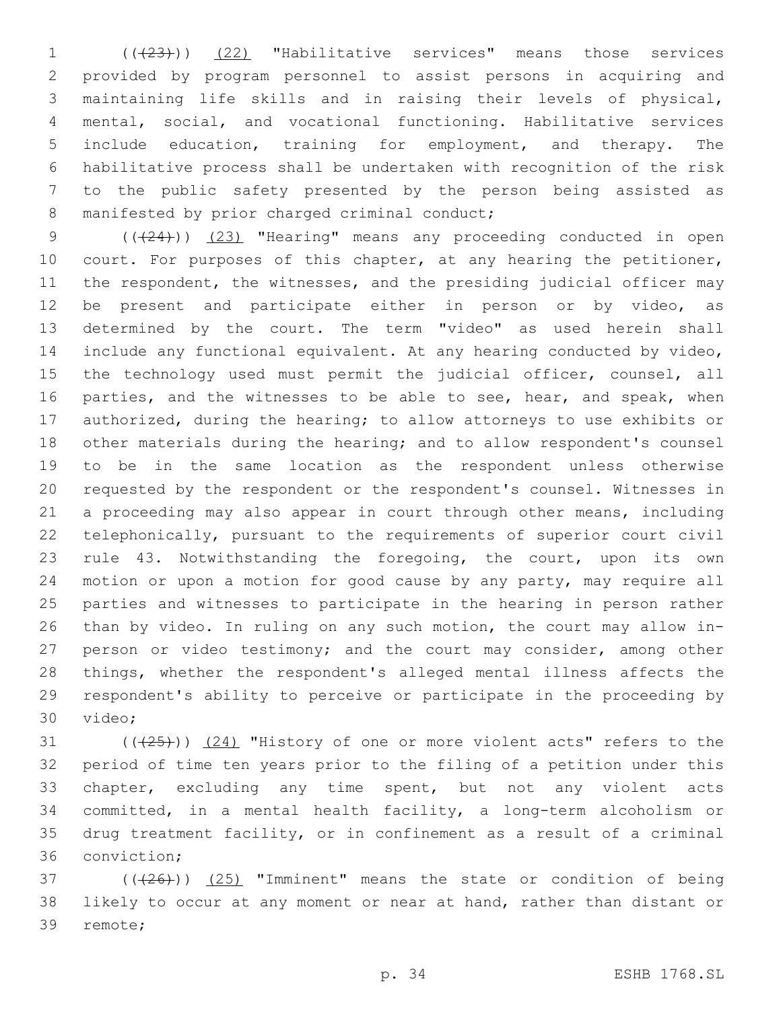1 (( $(23)$ )) (22) "Habilitative services" means those services provided by program personnel to assist persons in acquiring and maintaining life skills and in raising their levels of physical, mental, social, and vocational functioning. Habilitative services include education, training for employment, and therapy. The habilitative process shall be undertaken with recognition of the risk to the public safety presented by the person being assisted as 8 manifested by prior charged criminal conduct;

9 (( $(24)$ )) (23) "Hearing" means any proceeding conducted in open 10 court. For purposes of this chapter, at any hearing the petitioner, 11 the respondent, the witnesses, and the presiding judicial officer may be present and participate either in person or by video, as determined by the court. The term "video" as used herein shall include any functional equivalent. At any hearing conducted by video, 15 the technology used must permit the judicial officer, counsel, all 16 parties, and the witnesses to be able to see, hear, and speak, when authorized, during the hearing; to allow attorneys to use exhibits or other materials during the hearing; and to allow respondent's counsel to be in the same location as the respondent unless otherwise requested by the respondent or the respondent's counsel. Witnesses in a proceeding may also appear in court through other means, including telephonically, pursuant to the requirements of superior court civil rule 43. Notwithstanding the foregoing, the court, upon its own motion or upon a motion for good cause by any party, may require all parties and witnesses to participate in the hearing in person rather than by video. In ruling on any such motion, the court may allow in- person or video testimony; and the court may consider, among other things, whether the respondent's alleged mental illness affects the respondent's ability to perceive or participate in the proceeding by 30 video;

 $((+25))$   $(24)$  "History of one or more violent acts" refers to the period of time ten years prior to the filing of a petition under this chapter, excluding any time spent, but not any violent acts committed, in a mental health facility, a long-term alcoholism or drug treatment facility, or in confinement as a result of a criminal 36 conviction;

 $(1.37)$  ( $(1.26)$ ) (25) "Imminent" means the state or condition of being likely to occur at any moment or near at hand, rather than distant or 39 remote;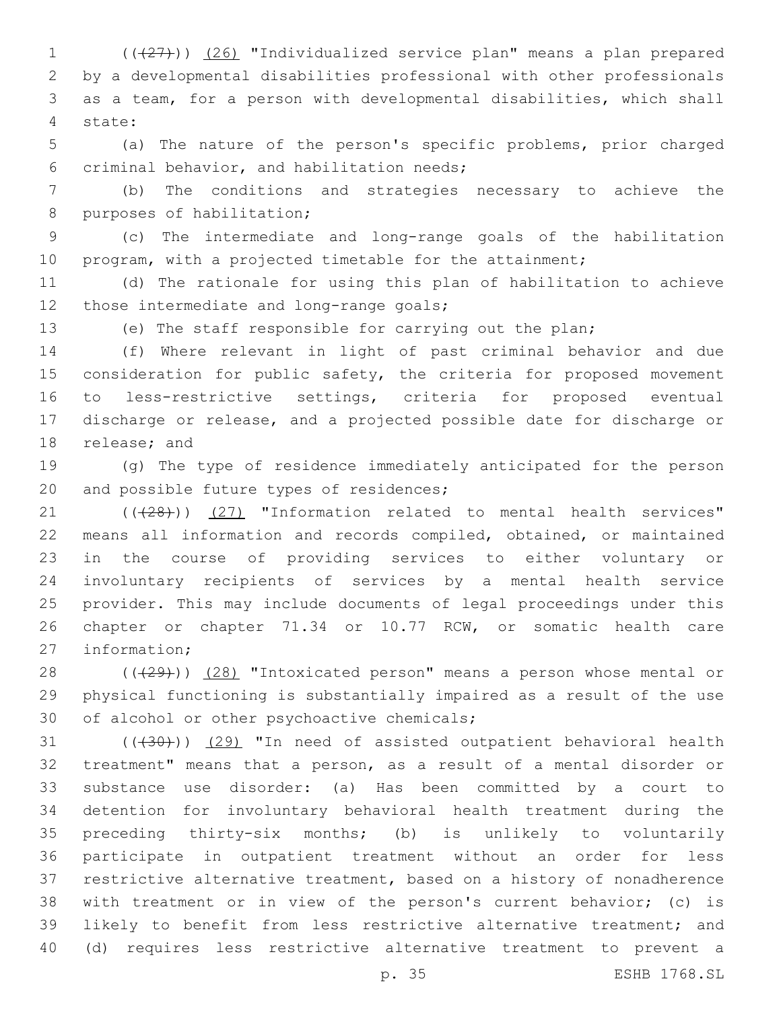(((27))) (26) "Individualized service plan" means a plan prepared by a developmental disabilities professional with other professionals as a team, for a person with developmental disabilities, which shall state:4

 (a) The nature of the person's specific problems, prior charged 6 criminal behavior, and habilitation needs;

 (b) The conditions and strategies necessary to achieve the 8 purposes of habilitation;

 (c) The intermediate and long-range goals of the habilitation 10 program, with a projected timetable for the attainment;

 (d) The rationale for using this plan of habilitation to achieve 12 those intermediate and long-range goals;

(e) The staff responsible for carrying out the plan;

 (f) Where relevant in light of past criminal behavior and due 15 consideration for public safety, the criteria for proposed movement to less-restrictive settings, criteria for proposed eventual discharge or release, and a projected possible date for discharge or 18 release; and

 (g) The type of residence immediately anticipated for the person 20 and possible future types of residences;

21 (((28))) (27) "Information related to mental health services" means all information and records compiled, obtained, or maintained in the course of providing services to either voluntary or involuntary recipients of services by a mental health service provider. This may include documents of legal proceedings under this chapter or chapter 71.34 or 10.77 RCW, or somatic health care 27 information:

28 (((29))) (28) "Intoxicated person" means a person whose mental or physical functioning is substantially impaired as a result of the use 30 of alcohol or other psychoactive chemicals;

 ( $(\overline{+30})$ )  $(29)$  "In need of assisted outpatient behavioral health treatment" means that a person, as a result of a mental disorder or substance use disorder: (a) Has been committed by a court to detention for involuntary behavioral health treatment during the preceding thirty-six months; (b) is unlikely to voluntarily participate in outpatient treatment without an order for less restrictive alternative treatment, based on a history of nonadherence with treatment or in view of the person's current behavior; (c) is likely to benefit from less restrictive alternative treatment; and (d) requires less restrictive alternative treatment to prevent a

p. 35 ESHB 1768.SL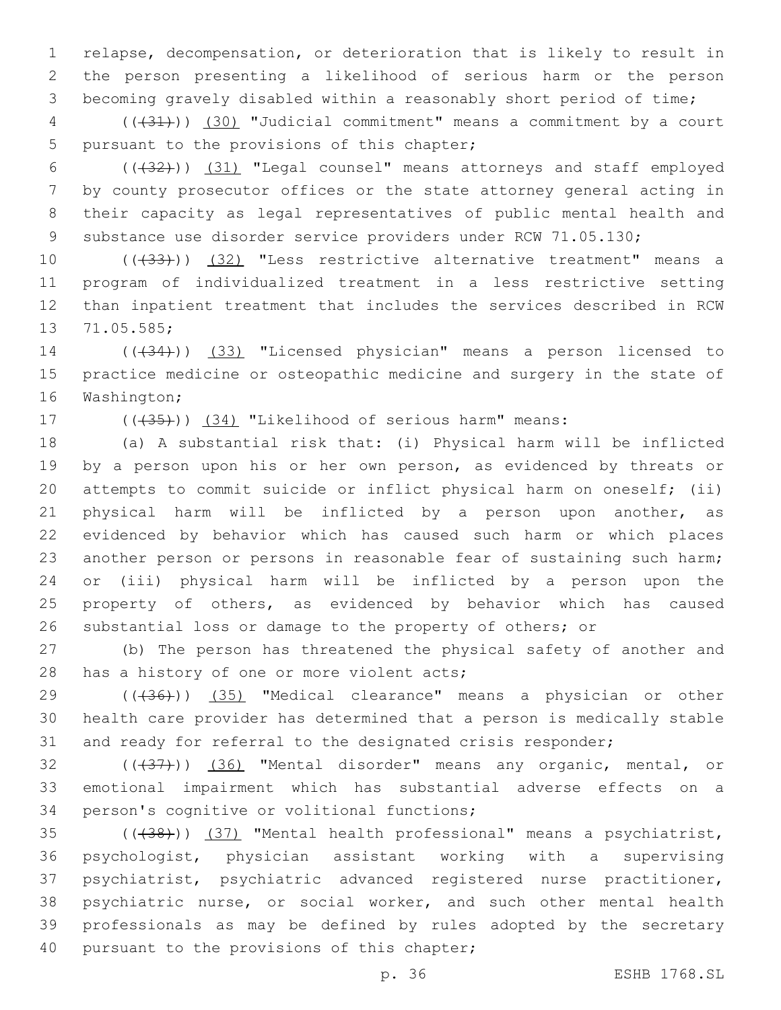relapse, decompensation, or deterioration that is likely to result in the person presenting a likelihood of serious harm or the person becoming gravely disabled within a reasonably short period of time;

 (((31))) (30) "Judicial commitment" means a commitment by a court 5 pursuant to the provisions of this chapter;

 (((32))) (31) "Legal counsel" means attorneys and staff employed by county prosecutor offices or the state attorney general acting in their capacity as legal representatives of public mental health and substance use disorder service providers under RCW 71.05.130;

10 (((433))) (32) "Less restrictive alternative treatment" means a program of individualized treatment in a less restrictive setting than inpatient treatment that includes the services described in RCW 13 71.05.585;

14 (( $(34)$ )) (33) "Licensed physician" means a person licensed to practice medicine or osteopathic medicine and surgery in the state of 16 Washington;

17 (( $(35)$ )) (34) "Likelihood of serious harm" means:

 (a) A substantial risk that: (i) Physical harm will be inflicted 19 by a person upon his or her own person, as evidenced by threats or attempts to commit suicide or inflict physical harm on oneself; (ii) physical harm will be inflicted by a person upon another, as evidenced by behavior which has caused such harm or which places another person or persons in reasonable fear of sustaining such harm; or (iii) physical harm will be inflicted by a person upon the property of others, as evidenced by behavior which has caused substantial loss or damage to the property of others; or

 (b) The person has threatened the physical safety of another and 28 has a history of one or more violent acts;

29 (( $(436)$ )) (35) "Medical clearance" means a physician or other health care provider has determined that a person is medically stable 31 and ready for referral to the designated crisis responder;

32 ((+37)) (36) "Mental disorder" means any organic, mental, or emotional impairment which has substantial adverse effects on a 34 person's cognitive or volitional functions;

35 (((438))) (37) "Mental health professional" means a psychiatrist, psychologist, physician assistant working with a supervising psychiatrist, psychiatric advanced registered nurse practitioner, psychiatric nurse, or social worker, and such other mental health professionals as may be defined by rules adopted by the secretary 40 pursuant to the provisions of this chapter;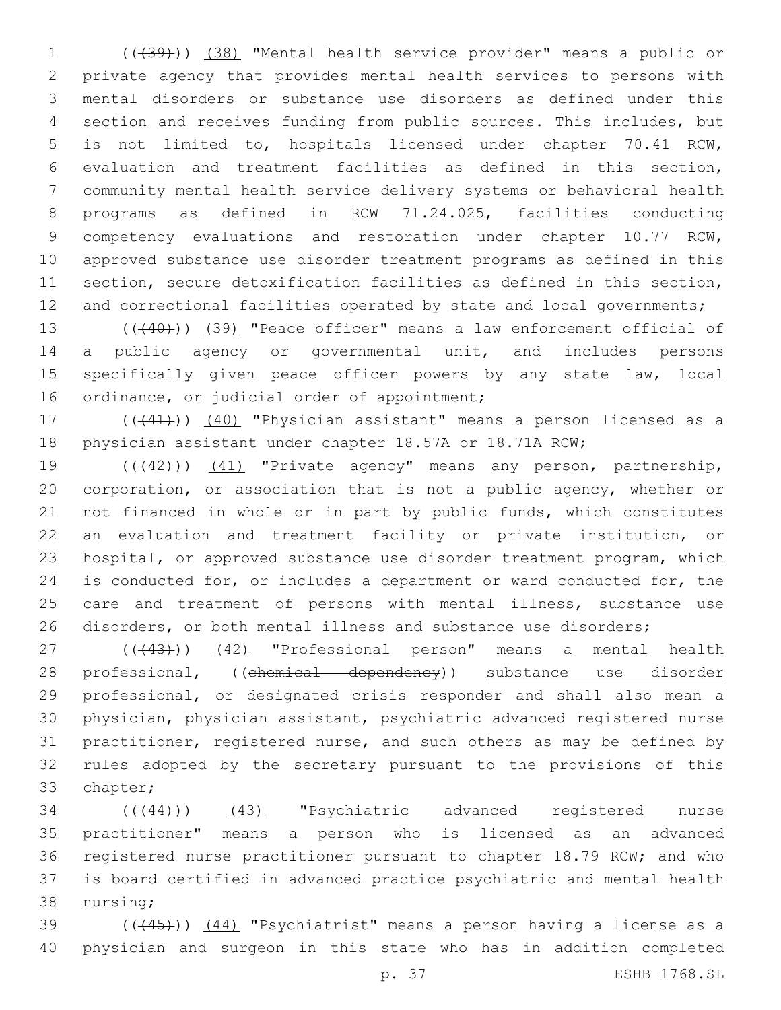(((39))) (38) "Mental health service provider" means a public or private agency that provides mental health services to persons with mental disorders or substance use disorders as defined under this section and receives funding from public sources. This includes, but is not limited to, hospitals licensed under chapter 70.41 RCW, evaluation and treatment facilities as defined in this section, community mental health service delivery systems or behavioral health programs as defined in RCW 71.24.025, facilities conducting competency evaluations and restoration under chapter 10.77 RCW, approved substance use disorder treatment programs as defined in this section, secure detoxification facilities as defined in this section, 12 and correctional facilities operated by state and local governments;

13 (((40))) (39) "Peace officer" means a law enforcement official of 14 a public agency or governmental unit, and includes persons specifically given peace officer powers by any state law, local 16 ordinance, or judicial order of appointment;

17 (((41))) (40) "Physician assistant" means a person licensed as a physician assistant under chapter 18.57A or 18.71A RCW;

19 (((42))) (41) "Private agency" means any person, partnership, corporation, or association that is not a public agency, whether or not financed in whole or in part by public funds, which constitutes an evaluation and treatment facility or private institution, or hospital, or approved substance use disorder treatment program, which is conducted for, or includes a department or ward conducted for, the 25 care and treatment of persons with mental illness, substance use disorders, or both mental illness and substance use disorders;

27 ((+43))) (42) "Professional person" means a mental health 28 professional, ((chemical dependency)) substance use disorder professional, or designated crisis responder and shall also mean a physician, physician assistant, psychiatric advanced registered nurse practitioner, registered nurse, and such others as may be defined by rules adopted by the secretary pursuant to the provisions of this 33 chapter;

34 (( $(444)$ )) (43) "Psychiatric advanced registered nurse practitioner" means a person who is licensed as an advanced registered nurse practitioner pursuant to chapter 18.79 RCW; and who is board certified in advanced practice psychiatric and mental health 38 nursing;

39  $((+45))$   $(44)$  "Psychiatrist" means a person having a license as a physician and surgeon in this state who has in addition completed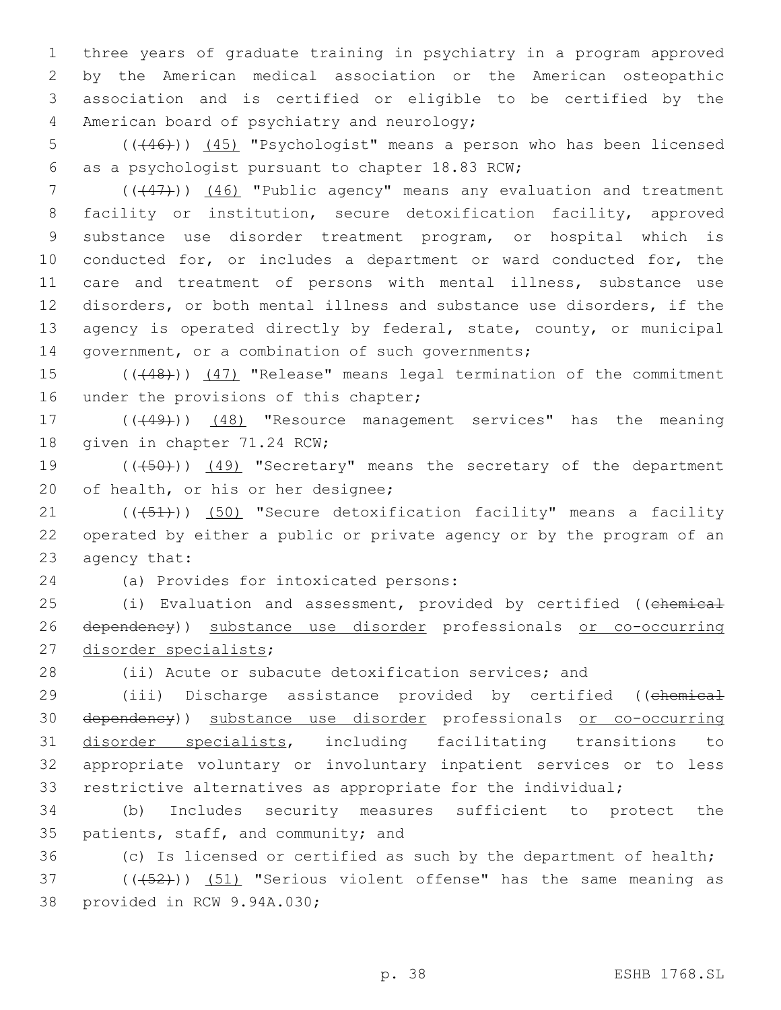three years of graduate training in psychiatry in a program approved by the American medical association or the American osteopathic association and is certified or eligible to be certified by the 4 American board of psychiatry and neurology;

5 ((+46))) (45) "Psychologist" means a person who has been licensed 6 as a psychologist pursuant to chapter 18.83 RCW;

7 (( $(47)$ )) (46) "Public agency" means any evaluation and treatment facility or institution, secure detoxification facility, approved substance use disorder treatment program, or hospital which is conducted for, or includes a department or ward conducted for, the care and treatment of persons with mental illness, substance use disorders, or both mental illness and substance use disorders, if the 13 agency is operated directly by federal, state, county, or municipal 14 government, or a combination of such governments;

15 (((48))) (47) "Release" means legal termination of the commitment 16 under the provisions of this chapter;

17 (((49))) (48) "Resource management services" has the meaning 18 qiven in chapter 71.24 RCW;

19 (( $(450)$ ) (49) "Secretary" means the secretary of the department 20 of health, or his or her designee;

21 (((451)) (50) "Secure detoxification facility" means a facility 22 operated by either a public or private agency or by the program of an 23 agency that:

(a) Provides for intoxicated persons:24

25 (i) Evaluation and assessment, provided by certified ((chemical 26 dependency)) substance use disorder professionals or co-occurring 27 disorder specialists;

28 (ii) Acute or subacute detoxification services; and

29 (iii) Discharge assistance provided by certified ((chemical dependency)) substance use disorder professionals or co-occurring disorder specialists, including facilitating transitions to appropriate voluntary or involuntary inpatient services or to less restrictive alternatives as appropriate for the individual;

34 (b) Includes security measures sufficient to protect the 35 patients, staff, and community; and

36 (c) Is licensed or certified as such by the department of health;

 $(1, 52)$  ( $(1, 52)$ ) (51) "Serious violent offense" has the same meaning as 38 provided in RCW 9.94A.030;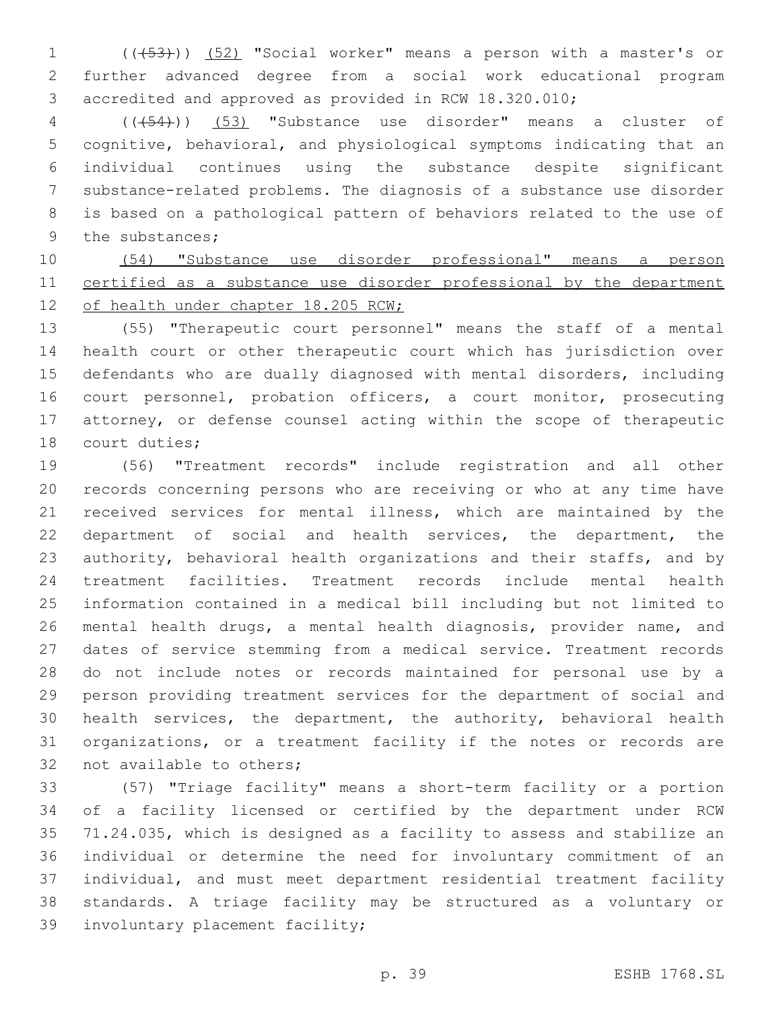(((53))) (52) "Social worker" means a person with a master's or further advanced degree from a social work educational program accredited and approved as provided in RCW 18.320.010;

 (((54))) (53) "Substance use disorder" means a cluster of cognitive, behavioral, and physiological symptoms indicating that an individual continues using the substance despite significant substance-related problems. The diagnosis of a substance use disorder is based on a pathological pattern of behaviors related to the use of 9 the substances;

 (54) "Substance use disorder professional" means a person certified as a substance use disorder professional by the department 12 of health under chapter 18.205 RCW;

 (55) "Therapeutic court personnel" means the staff of a mental health court or other therapeutic court which has jurisdiction over defendants who are dually diagnosed with mental disorders, including 16 court personnel, probation officers, a court monitor, prosecuting attorney, or defense counsel acting within the scope of therapeutic 18 court duties;

 (56) "Treatment records" include registration and all other records concerning persons who are receiving or who at any time have received services for mental illness, which are maintained by the department of social and health services, the department, the authority, behavioral health organizations and their staffs, and by treatment facilities. Treatment records include mental health information contained in a medical bill including but not limited to mental health drugs, a mental health diagnosis, provider name, and dates of service stemming from a medical service. Treatment records do not include notes or records maintained for personal use by a person providing treatment services for the department of social and health services, the department, the authority, behavioral health organizations, or a treatment facility if the notes or records are 32 not available to others;

 (57) "Triage facility" means a short-term facility or a portion of a facility licensed or certified by the department under RCW 71.24.035, which is designed as a facility to assess and stabilize an individual or determine the need for involuntary commitment of an individual, and must meet department residential treatment facility standards. A triage facility may be structured as a voluntary or 39 involuntary placement facility;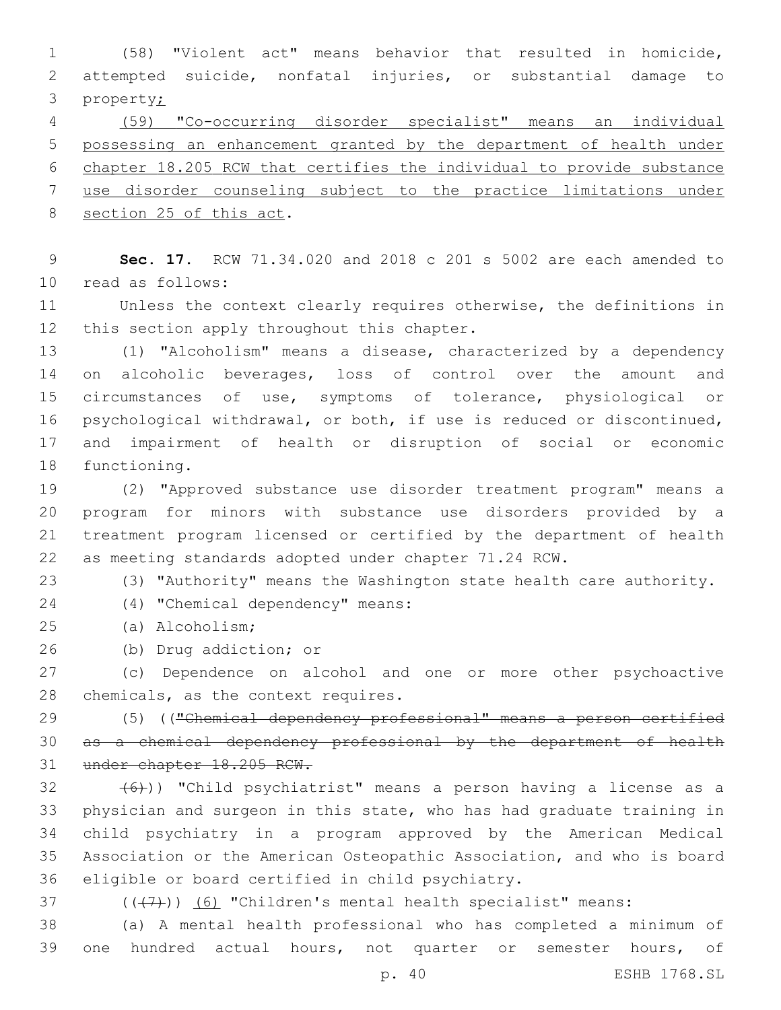(58) "Violent act" means behavior that resulted in homicide, attempted suicide, nonfatal injuries, or substantial damage to property;

 (59) "Co-occurring disorder specialist" means an individual possessing an enhancement granted by the department of health under chapter 18.205 RCW that certifies the individual to provide substance

use disorder counseling subject to the practice limitations under

8 section 25 of this act.

 **Sec. 17.** RCW 71.34.020 and 2018 c 201 s 5002 are each amended to 10 read as follows:

 Unless the context clearly requires otherwise, the definitions in 12 this section apply throughout this chapter.

 (1) "Alcoholism" means a disease, characterized by a dependency on alcoholic beverages, loss of control over the amount and circumstances of use, symptoms of tolerance, physiological or psychological withdrawal, or both, if use is reduced or discontinued, and impairment of health or disruption of social or economic 18 functioning.

 (2) "Approved substance use disorder treatment program" means a program for minors with substance use disorders provided by a treatment program licensed or certified by the department of health as meeting standards adopted under chapter 71.24 RCW.

(3) "Authority" means the Washington state health care authority.

(4) "Chemical dependency" means:24

(a) Alcoholism;25

26 (b) Drug addiction; or

 (c) Dependence on alcohol and one or more other psychoactive 28 chemicals, as the context requires.

 (5) (("Chemical dependency professional" means a person certified as a chemical dependency professional by the department of health under chapter 18.205 RCW.

 $(32 + 6)$ ) "Child psychiatrist" means a person having a license as a physician and surgeon in this state, who has had graduate training in child psychiatry in a program approved by the American Medical Association or the American Osteopathic Association, and who is board 36 eligible or board certified in child psychiatry.

 $(1)$   $(1)$   $(6)$  "Children's mental health specialist" means:

 (a) A mental health professional who has completed a minimum of one hundred actual hours, not quarter or semester hours, of

p. 40 ESHB 1768.SL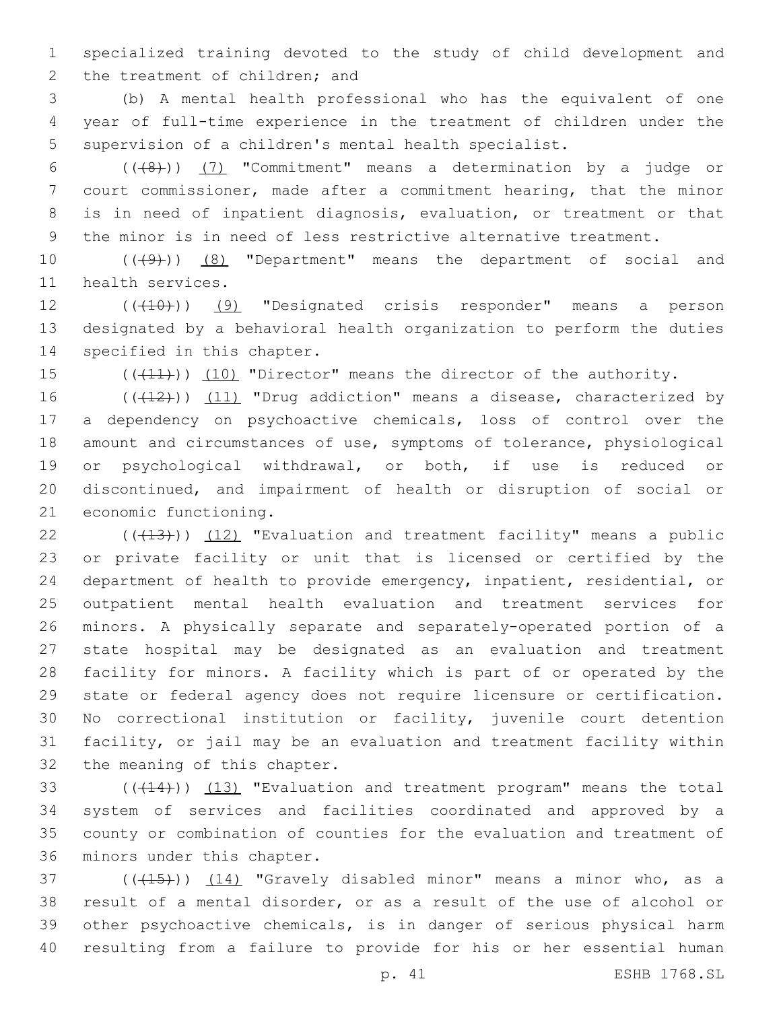specialized training devoted to the study of child development and 2 the treatment of children; and

 (b) A mental health professional who has the equivalent of one year of full-time experience in the treatment of children under the supervision of a children's mental health specialist.

 $((+8))$   $(7)$  "Commitment" means a determination by a judge or court commissioner, made after a commitment hearing, that the minor is in need of inpatient diagnosis, evaluation, or treatment or that the minor is in need of less restrictive alternative treatment.

10 (((49)) (8) "Department" means the department of social and 11 health services.

12 (((10)) (9) "Designated crisis responder" means a person designated by a behavioral health organization to perform the duties 14 specified in this chapter.

15 (( $(411)$ )) (10) "Director" means the director of the authority.

16 ((+12)) (11) "Drug addiction" means a disease, characterized by a dependency on psychoactive chemicals, loss of control over the amount and circumstances of use, symptoms of tolerance, physiological or psychological withdrawal, or both, if use is reduced or discontinued, and impairment of health or disruption of social or 21 economic functioning.

 $(1, 1, 2)$  ( $(1, 1, 3)$ ) (12) "Evaluation and treatment facility" means a public or private facility or unit that is licensed or certified by the department of health to provide emergency, inpatient, residential, or outpatient mental health evaluation and treatment services for minors. A physically separate and separately-operated portion of a state hospital may be designated as an evaluation and treatment facility for minors. A facility which is part of or operated by the state or federal agency does not require licensure or certification. No correctional institution or facility, juvenile court detention facility, or jail may be an evaluation and treatment facility within 32 the meaning of this chapter.

 $(14)$ ) (13) "Evaluation and treatment program" means the total system of services and facilities coordinated and approved by a county or combination of counties for the evaluation and treatment of 36 minors under this chapter.

37 ( $(415)$ )  $(14)$  "Gravely disabled minor" means a minor who, as a result of a mental disorder, or as a result of the use of alcohol or other psychoactive chemicals, is in danger of serious physical harm resulting from a failure to provide for his or her essential human

p. 41 ESHB 1768.SL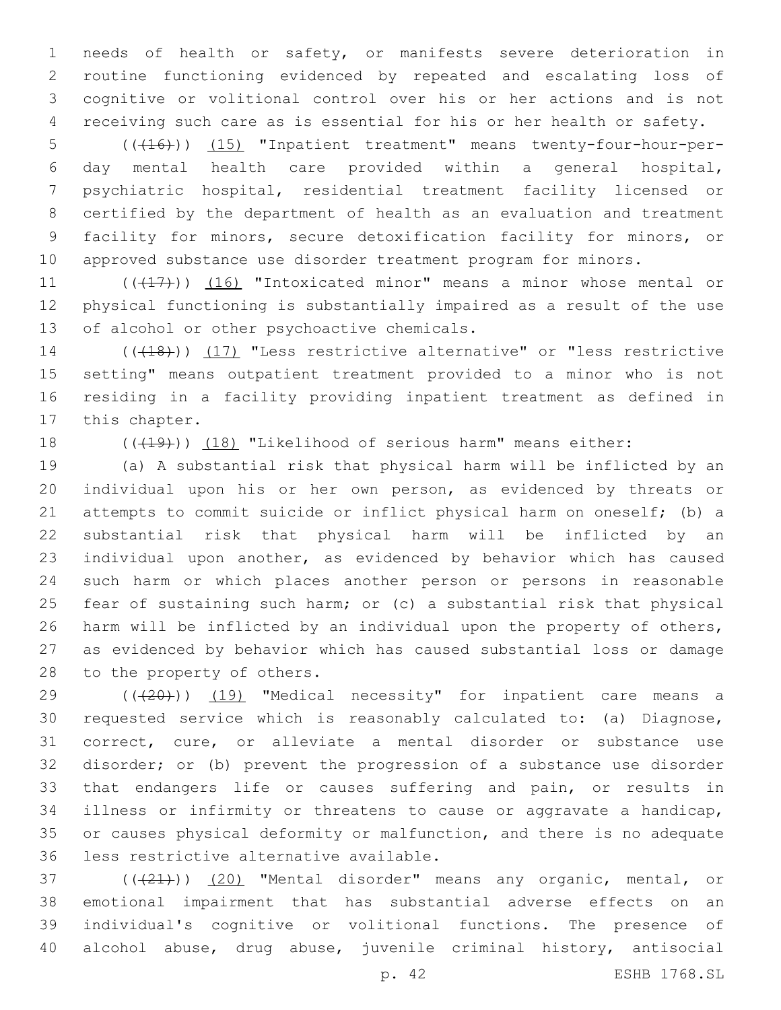needs of health or safety, or manifests severe deterioration in routine functioning evidenced by repeated and escalating loss of cognitive or volitional control over his or her actions and is not receiving such care as is essential for his or her health or safety.

5 (( $(16)$ )) (15) "Inpatient treatment" means twenty-four-hour-per- day mental health care provided within a general hospital, psychiatric hospital, residential treatment facility licensed or certified by the department of health as an evaluation and treatment facility for minors, secure detoxification facility for minors, or approved substance use disorder treatment program for minors.

11 (((417))) (16) "Intoxicated minor" means a minor whose mental or physical functioning is substantially impaired as a result of the use 13 of alcohol or other psychoactive chemicals.

14 (((18))) (17) "Less restrictive alternative" or "less restrictive setting" means outpatient treatment provided to a minor who is not residing in a facility providing inpatient treatment as defined in 17 this chapter.

18 (((19))) (18) "Likelihood of serious harm" means either:

 (a) A substantial risk that physical harm will be inflicted by an individual upon his or her own person, as evidenced by threats or attempts to commit suicide or inflict physical harm on oneself; (b) a substantial risk that physical harm will be inflicted by an individual upon another, as evidenced by behavior which has caused such harm or which places another person or persons in reasonable fear of sustaining such harm; or (c) a substantial risk that physical harm will be inflicted by an individual upon the property of others, as evidenced by behavior which has caused substantial loss or damage 28 to the property of others.

29 (( $(20)$ )) (19) "Medical necessity" for inpatient care means a requested service which is reasonably calculated to: (a) Diagnose, correct, cure, or alleviate a mental disorder or substance use disorder; or (b) prevent the progression of a substance use disorder that endangers life or causes suffering and pain, or results in illness or infirmity or threatens to cause or aggravate a handicap, or causes physical deformity or malfunction, and there is no adequate 36 less restrictive alternative available.

37 (((21)) (20) "Mental disorder" means any organic, mental, or emotional impairment that has substantial adverse effects on an individual's cognitive or volitional functions. The presence of alcohol abuse, drug abuse, juvenile criminal history, antisocial

p. 42 ESHB 1768.SL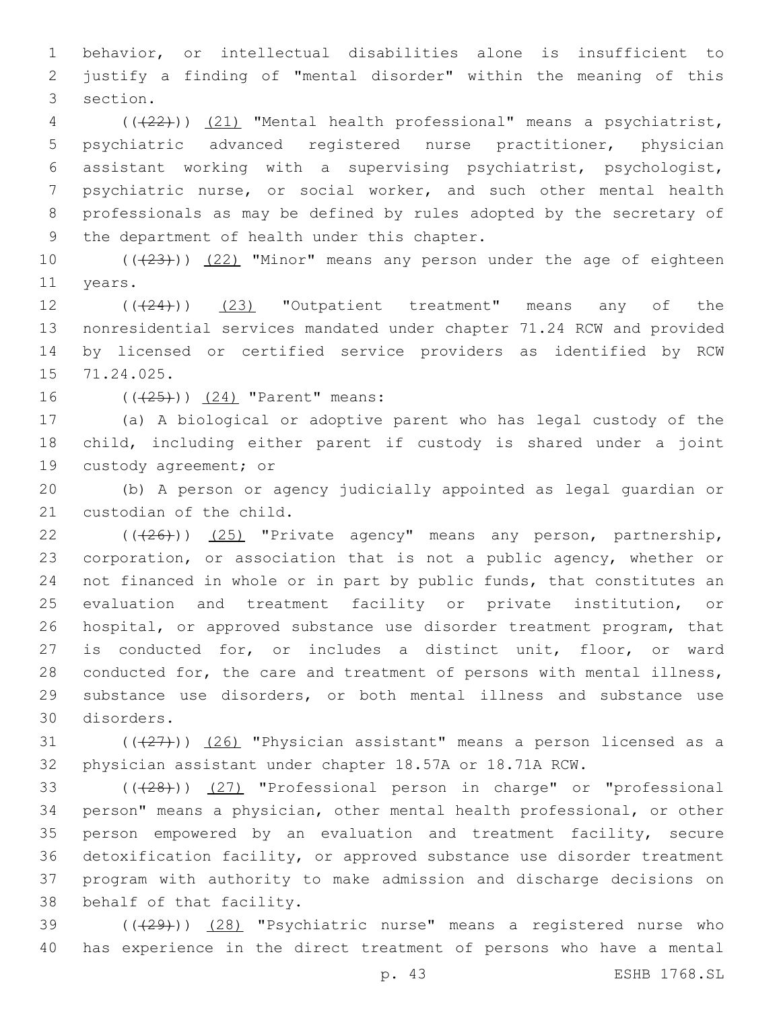behavior, or intellectual disabilities alone is insufficient to justify a finding of "mental disorder" within the meaning of this 3 section.

 (((22))) (21) "Mental health professional" means a psychiatrist, psychiatric advanced registered nurse practitioner, physician assistant working with a supervising psychiatrist, psychologist, psychiatric nurse, or social worker, and such other mental health professionals as may be defined by rules adopted by the secretary of 9 the department of health under this chapter.

10  $((+23))$   $(22)$  "Minor" means any person under the age of eighteen 11 years.

12 (( $(24)$ )) (23) "Outpatient treatment" means any of the nonresidential services mandated under chapter 71.24 RCW and provided by licensed or certified service providers as identified by RCW 15 71.24.025.

16 (((25))) (24) "Parent" means:

 (a) A biological or adoptive parent who has legal custody of the child, including either parent if custody is shared under a joint 19 custody agreement; or

 (b) A person or agency judicially appointed as legal guardian or 21 custodian of the child.

22 (( $(26)$ )) (25) "Private agency" means any person, partnership, corporation, or association that is not a public agency, whether or not financed in whole or in part by public funds, that constitutes an evaluation and treatment facility or private institution, or hospital, or approved substance use disorder treatment program, that is conducted for, or includes a distinct unit, floor, or ward conducted for, the care and treatment of persons with mental illness, substance use disorders, or both mental illness and substance use disorders.30

31  $((+27))$   $(26)$  "Physician assistant" means a person licensed as a physician assistant under chapter 18.57A or 18.71A RCW.

33 (((28))) (27) "Professional person in charge" or "professional person" means a physician, other mental health professional, or other person empowered by an evaluation and treatment facility, secure detoxification facility, or approved substance use disorder treatment program with authority to make admission and discharge decisions on 38 behalf of that facility.

39 (((29))) (28) "Psychiatric nurse" means a registered nurse who has experience in the direct treatment of persons who have a mental

p. 43 ESHB 1768.SL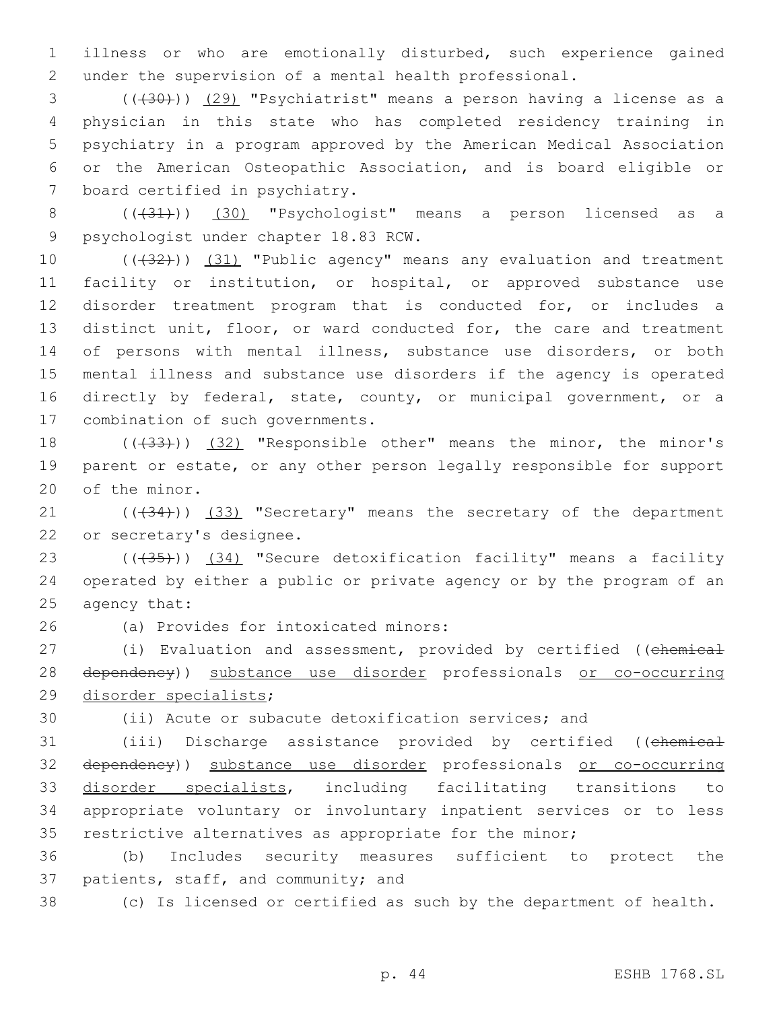1 illness or who are emotionally disturbed, such experience gained 2 under the supervision of a mental health professional.

 (((30))) (29) "Psychiatrist" means a person having a license as a physician in this state who has completed residency training in psychiatry in a program approved by the American Medical Association or the American Osteopathic Association, and is board eligible or 7 board certified in psychiatry.

8 (( $(31)$ )) (30) "Psychologist" means a person licensed as a 9 psychologist under chapter 18.83 RCW.

10 (( $(32)$ )) (31) "Public agency" means any evaluation and treatment facility or institution, or hospital, or approved substance use disorder treatment program that is conducted for, or includes a distinct unit, floor, or ward conducted for, the care and treatment of persons with mental illness, substance use disorders, or both mental illness and substance use disorders if the agency is operated directly by federal, state, county, or municipal government, or a 17 combination of such governments.

18 (((433))) (32) "Responsible other" means the minor, the minor's 19 parent or estate, or any other person legally responsible for support 20 of the minor.

21 (( $(34)$ )) (33) "Secretary" means the secretary of the department 22 or secretary's designee.

23 (((435))) (34) "Secure detoxification facility" means a facility 24 operated by either a public or private agency or by the program of an 25 agency that:

(a) Provides for intoxicated minors:26

27 (i) Evaluation and assessment, provided by certified ((chemical 28 dependency)) substance use disorder professionals or co-occurring 29 disorder specialists;

30 (ii) Acute or subacute detoxification services; and

 (iii) Discharge assistance provided by certified ((chemical dependency)) substance use disorder professionals or co-occurring disorder specialists, including facilitating transitions to appropriate voluntary or involuntary inpatient services or to less restrictive alternatives as appropriate for the minor;

36 (b) Includes security measures sufficient to protect the 37 patients, staff, and community; and

38 (c) Is licensed or certified as such by the department of health.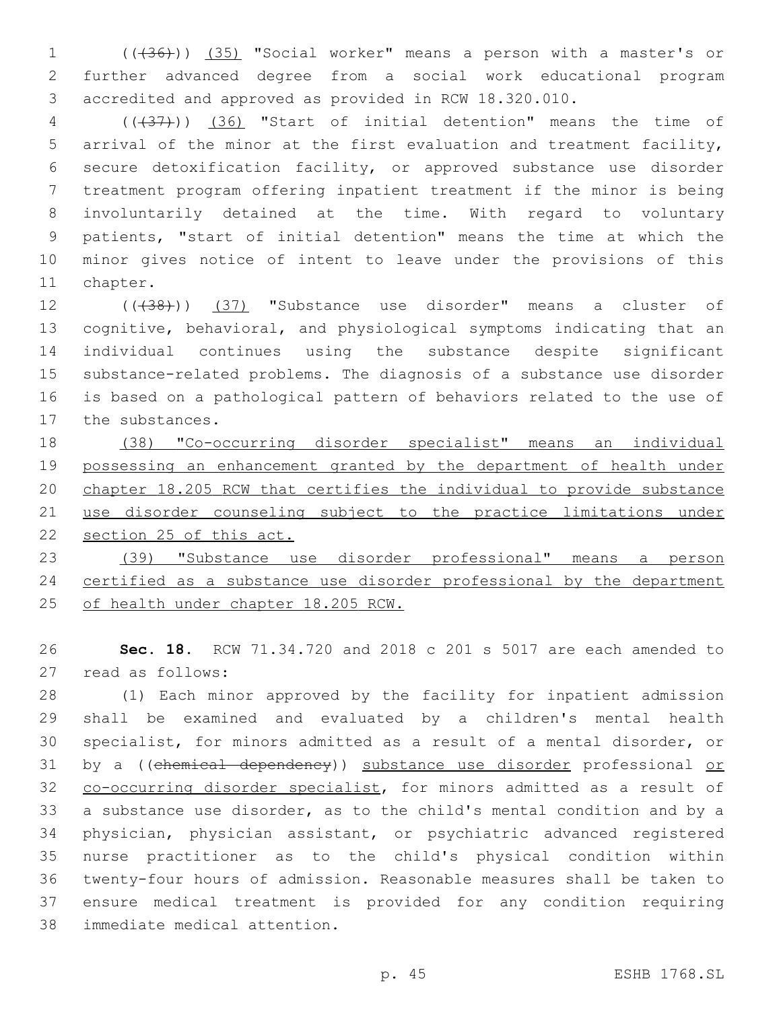(((36))) (35) "Social worker" means a person with a master's or further advanced degree from a social work educational program accredited and approved as provided in RCW 18.320.010.

 (((37))) (36) "Start of initial detention" means the time of arrival of the minor at the first evaluation and treatment facility, secure detoxification facility, or approved substance use disorder treatment program offering inpatient treatment if the minor is being involuntarily detained at the time. With regard to voluntary patients, "start of initial detention" means the time at which the minor gives notice of intent to leave under the provisions of this 11 chapter.

12 (( $(38)$ )) (37) "Substance use disorder" means a cluster of cognitive, behavioral, and physiological symptoms indicating that an individual continues using the substance despite significant substance-related problems. The diagnosis of a substance use disorder is based on a pathological pattern of behaviors related to the use of 17 the substances.

 (38) "Co-occurring disorder specialist" means an individual possessing an enhancement granted by the department of health under chapter 18.205 RCW that certifies the individual to provide substance 21 use disorder counseling subject to the practice limitations under section 25 of this act.

 (39) "Substance use disorder professional" means a person certified as a substance use disorder professional by the department of health under chapter 18.205 RCW.

 **Sec. 18.** RCW 71.34.720 and 2018 c 201 s 5017 are each amended to 27 read as follows:

 (1) Each minor approved by the facility for inpatient admission shall be examined and evaluated by a children's mental health specialist, for minors admitted as a result of a mental disorder, or 31 by a ((chemical dependency)) substance use disorder professional or 32 co-occurring disorder specialist, for minors admitted as a result of a substance use disorder, as to the child's mental condition and by a physician, physician assistant, or psychiatric advanced registered nurse practitioner as to the child's physical condition within twenty-four hours of admission. Reasonable measures shall be taken to ensure medical treatment is provided for any condition requiring 38 immediate medical attention.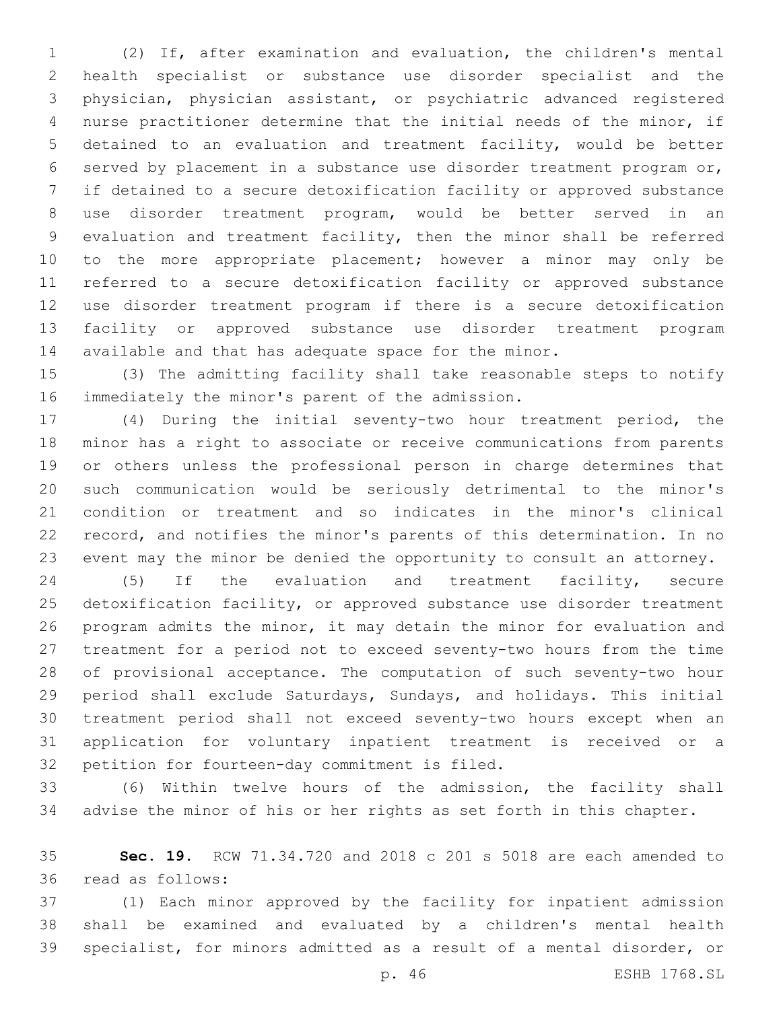(2) If, after examination and evaluation, the children's mental health specialist or substance use disorder specialist and the physician, physician assistant, or psychiatric advanced registered nurse practitioner determine that the initial needs of the minor, if detained to an evaluation and treatment facility, would be better served by placement in a substance use disorder treatment program or, if detained to a secure detoxification facility or approved substance use disorder treatment program, would be better served in an evaluation and treatment facility, then the minor shall be referred to the more appropriate placement; however a minor may only be referred to a secure detoxification facility or approved substance use disorder treatment program if there is a secure detoxification facility or approved substance use disorder treatment program available and that has adequate space for the minor.

 (3) The admitting facility shall take reasonable steps to notify 16 immediately the minor's parent of the admission.

 (4) During the initial seventy-two hour treatment period, the minor has a right to associate or receive communications from parents or others unless the professional person in charge determines that such communication would be seriously detrimental to the minor's condition or treatment and so indicates in the minor's clinical record, and notifies the minor's parents of this determination. In no event may the minor be denied the opportunity to consult an attorney.

 (5) If the evaluation and treatment facility, secure detoxification facility, or approved substance use disorder treatment program admits the minor, it may detain the minor for evaluation and treatment for a period not to exceed seventy-two hours from the time of provisional acceptance. The computation of such seventy-two hour period shall exclude Saturdays, Sundays, and holidays. This initial treatment period shall not exceed seventy-two hours except when an application for voluntary inpatient treatment is received or a 32 petition for fourteen-day commitment is filed.

 (6) Within twelve hours of the admission, the facility shall advise the minor of his or her rights as set forth in this chapter.

 **Sec. 19.** RCW 71.34.720 and 2018 c 201 s 5018 are each amended to read as follows:36

 (1) Each minor approved by the facility for inpatient admission shall be examined and evaluated by a children's mental health specialist, for minors admitted as a result of a mental disorder, or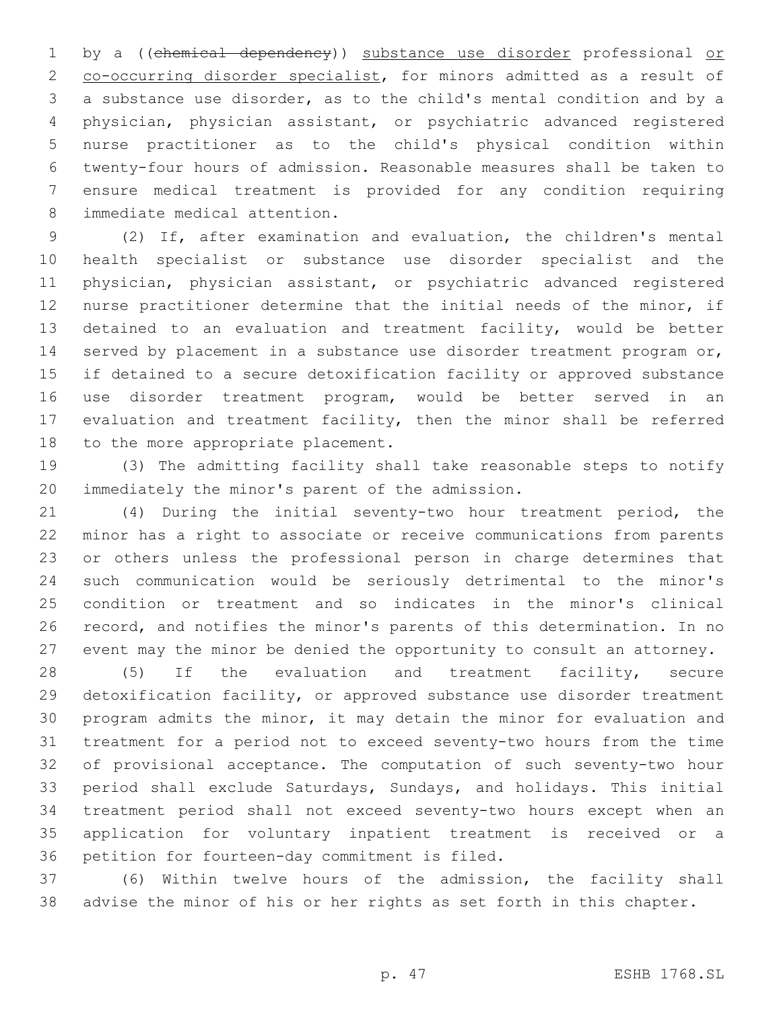1 by a ((chemical dependency)) substance use disorder professional or co-occurring disorder specialist, for minors admitted as a result of a substance use disorder, as to the child's mental condition and by a physician, physician assistant, or psychiatric advanced registered nurse practitioner as to the child's physical condition within twenty-four hours of admission. Reasonable measures shall be taken to ensure medical treatment is provided for any condition requiring 8 immediate medical attention.

 (2) If, after examination and evaluation, the children's mental health specialist or substance use disorder specialist and the physician, physician assistant, or psychiatric advanced registered nurse practitioner determine that the initial needs of the minor, if detained to an evaluation and treatment facility, would be better served by placement in a substance use disorder treatment program or, if detained to a secure detoxification facility or approved substance use disorder treatment program, would be better served in an evaluation and treatment facility, then the minor shall be referred 18 to the more appropriate placement.

 (3) The admitting facility shall take reasonable steps to notify 20 immediately the minor's parent of the admission.

 (4) During the initial seventy-two hour treatment period, the minor has a right to associate or receive communications from parents or others unless the professional person in charge determines that such communication would be seriously detrimental to the minor's condition or treatment and so indicates in the minor's clinical record, and notifies the minor's parents of this determination. In no event may the minor be denied the opportunity to consult an attorney.

 (5) If the evaluation and treatment facility, secure detoxification facility, or approved substance use disorder treatment program admits the minor, it may detain the minor for evaluation and treatment for a period not to exceed seventy-two hours from the time of provisional acceptance. The computation of such seventy-two hour period shall exclude Saturdays, Sundays, and holidays. This initial treatment period shall not exceed seventy-two hours except when an application for voluntary inpatient treatment is received or a 36 petition for fourteen-day commitment is filed.

 (6) Within twelve hours of the admission, the facility shall advise the minor of his or her rights as set forth in this chapter.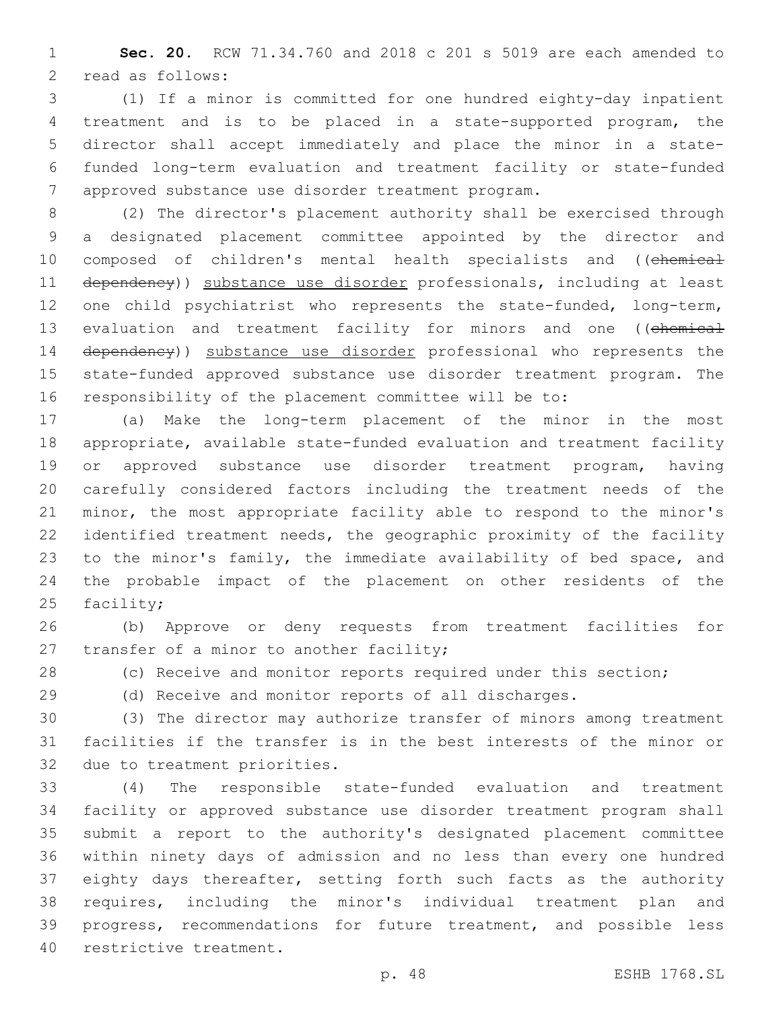**Sec. 20.** RCW 71.34.760 and 2018 c 201 s 5019 are each amended to 2 read as follows:

 (1) If a minor is committed for one hundred eighty-day inpatient treatment and is to be placed in a state-supported program, the director shall accept immediately and place the minor in a state- funded long-term evaluation and treatment facility or state-funded 7 approved substance use disorder treatment program.

 (2) The director's placement authority shall be exercised through a designated placement committee appointed by the director and 10 composed of children's mental health specialists and ((chemical dependency)) substance use disorder professionals, including at least one child psychiatrist who represents the state-funded, long-term, 13 evaluation and treatment facility for minors and one ((chemical 14 dependency)) substance use disorder professional who represents the state-funded approved substance use disorder treatment program. The responsibility of the placement committee will be to:

 (a) Make the long-term placement of the minor in the most appropriate, available state-funded evaluation and treatment facility or approved substance use disorder treatment program, having carefully considered factors including the treatment needs of the minor, the most appropriate facility able to respond to the minor's identified treatment needs, the geographic proximity of the facility to the minor's family, the immediate availability of bed space, and the probable impact of the placement on other residents of the facility;

 (b) Approve or deny requests from treatment facilities for 27 transfer of a minor to another facility;

(c) Receive and monitor reports required under this section;

(d) Receive and monitor reports of all discharges.

 (3) The director may authorize transfer of minors among treatment facilities if the transfer is in the best interests of the minor or 32 due to treatment priorities.

 (4) The responsible state-funded evaluation and treatment facility or approved substance use disorder treatment program shall submit a report to the authority's designated placement committee within ninety days of admission and no less than every one hundred 37 eighty days thereafter, setting forth such facts as the authority requires, including the minor's individual treatment plan and progress, recommendations for future treatment, and possible less 40 restrictive treatment.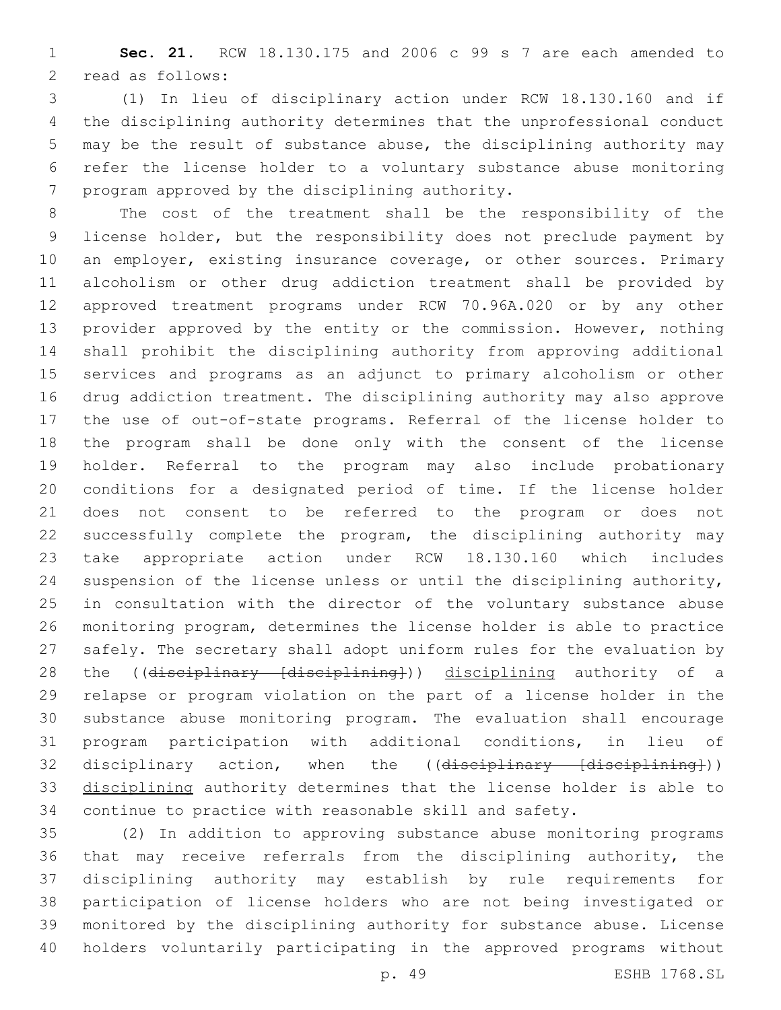**Sec. 21.** RCW 18.130.175 and 2006 c 99 s 7 are each amended to 2 read as follows:

 (1) In lieu of disciplinary action under RCW 18.130.160 and if the disciplining authority determines that the unprofessional conduct may be the result of substance abuse, the disciplining authority may refer the license holder to a voluntary substance abuse monitoring 7 program approved by the disciplining authority.

 The cost of the treatment shall be the responsibility of the license holder, but the responsibility does not preclude payment by 10 an employer, existing insurance coverage, or other sources. Primary alcoholism or other drug addiction treatment shall be provided by approved treatment programs under RCW 70.96A.020 or by any other provider approved by the entity or the commission. However, nothing shall prohibit the disciplining authority from approving additional services and programs as an adjunct to primary alcoholism or other drug addiction treatment. The disciplining authority may also approve the use of out-of-state programs. Referral of the license holder to the program shall be done only with the consent of the license holder. Referral to the program may also include probationary conditions for a designated period of time. If the license holder does not consent to be referred to the program or does not successfully complete the program, the disciplining authority may take appropriate action under RCW 18.130.160 which includes suspension of the license unless or until the disciplining authority, in consultation with the director of the voluntary substance abuse monitoring program, determines the license holder is able to practice safely. The secretary shall adopt uniform rules for the evaluation by 28 the ((disciplinary [disciplining])) disciplining authority of a relapse or program violation on the part of a license holder in the substance abuse monitoring program. The evaluation shall encourage program participation with additional conditions, in lieu of 32 disciplinary action, when the ((disciplinary [disciplining])) disciplining authority determines that the license holder is able to continue to practice with reasonable skill and safety.

 (2) In addition to approving substance abuse monitoring programs 36 that may receive referrals from the disciplining authority, the disciplining authority may establish by rule requirements for participation of license holders who are not being investigated or monitored by the disciplining authority for substance abuse. License holders voluntarily participating in the approved programs without

p. 49 ESHB 1768.SL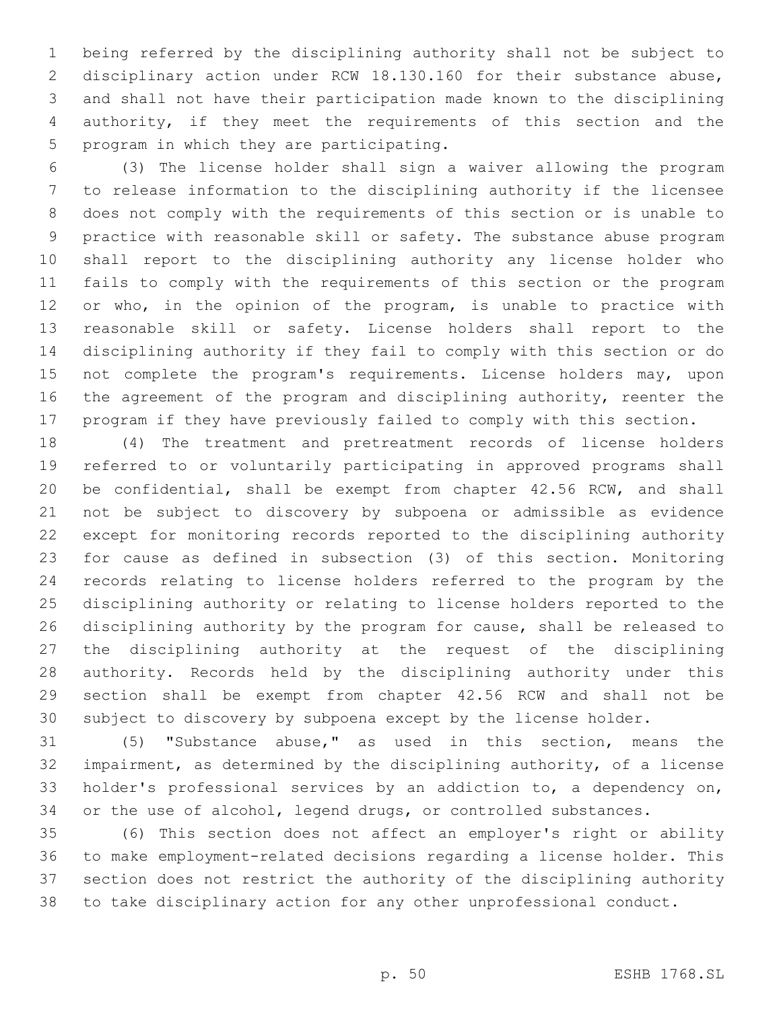being referred by the disciplining authority shall not be subject to disciplinary action under RCW 18.130.160 for their substance abuse, and shall not have their participation made known to the disciplining authority, if they meet the requirements of this section and the 5 program in which they are participating.

 (3) The license holder shall sign a waiver allowing the program to release information to the disciplining authority if the licensee does not comply with the requirements of this section or is unable to practice with reasonable skill or safety. The substance abuse program shall report to the disciplining authority any license holder who fails to comply with the requirements of this section or the program 12 or who, in the opinion of the program, is unable to practice with reasonable skill or safety. License holders shall report to the disciplining authority if they fail to comply with this section or do 15 not complete the program's requirements. License holders may, upon the agreement of the program and disciplining authority, reenter the program if they have previously failed to comply with this section.

 (4) The treatment and pretreatment records of license holders referred to or voluntarily participating in approved programs shall be confidential, shall be exempt from chapter 42.56 RCW, and shall not be subject to discovery by subpoena or admissible as evidence except for monitoring records reported to the disciplining authority for cause as defined in subsection (3) of this section. Monitoring records relating to license holders referred to the program by the disciplining authority or relating to license holders reported to the disciplining authority by the program for cause, shall be released to the disciplining authority at the request of the disciplining authority. Records held by the disciplining authority under this section shall be exempt from chapter 42.56 RCW and shall not be subject to discovery by subpoena except by the license holder.

 (5) "Substance abuse," as used in this section, means the impairment, as determined by the disciplining authority, of a license holder's professional services by an addiction to, a dependency on, or the use of alcohol, legend drugs, or controlled substances.

 (6) This section does not affect an employer's right or ability to make employment-related decisions regarding a license holder. This section does not restrict the authority of the disciplining authority to take disciplinary action for any other unprofessional conduct.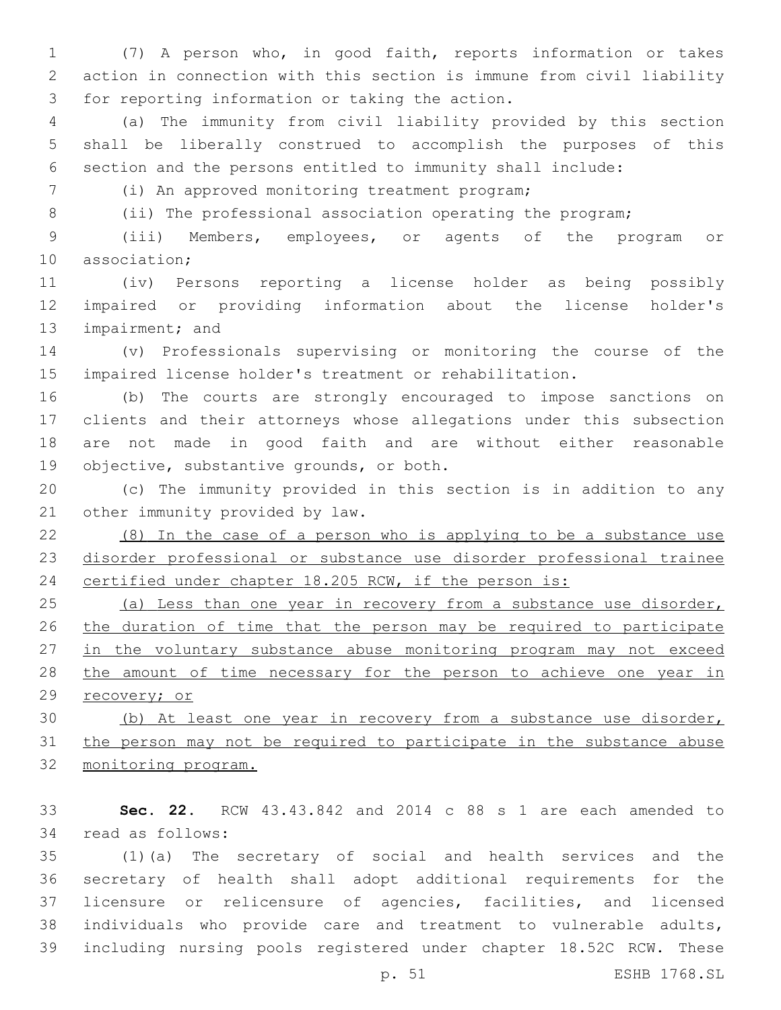(7) A person who, in good faith, reports information or takes action in connection with this section is immune from civil liability 3 for reporting information or taking the action.

 (a) The immunity from civil liability provided by this section shall be liberally construed to accomplish the purposes of this section and the persons entitled to immunity shall include:

(i) An approved monitoring treatment program;7

8 (ii) The professional association operating the program;

 (iii) Members, employees, or agents of the program or 10 association;

 (iv) Persons reporting a license holder as being possibly impaired or providing information about the license holder's 13 impairment; and

 (v) Professionals supervising or monitoring the course of the impaired license holder's treatment or rehabilitation.

 (b) The courts are strongly encouraged to impose sanctions on clients and their attorneys whose allegations under this subsection are not made in good faith and are without either reasonable 19 objective, substantive grounds, or both.

 (c) The immunity provided in this section is in addition to any 21 other immunity provided by law.

 (8) In the case of a person who is applying to be a substance use disorder professional or substance use disorder professional trainee certified under chapter 18.205 RCW, if the person is:

 (a) Less than one year in recovery from a substance use disorder, the duration of time that the person may be required to participate 27 in the voluntary substance abuse monitoring program may not exceed 28 the amount of time necessary for the person to achieve one year in recovery; or

 (b) At least one year in recovery from a substance use disorder, the person may not be required to participate in the substance abuse monitoring program.

 **Sec. 22.** RCW 43.43.842 and 2014 c 88 s 1 are each amended to 34 read as follows:

 (1)(a) The secretary of social and health services and the secretary of health shall adopt additional requirements for the licensure or relicensure of agencies, facilities, and licensed individuals who provide care and treatment to vulnerable adults, including nursing pools registered under chapter 18.52C RCW. These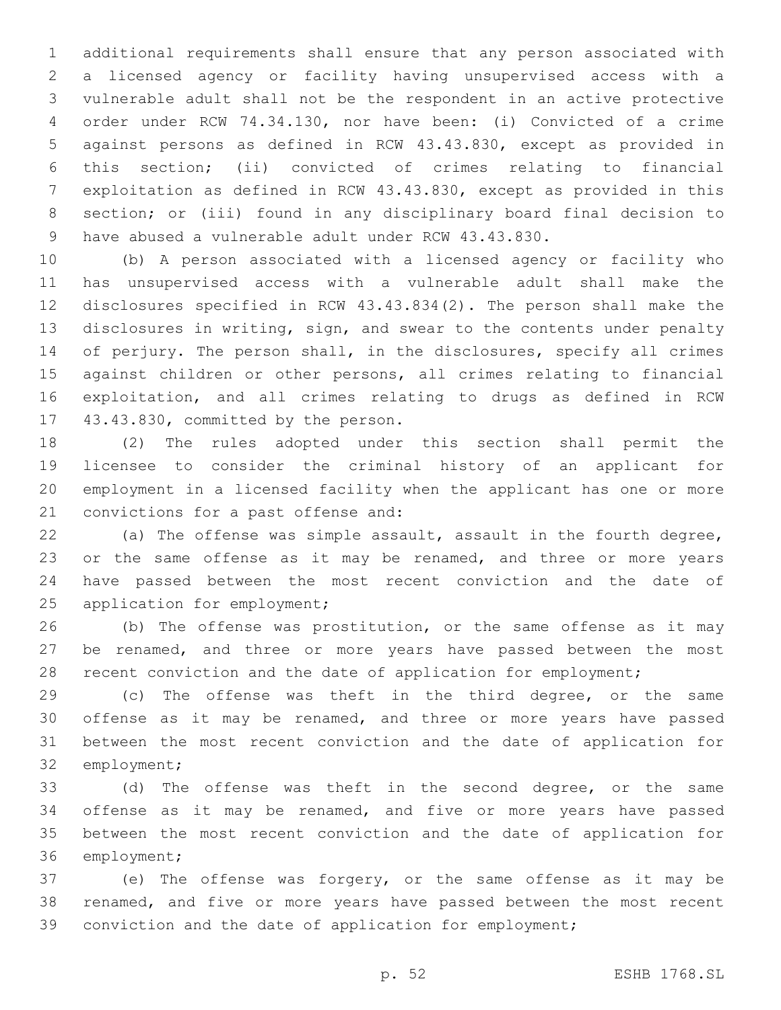additional requirements shall ensure that any person associated with a licensed agency or facility having unsupervised access with a vulnerable adult shall not be the respondent in an active protective order under RCW 74.34.130, nor have been: (i) Convicted of a crime against persons as defined in RCW 43.43.830, except as provided in this section; (ii) convicted of crimes relating to financial exploitation as defined in RCW 43.43.830, except as provided in this section; or (iii) found in any disciplinary board final decision to have abused a vulnerable adult under RCW 43.43.830.

 (b) A person associated with a licensed agency or facility who has unsupervised access with a vulnerable adult shall make the disclosures specified in RCW 43.43.834(2). The person shall make the disclosures in writing, sign, and swear to the contents under penalty of perjury. The person shall, in the disclosures, specify all crimes against children or other persons, all crimes relating to financial exploitation, and all crimes relating to drugs as defined in RCW 17 43.43.830, committed by the person.

 (2) The rules adopted under this section shall permit the licensee to consider the criminal history of an applicant for employment in a licensed facility when the applicant has one or more 21 convictions for a past offense and:

 (a) The offense was simple assault, assault in the fourth degree, 23 or the same offense as it may be renamed, and three or more years have passed between the most recent conviction and the date of 25 application for employment;

 (b) The offense was prostitution, or the same offense as it may be renamed, and three or more years have passed between the most recent conviction and the date of application for employment;

 (c) The offense was theft in the third degree, or the same offense as it may be renamed, and three or more years have passed between the most recent conviction and the date of application for 32 employment;

 (d) The offense was theft in the second degree, or the same offense as it may be renamed, and five or more years have passed between the most recent conviction and the date of application for 36 employment;

 (e) The offense was forgery, or the same offense as it may be renamed, and five or more years have passed between the most recent conviction and the date of application for employment;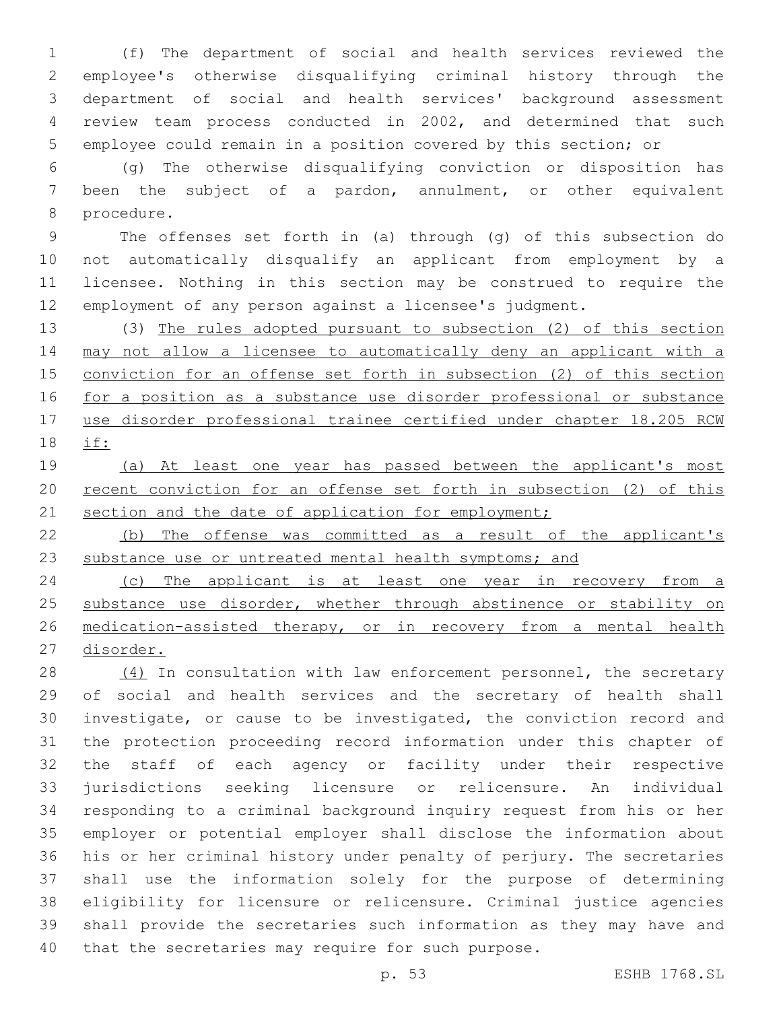(f) The department of social and health services reviewed the employee's otherwise disqualifying criminal history through the department of social and health services' background assessment review team process conducted in 2002, and determined that such employee could remain in a position covered by this section; or

 (g) The otherwise disqualifying conviction or disposition has been the subject of a pardon, annulment, or other equivalent 8 procedure.

 The offenses set forth in (a) through (g) of this subsection do not automatically disqualify an applicant from employment by a licensee. Nothing in this section may be construed to require the employment of any person against a licensee's judgment.

 (3) The rules adopted pursuant to subsection (2) of this section 14 may not allow a licensee to automatically deny an applicant with a conviction for an offense set forth in subsection (2) of this section for a position as a substance use disorder professional or substance use disorder professional trainee certified under chapter 18.205 RCW if:

 (a) At least one year has passed between the applicant's most 20 recent conviction for an offense set forth in subsection (2) of this 21 section and the date of application for employment;

 (b) The offense was committed as a result of the applicant's 23 substance use or untreated mental health symptoms; and

24 (c) The applicant is at least one year in recovery from a 25 substance use disorder, whether through abstinence or stability on medication-assisted therapy, or in recovery from a mental health disorder.

28 (4) In consultation with law enforcement personnel, the secretary of social and health services and the secretary of health shall investigate, or cause to be investigated, the conviction record and the protection proceeding record information under this chapter of the staff of each agency or facility under their respective jurisdictions seeking licensure or relicensure. An individual responding to a criminal background inquiry request from his or her employer or potential employer shall disclose the information about his or her criminal history under penalty of perjury. The secretaries shall use the information solely for the purpose of determining eligibility for licensure or relicensure. Criminal justice agencies shall provide the secretaries such information as they may have and 40 that the secretaries may require for such purpose.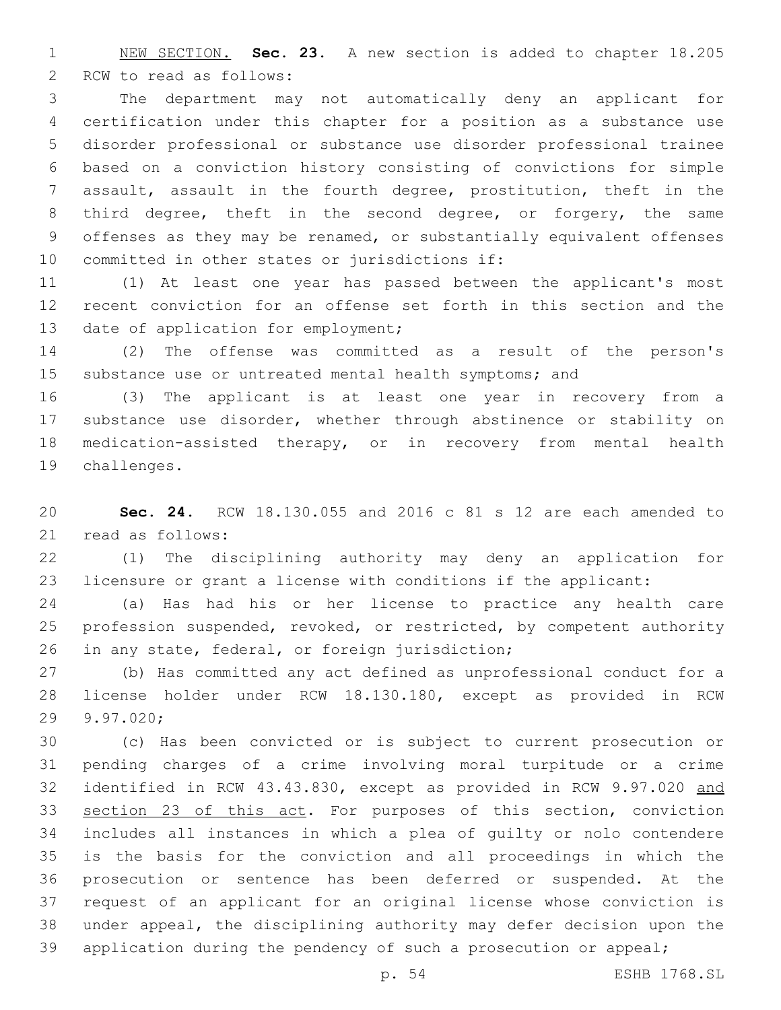NEW SECTION. **Sec. 23.** A new section is added to chapter 18.205 2 RCW to read as follows:

 The department may not automatically deny an applicant for certification under this chapter for a position as a substance use disorder professional or substance use disorder professional trainee based on a conviction history consisting of convictions for simple assault, assault in the fourth degree, prostitution, theft in the third degree, theft in the second degree, or forgery, the same offenses as they may be renamed, or substantially equivalent offenses 10 committed in other states or jurisdictions if:

 (1) At least one year has passed between the applicant's most recent conviction for an offense set forth in this section and the 13 date of application for employment;

 (2) The offense was committed as a result of the person's substance use or untreated mental health symptoms; and

 (3) The applicant is at least one year in recovery from a substance use disorder, whether through abstinence or stability on medication-assisted therapy, or in recovery from mental health 19 challenges.

 **Sec. 24.** RCW 18.130.055 and 2016 c 81 s 12 are each amended to 21 read as follows:

 (1) The disciplining authority may deny an application for licensure or grant a license with conditions if the applicant:

 (a) Has had his or her license to practice any health care profession suspended, revoked, or restricted, by competent authority 26 in any state, federal, or foreign jurisdiction;

 (b) Has committed any act defined as unprofessional conduct for a license holder under RCW 18.130.180, except as provided in RCW 29 9.97.020;

 (c) Has been convicted or is subject to current prosecution or pending charges of a crime involving moral turpitude or a crime identified in RCW 43.43.830, except as provided in RCW 9.97.020 and section 23 of this act. For purposes of this section, conviction includes all instances in which a plea of guilty or nolo contendere is the basis for the conviction and all proceedings in which the prosecution or sentence has been deferred or suspended. At the request of an applicant for an original license whose conviction is under appeal, the disciplining authority may defer decision upon the 39 application during the pendency of such a prosecution or appeal;

p. 54 ESHB 1768.SL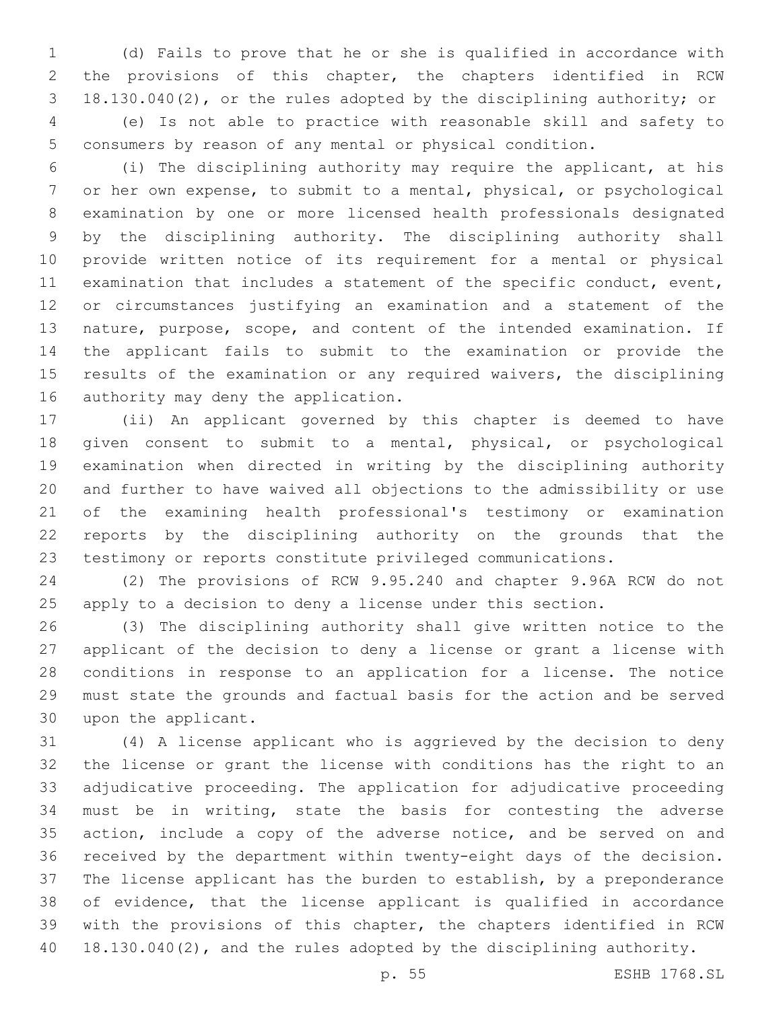(d) Fails to prove that he or she is qualified in accordance with the provisions of this chapter, the chapters identified in RCW 18.130.040(2), or the rules adopted by the disciplining authority; or (e) Is not able to practice with reasonable skill and safety to consumers by reason of any mental or physical condition.

 (i) The disciplining authority may require the applicant, at his or her own expense, to submit to a mental, physical, or psychological examination by one or more licensed health professionals designated by the disciplining authority. The disciplining authority shall provide written notice of its requirement for a mental or physical examination that includes a statement of the specific conduct, event, or circumstances justifying an examination and a statement of the nature, purpose, scope, and content of the intended examination. If the applicant fails to submit to the examination or provide the results of the examination or any required waivers, the disciplining 16 authority may deny the application.

 (ii) An applicant governed by this chapter is deemed to have given consent to submit to a mental, physical, or psychological examination when directed in writing by the disciplining authority and further to have waived all objections to the admissibility or use of the examining health professional's testimony or examination reports by the disciplining authority on the grounds that the testimony or reports constitute privileged communications.

 (2) The provisions of RCW 9.95.240 and chapter 9.96A RCW do not apply to a decision to deny a license under this section.

 (3) The disciplining authority shall give written notice to the applicant of the decision to deny a license or grant a license with conditions in response to an application for a license. The notice must state the grounds and factual basis for the action and be served 30 upon the applicant.

 (4) A license applicant who is aggrieved by the decision to deny the license or grant the license with conditions has the right to an adjudicative proceeding. The application for adjudicative proceeding must be in writing, state the basis for contesting the adverse 35 action, include a copy of the adverse notice, and be served on and received by the department within twenty-eight days of the decision. The license applicant has the burden to establish, by a preponderance of evidence, that the license applicant is qualified in accordance with the provisions of this chapter, the chapters identified in RCW 18.130.040(2), and the rules adopted by the disciplining authority.

p. 55 ESHB 1768.SL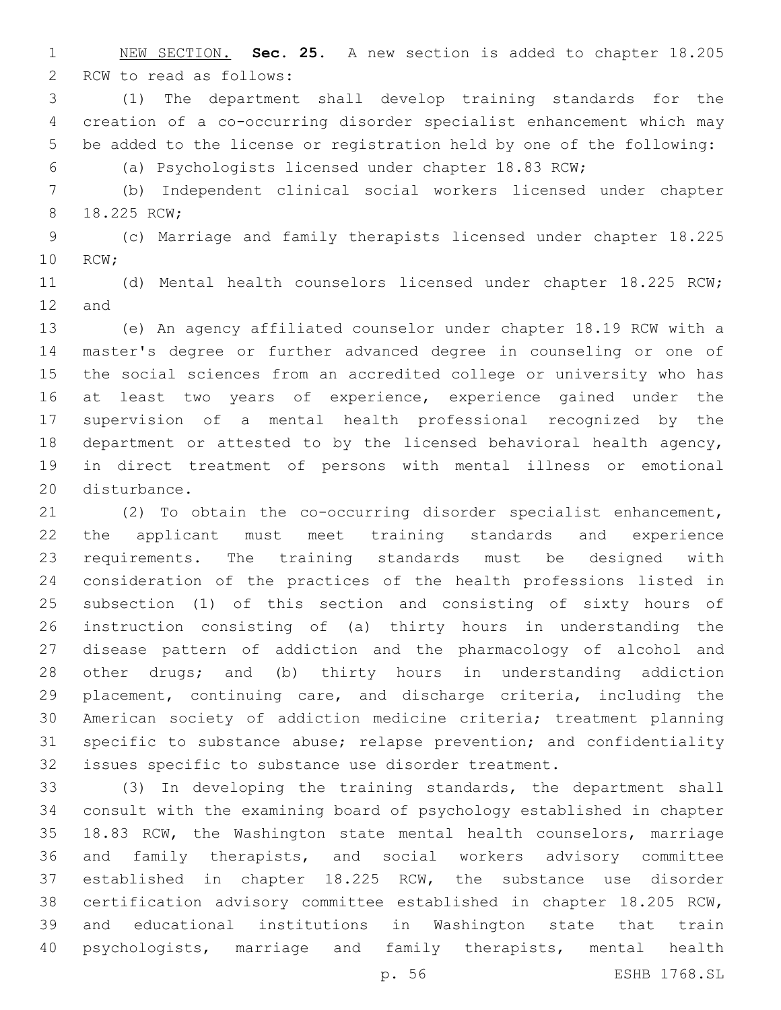NEW SECTION. **Sec. 25.** A new section is added to chapter 18.205 2 RCW to read as follows:

 (1) The department shall develop training standards for the creation of a co-occurring disorder specialist enhancement which may be added to the license or registration held by one of the following:

(a) Psychologists licensed under chapter 18.83 RCW;

 (b) Independent clinical social workers licensed under chapter 8 18.225 RCW;

 (c) Marriage and family therapists licensed under chapter 18.225 10 RCW;

 (d) Mental health counselors licensed under chapter 18.225 RCW; 12 and

 (e) An agency affiliated counselor under chapter 18.19 RCW with a master's degree or further advanced degree in counseling or one of the social sciences from an accredited college or university who has at least two years of experience, experience gained under the supervision of a mental health professional recognized by the department or attested to by the licensed behavioral health agency, in direct treatment of persons with mental illness or emotional 20 disturbance.

 (2) To obtain the co-occurring disorder specialist enhancement, the applicant must meet training standards and experience requirements. The training standards must be designed with consideration of the practices of the health professions listed in subsection (1) of this section and consisting of sixty hours of instruction consisting of (a) thirty hours in understanding the disease pattern of addiction and the pharmacology of alcohol and other drugs; and (b) thirty hours in understanding addiction placement, continuing care, and discharge criteria, including the American society of addiction medicine criteria; treatment planning specific to substance abuse; relapse prevention; and confidentiality issues specific to substance use disorder treatment.

 (3) In developing the training standards, the department shall consult with the examining board of psychology established in chapter 18.83 RCW, the Washington state mental health counselors, marriage and family therapists, and social workers advisory committee established in chapter 18.225 RCW, the substance use disorder certification advisory committee established in chapter 18.205 RCW, and educational institutions in Washington state that train psychologists, marriage and family therapists, mental health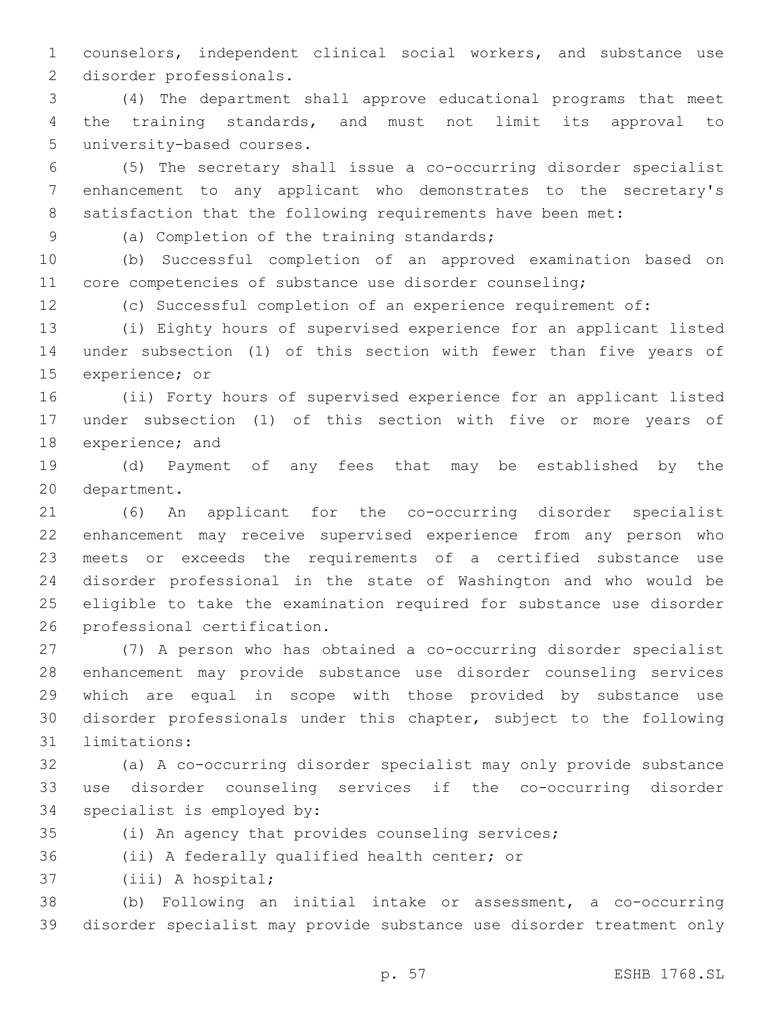counselors, independent clinical social workers, and substance use 2 disorder professionals.

 (4) The department shall approve educational programs that meet the training standards, and must not limit its approval to 5 university-based courses.

 (5) The secretary shall issue a co-occurring disorder specialist enhancement to any applicant who demonstrates to the secretary's 8 satisfaction that the following requirements have been met:

(a) Completion of the training standards;9

 (b) Successful completion of an approved examination based on core competencies of substance use disorder counseling;

(c) Successful completion of an experience requirement of:

 (i) Eighty hours of supervised experience for an applicant listed under subsection (1) of this section with fewer than five years of 15 experience; or

 (ii) Forty hours of supervised experience for an applicant listed under subsection (1) of this section with five or more years of 18 experience; and

 (d) Payment of any fees that may be established by the 20 department.

 (6) An applicant for the co-occurring disorder specialist enhancement may receive supervised experience from any person who meets or exceeds the requirements of a certified substance use disorder professional in the state of Washington and who would be eligible to take the examination required for substance use disorder 26 professional certification.

 (7) A person who has obtained a co-occurring disorder specialist enhancement may provide substance use disorder counseling services which are equal in scope with those provided by substance use disorder professionals under this chapter, subject to the following 31 limitations:

 (a) A co-occurring disorder specialist may only provide substance use disorder counseling services if the co-occurring disorder 34 specialist is employed by:

(i) An agency that provides counseling services;

36 (ii) A federally qualified health center; or

37 (iii) A hospital;

 (b) Following an initial intake or assessment, a co-occurring disorder specialist may provide substance use disorder treatment only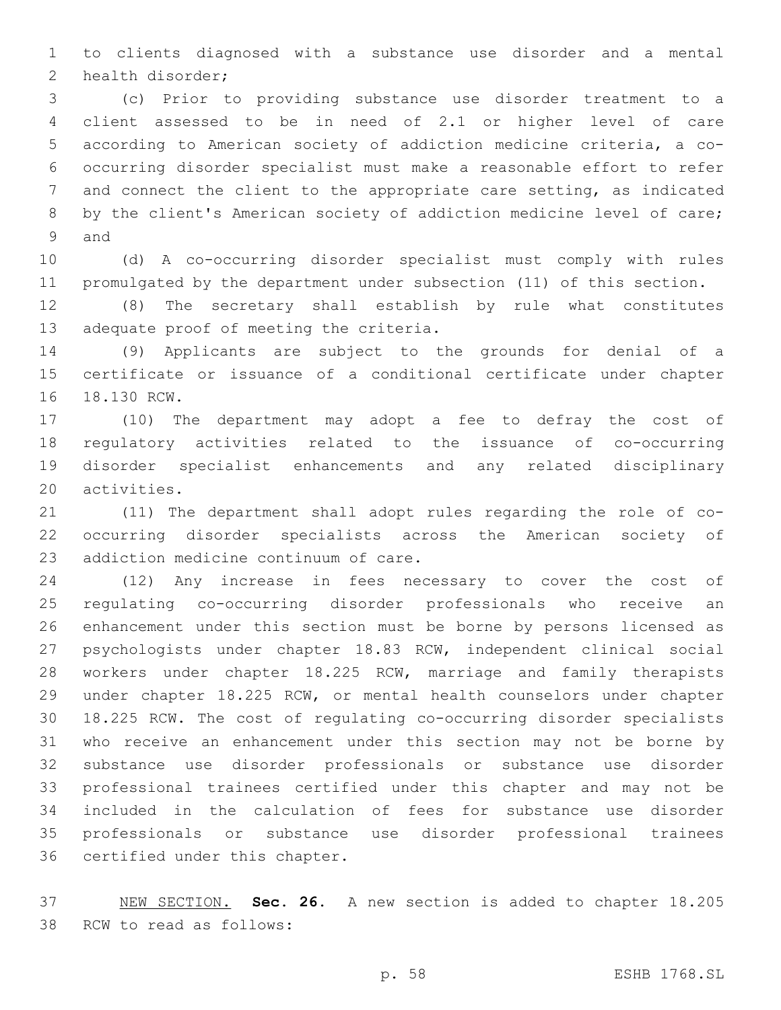to clients diagnosed with a substance use disorder and a mental 2 health disorder;

 (c) Prior to providing substance use disorder treatment to a client assessed to be in need of 2.1 or higher level of care according to American society of addiction medicine criteria, a co- occurring disorder specialist must make a reasonable effort to refer and connect the client to the appropriate care setting, as indicated by the client's American society of addiction medicine level of care; 9 and

 (d) A co-occurring disorder specialist must comply with rules promulgated by the department under subsection (11) of this section.

 (8) The secretary shall establish by rule what constitutes 13 adequate proof of meeting the criteria.

 (9) Applicants are subject to the grounds for denial of a certificate or issuance of a conditional certificate under chapter 16 18.130 RCW.

 (10) The department may adopt a fee to defray the cost of regulatory activities related to the issuance of co-occurring disorder specialist enhancements and any related disciplinary 20 activities.

 (11) The department shall adopt rules regarding the role of co- occurring disorder specialists across the American society of 23 addiction medicine continuum of care.

 (12) Any increase in fees necessary to cover the cost of regulating co-occurring disorder professionals who receive an enhancement under this section must be borne by persons licensed as psychologists under chapter 18.83 RCW, independent clinical social workers under chapter 18.225 RCW, marriage and family therapists under chapter 18.225 RCW, or mental health counselors under chapter 18.225 RCW. The cost of regulating co-occurring disorder specialists who receive an enhancement under this section may not be borne by substance use disorder professionals or substance use disorder professional trainees certified under this chapter and may not be included in the calculation of fees for substance use disorder professionals or substance use disorder professional trainees 36 certified under this chapter.

 NEW SECTION. **Sec. 26.** A new section is added to chapter 18.205 38 RCW to read as follows: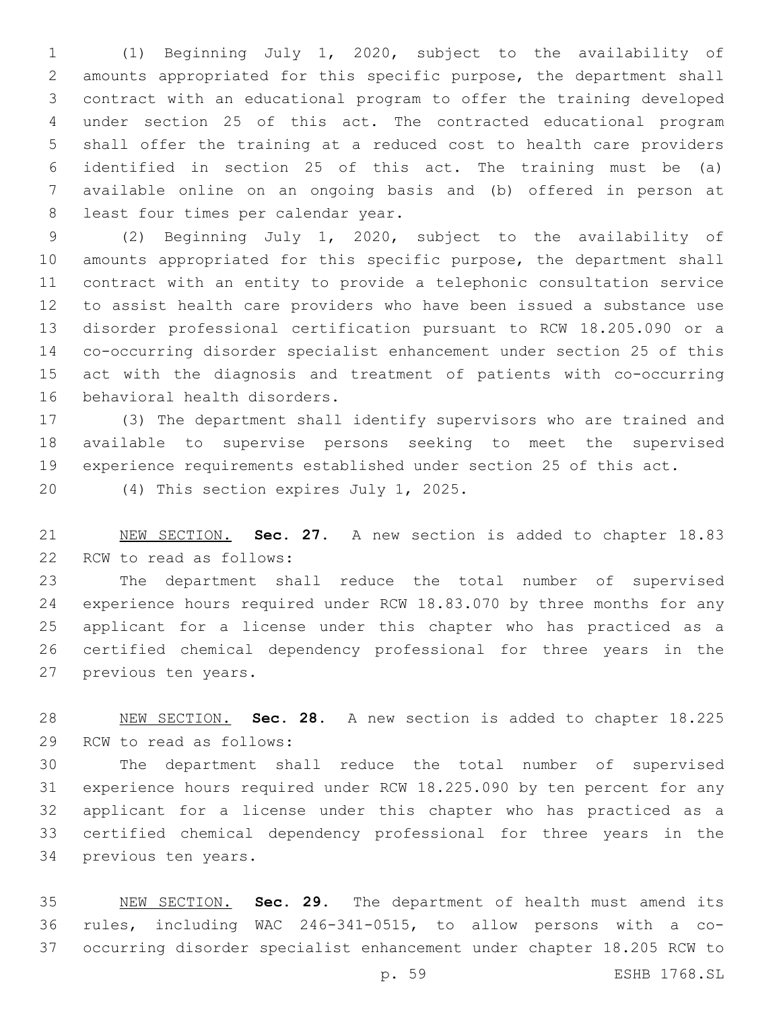(1) Beginning July 1, 2020, subject to the availability of amounts appropriated for this specific purpose, the department shall contract with an educational program to offer the training developed under section 25 of this act. The contracted educational program shall offer the training at a reduced cost to health care providers identified in section 25 of this act. The training must be (a) available online on an ongoing basis and (b) offered in person at 8 least four times per calendar year.

 (2) Beginning July 1, 2020, subject to the availability of amounts appropriated for this specific purpose, the department shall contract with an entity to provide a telephonic consultation service to assist health care providers who have been issued a substance use disorder professional certification pursuant to RCW 18.205.090 or a co-occurring disorder specialist enhancement under section 25 of this act with the diagnosis and treatment of patients with co-occurring 16 behavioral health disorders.

 (3) The department shall identify supervisors who are trained and available to supervise persons seeking to meet the supervised experience requirements established under section 25 of this act.

20 (4) This section expires July 1, 2025.

 NEW SECTION. **Sec. 27.** A new section is added to chapter 18.83 22 RCW to read as follows:

 The department shall reduce the total number of supervised experience hours required under RCW 18.83.070 by three months for any applicant for a license under this chapter who has practiced as a certified chemical dependency professional for three years in the 27 previous ten years.

 NEW SECTION. **Sec. 28.** A new section is added to chapter 18.225 29 RCW to read as follows:

 The department shall reduce the total number of supervised experience hours required under RCW 18.225.090 by ten percent for any applicant for a license under this chapter who has practiced as a certified chemical dependency professional for three years in the 34 previous ten years.

 NEW SECTION. **Sec. 29.** The department of health must amend its rules, including WAC 246-341-0515, to allow persons with a co-occurring disorder specialist enhancement under chapter 18.205 RCW to

p. 59 ESHB 1768.SL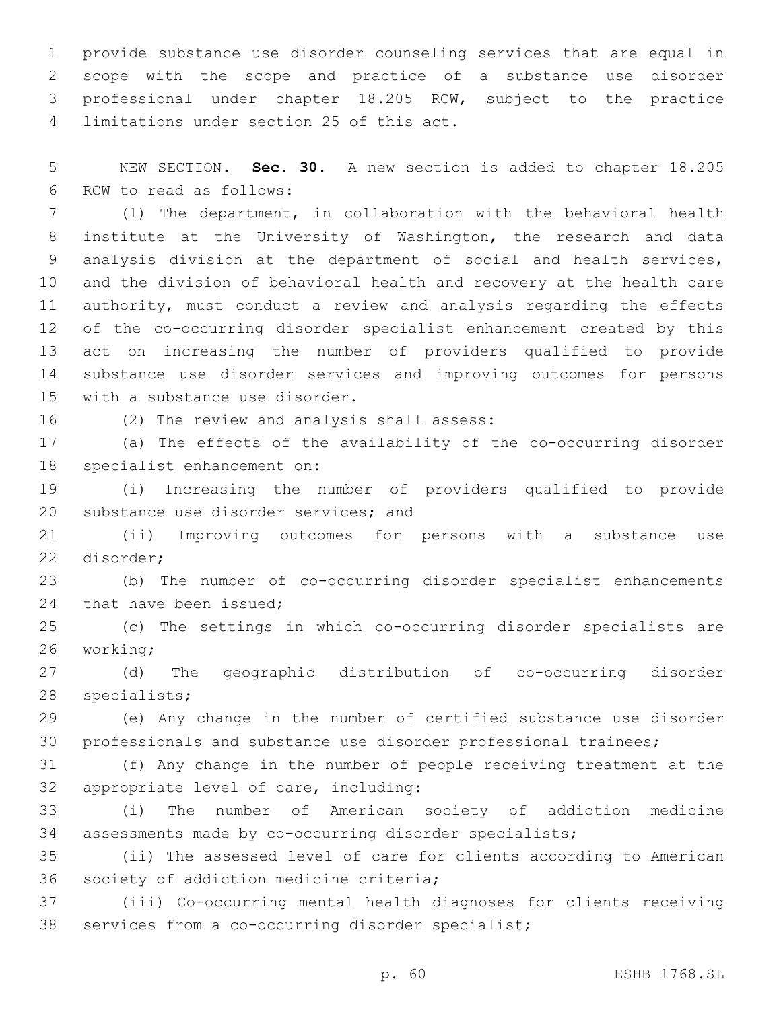provide substance use disorder counseling services that are equal in scope with the scope and practice of a substance use disorder professional under chapter 18.205 RCW, subject to the practice 4 limitations under section 25 of this act.

 NEW SECTION. **Sec. 30.** A new section is added to chapter 18.205 6 RCW to read as follows:

 (1) The department, in collaboration with the behavioral health institute at the University of Washington, the research and data analysis division at the department of social and health services, and the division of behavioral health and recovery at the health care authority, must conduct a review and analysis regarding the effects of the co-occurring disorder specialist enhancement created by this act on increasing the number of providers qualified to provide substance use disorder services and improving outcomes for persons 15 with a substance use disorder.

16 (2) The review and analysis shall assess:

 (a) The effects of the availability of the co-occurring disorder 18 specialist enhancement on:

 (i) Increasing the number of providers qualified to provide 20 substance use disorder services; and

 (ii) Improving outcomes for persons with a substance use 22 disorder:

 (b) The number of co-occurring disorder specialist enhancements 24 that have been issued;

 (c) The settings in which co-occurring disorder specialists are 26 working;

 (d) The geographic distribution of co-occurring disorder 28 specialists;

 (e) Any change in the number of certified substance use disorder professionals and substance use disorder professional trainees;

 (f) Any change in the number of people receiving treatment at the 32 appropriate level of care, including:

 (i) The number of American society of addiction medicine assessments made by co-occurring disorder specialists;

 (ii) The assessed level of care for clients according to American 36 society of addiction medicine criteria;

 (iii) Co-occurring mental health diagnoses for clients receiving 38 services from a co-occurring disorder specialist;